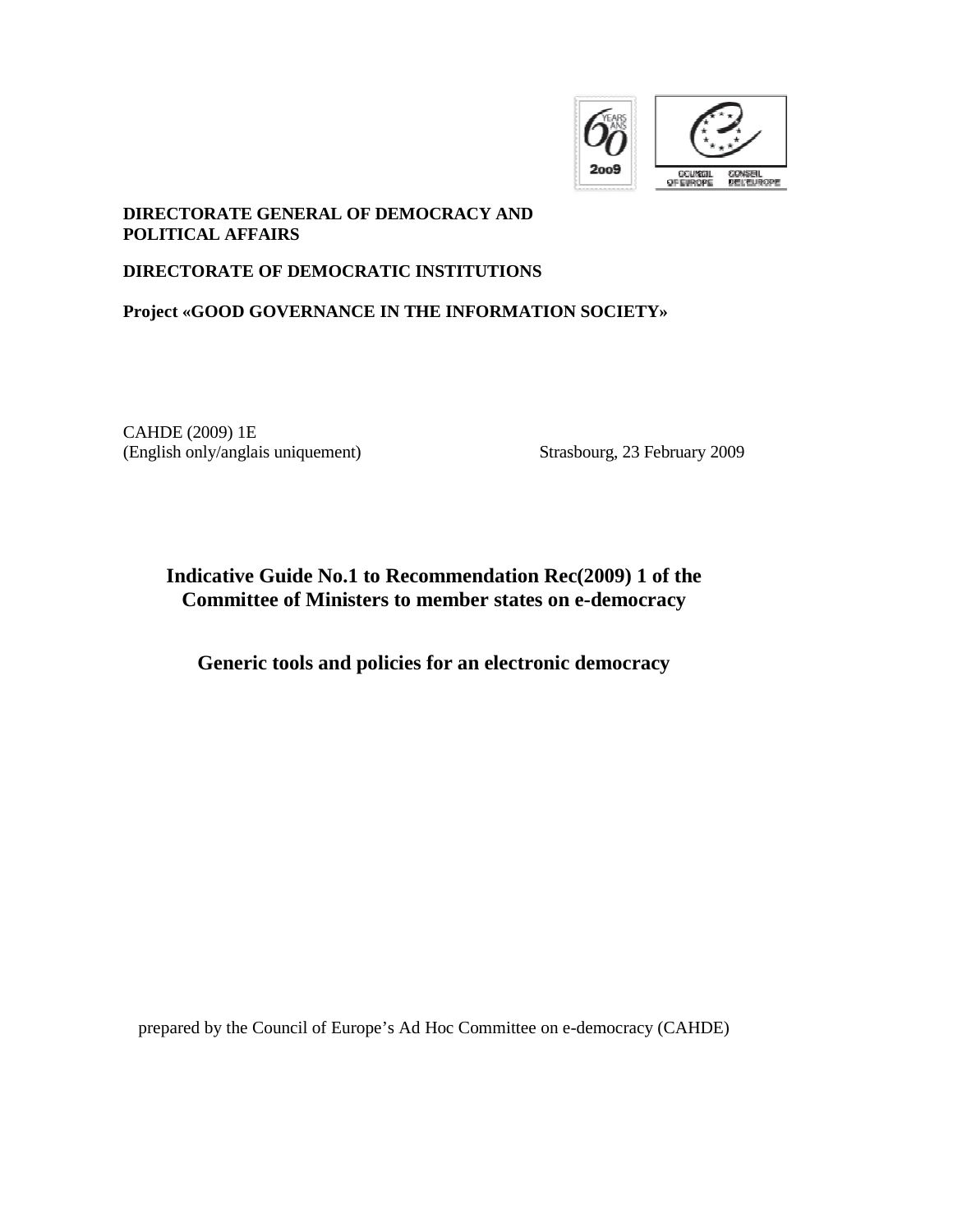

#### **DIRECTORATE GENERAL OF DEMOCRACY AND POLITICAL AFFAIRS**

#### **DIRECTORATE OF DEMOCRATIC INSTITUTIONS**

# **Project «GOOD GOVERNANCE IN THE INFORMATION SOCIETY»**

CAHDE (2009) 1E (English only/anglais uniquement) Strasbourg, 23 February 2009

# **Indicative Guide No.1 to Recommendation Rec(2009) 1 of the Committee of Ministers to member states on e-democracy**

**Generic tools and policies for an electronic democracy** 

prepared by the Council of Europe's Ad Hoc Committee on e-democracy (CAHDE)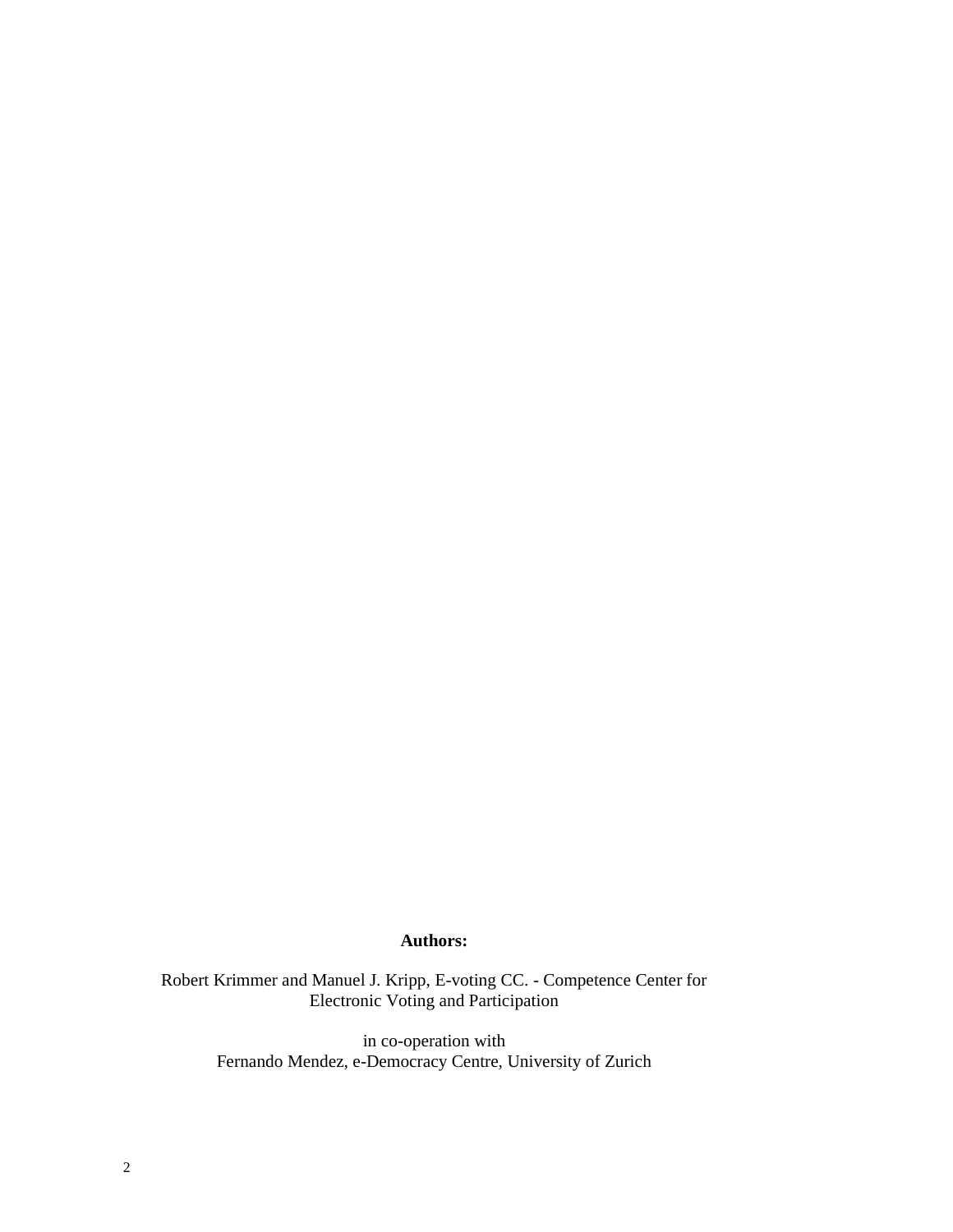#### **Authors:**

Robert Krimmer and Manuel J. Kripp, E-voting CC. - Competence Center for Electronic Voting and Participation

> in co-operation with Fernando Mendez, e-Democracy Centre, University of Zurich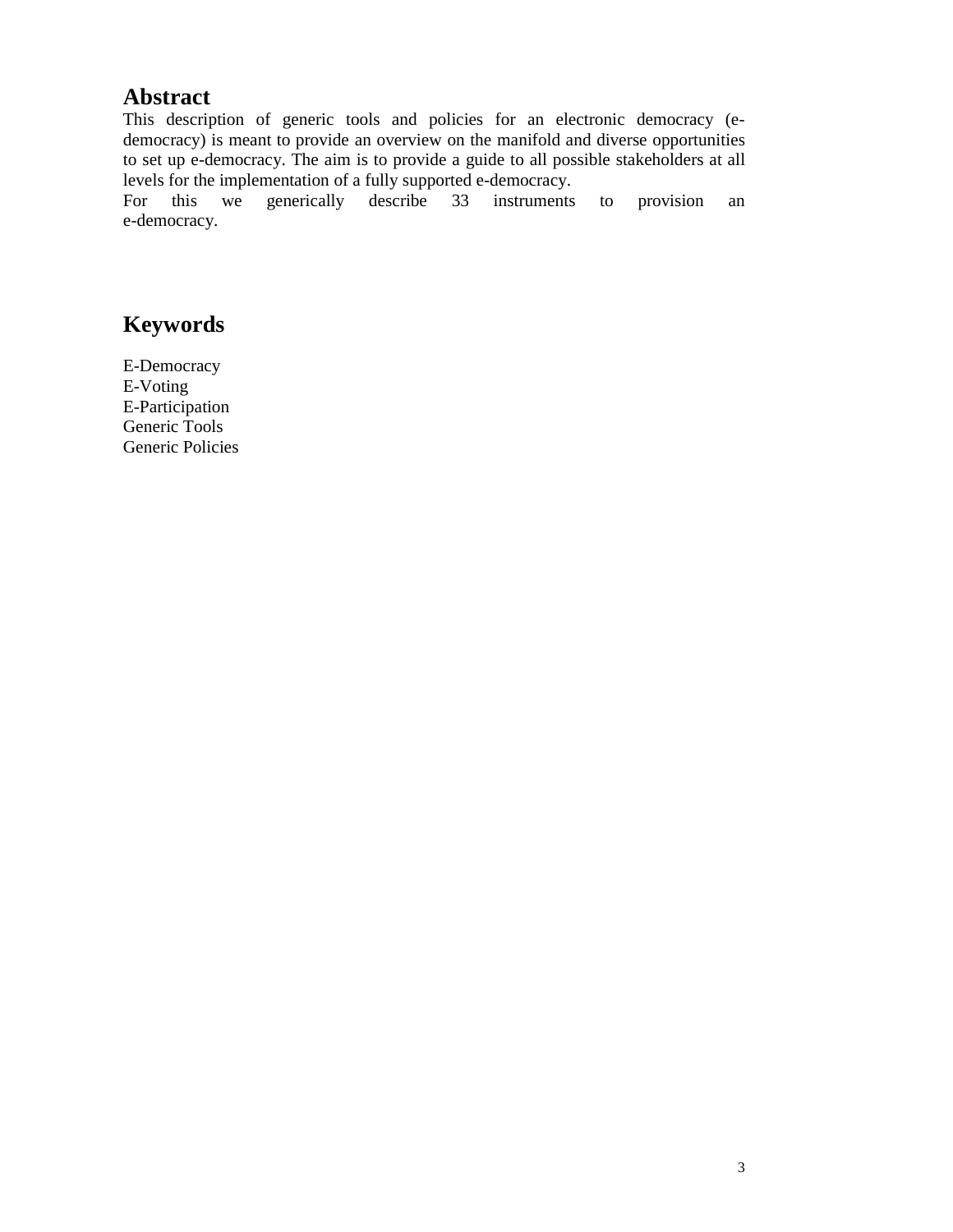# **Abstract**

This description of generic tools and policies for an electronic democracy (edemocracy) is meant to provide an overview on the manifold and diverse opportunities to set up e-democracy. The aim is to provide a guide to all possible stakeholders at all levels for the implementation of a fully supported e-democracy.

For this we generically describe 33 instruments to provision an e-democracy.

# **Keywords**

E-Democracy E-Voting E-Participation Generic Tools Generic Policies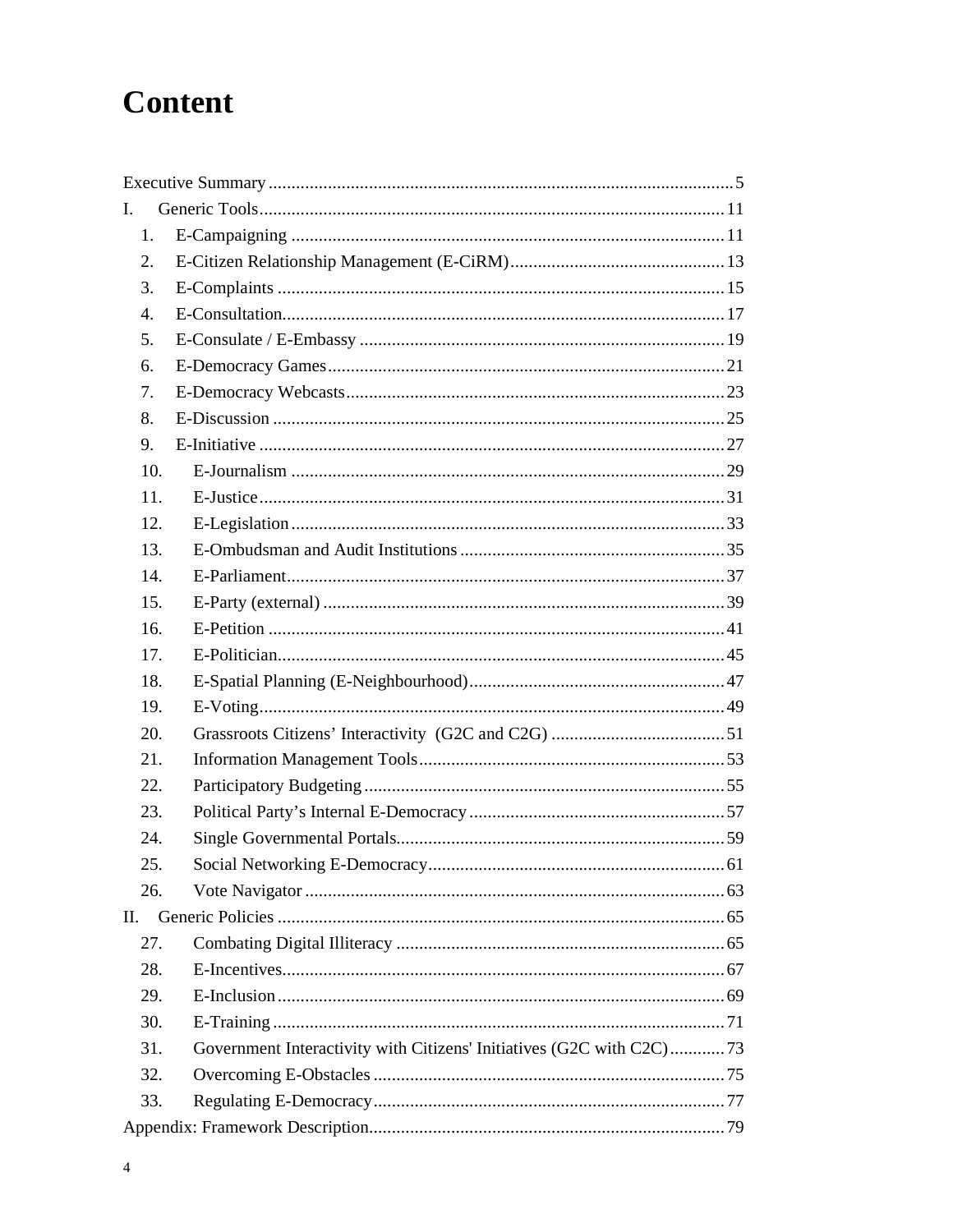# **Content**

| L.  |                                                                      |    |
|-----|----------------------------------------------------------------------|----|
| 1.  |                                                                      |    |
| 2.  |                                                                      |    |
| 3.  |                                                                      |    |
| 4.  |                                                                      |    |
| 5.  |                                                                      |    |
| 6.  |                                                                      |    |
| 7.  |                                                                      |    |
| 8.  |                                                                      |    |
| 9.  |                                                                      |    |
| 10. |                                                                      |    |
| 11. |                                                                      |    |
| 12. |                                                                      |    |
| 13. |                                                                      |    |
| 14. |                                                                      |    |
| 15. |                                                                      |    |
| 16. |                                                                      |    |
| 17. |                                                                      |    |
| 18. |                                                                      |    |
| 19. |                                                                      |    |
| 20. |                                                                      |    |
| 21. |                                                                      |    |
| 22. |                                                                      |    |
| 23. |                                                                      |    |
| 24. |                                                                      |    |
| 25. | Social Networking E-Democracy                                        | 61 |
| 26. |                                                                      |    |
| П.  |                                                                      |    |
| 27. |                                                                      |    |
| 28. |                                                                      |    |
| 29. |                                                                      |    |
| 30. |                                                                      |    |
| 31. | Government Interactivity with Citizens' Initiatives (G2C with C2C)73 |    |
| 32. |                                                                      |    |
| 33. |                                                                      |    |
|     |                                                                      |    |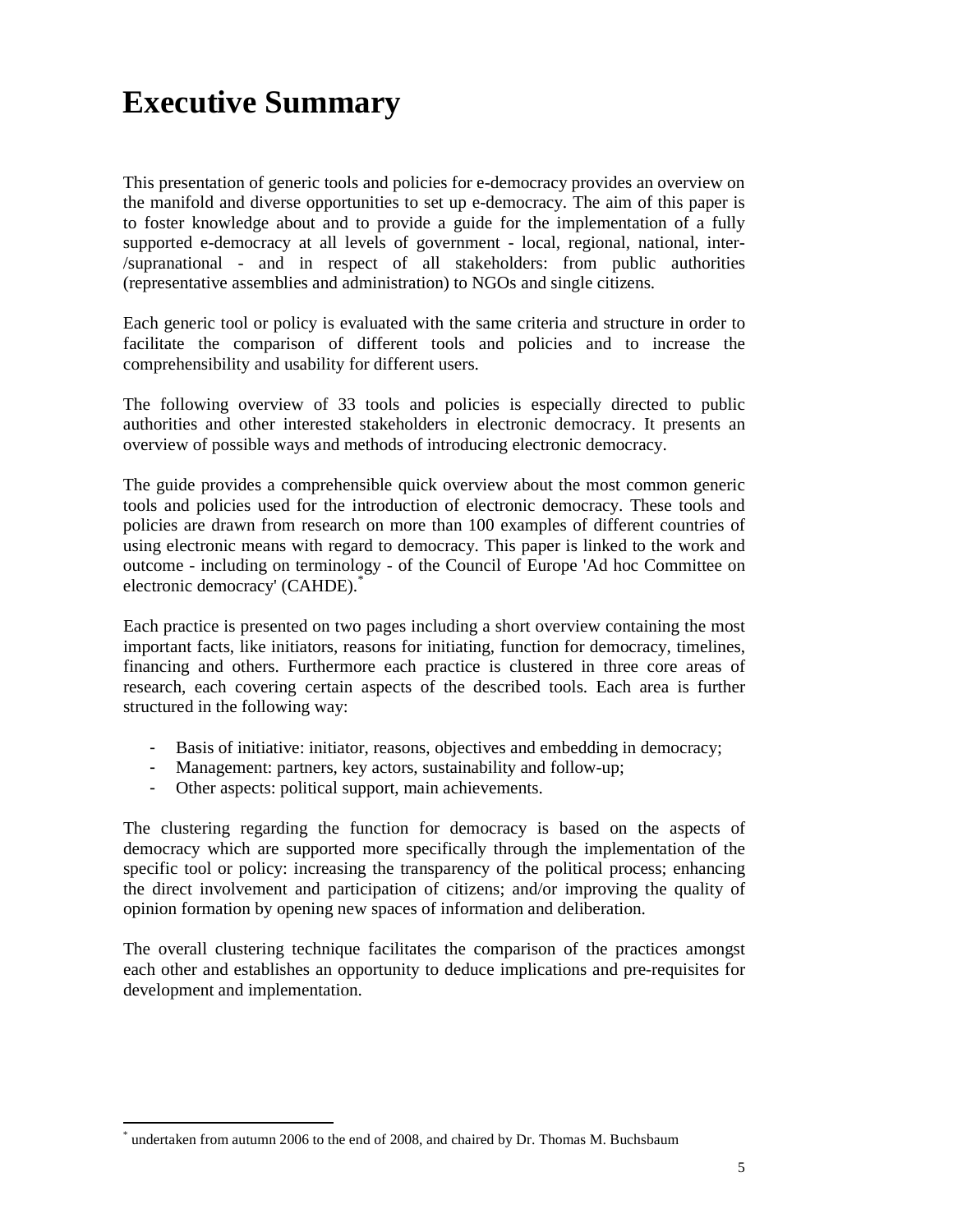# **Executive Summary**

This presentation of generic tools and policies for e-democracy provides an overview on the manifold and diverse opportunities to set up e-democracy. The aim of this paper is to foster knowledge about and to provide a guide for the implementation of a fully supported e-democracy at all levels of government - local, regional, national, inter- /supranational - and in respect of all stakeholders: from public authorities (representative assemblies and administration) to NGOs and single citizens.

Each generic tool or policy is evaluated with the same criteria and structure in order to facilitate the comparison of different tools and policies and to increase the comprehensibility and usability for different users.

The following overview of 33 tools and policies is especially directed to public authorities and other interested stakeholders in electronic democracy. It presents an overview of possible ways and methods of introducing electronic democracy.

The guide provides a comprehensible quick overview about the most common generic tools and policies used for the introduction of electronic democracy. These tools and policies are drawn from research on more than 100 examples of different countries of using electronic means with regard to democracy. This paper is linked to the work and outcome - including on terminology - of the Council of Europe 'Ad hoc Committee on electronic democracy' (CAHDE).<sup>\*</sup>

Each practice is presented on two pages including a short overview containing the most important facts, like initiators, reasons for initiating, function for democracy, timelines, financing and others. Furthermore each practice is clustered in three core areas of research, each covering certain aspects of the described tools. Each area is further structured in the following way:

- Basis of initiative: initiator, reasons, objectives and embedding in democracy;
- Management: partners, key actors, sustainability and follow-up;
- Other aspects: political support, main achievements.

The clustering regarding the function for democracy is based on the aspects of democracy which are supported more specifically through the implementation of the specific tool or policy: increasing the transparency of the political process; enhancing the direct involvement and participation of citizens; and/or improving the quality of opinion formation by opening new spaces of information and deliberation.

The overall clustering technique facilitates the comparison of the practices amongst each other and establishes an opportunity to deduce implications and pre-requisites for development and implementation.

 $\overline{a}$ 

<sup>\*</sup> undertaken from autumn 2006 to the end of 2008, and chaired by Dr. Thomas M. Buchsbaum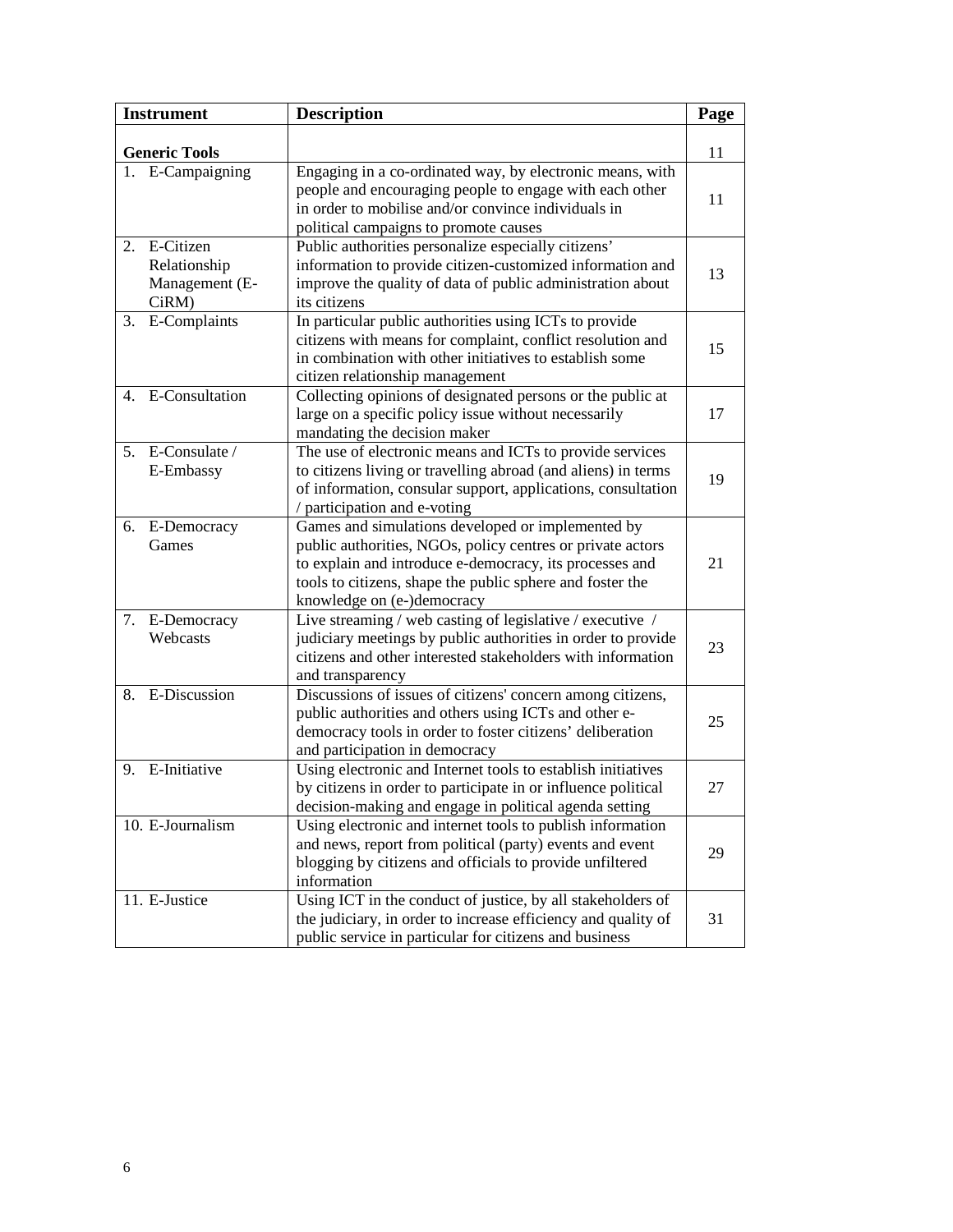| <b>Instrument</b>                                          | <b>Description</b>                                                                                                                                                                                                                                                    | Page |
|------------------------------------------------------------|-----------------------------------------------------------------------------------------------------------------------------------------------------------------------------------------------------------------------------------------------------------------------|------|
| <b>Generic Tools</b>                                       |                                                                                                                                                                                                                                                                       | 11   |
| 1. E-Campaigning                                           | Engaging in a co-ordinated way, by electronic means, with<br>people and encouraging people to engage with each other<br>in order to mobilise and/or convince individuals in<br>political campaigns to promote causes                                                  | 11   |
| 2.<br>E-Citizen<br>Relationship<br>Management (E-<br>CiRM) | Public authorities personalize especially citizens'<br>information to provide citizen-customized information and<br>improve the quality of data of public administration about<br>its citizens                                                                        | 13   |
| E-Complaints<br>3.                                         | In particular public authorities using ICTs to provide<br>citizens with means for complaint, conflict resolution and<br>in combination with other initiatives to establish some<br>citizen relationship management                                                    | 15   |
| E-Consultation<br>4.                                       | Collecting opinions of designated persons or the public at<br>large on a specific policy issue without necessarily<br>mandating the decision maker                                                                                                                    | 17   |
| 5. E-Consulate /<br>E-Embassy                              | The use of electronic means and ICTs to provide services<br>to citizens living or travelling abroad (and aliens) in terms<br>of information, consular support, applications, consultation<br>/ participation and e-voting                                             | 19   |
| 6. E-Democracy<br>Games                                    | Games and simulations developed or implemented by<br>public authorities, NGOs, policy centres or private actors<br>to explain and introduce e-democracy, its processes and<br>tools to citizens, shape the public sphere and foster the<br>knowledge on (e-)democracy | 21   |
| 7. E-Democracy<br>Webcasts                                 | Live streaming / web casting of legislative / executive /<br>judiciary meetings by public authorities in order to provide<br>citizens and other interested stakeholders with information<br>and transparency                                                          | 23   |
| E-Discussion<br>8.                                         | Discussions of issues of citizens' concern among citizens,<br>public authorities and others using ICTs and other e-<br>democracy tools in order to foster citizens' deliberation<br>and participation in democracy                                                    | 25   |
| E-Initiative<br>9.                                         | Using electronic and Internet tools to establish initiatives<br>by citizens in order to participate in or influence political<br>decision-making and engage in political agenda setting                                                                               | 27   |
| 10. E-Journalism                                           | Using electronic and internet tools to publish information<br>and news, report from political (party) events and event<br>blogging by citizens and officials to provide unfiltered<br>information                                                                     | 29   |
| 11. E-Justice                                              | Using ICT in the conduct of justice, by all stakeholders of<br>the judiciary, in order to increase efficiency and quality of<br>public service in particular for citizens and business                                                                                | 31   |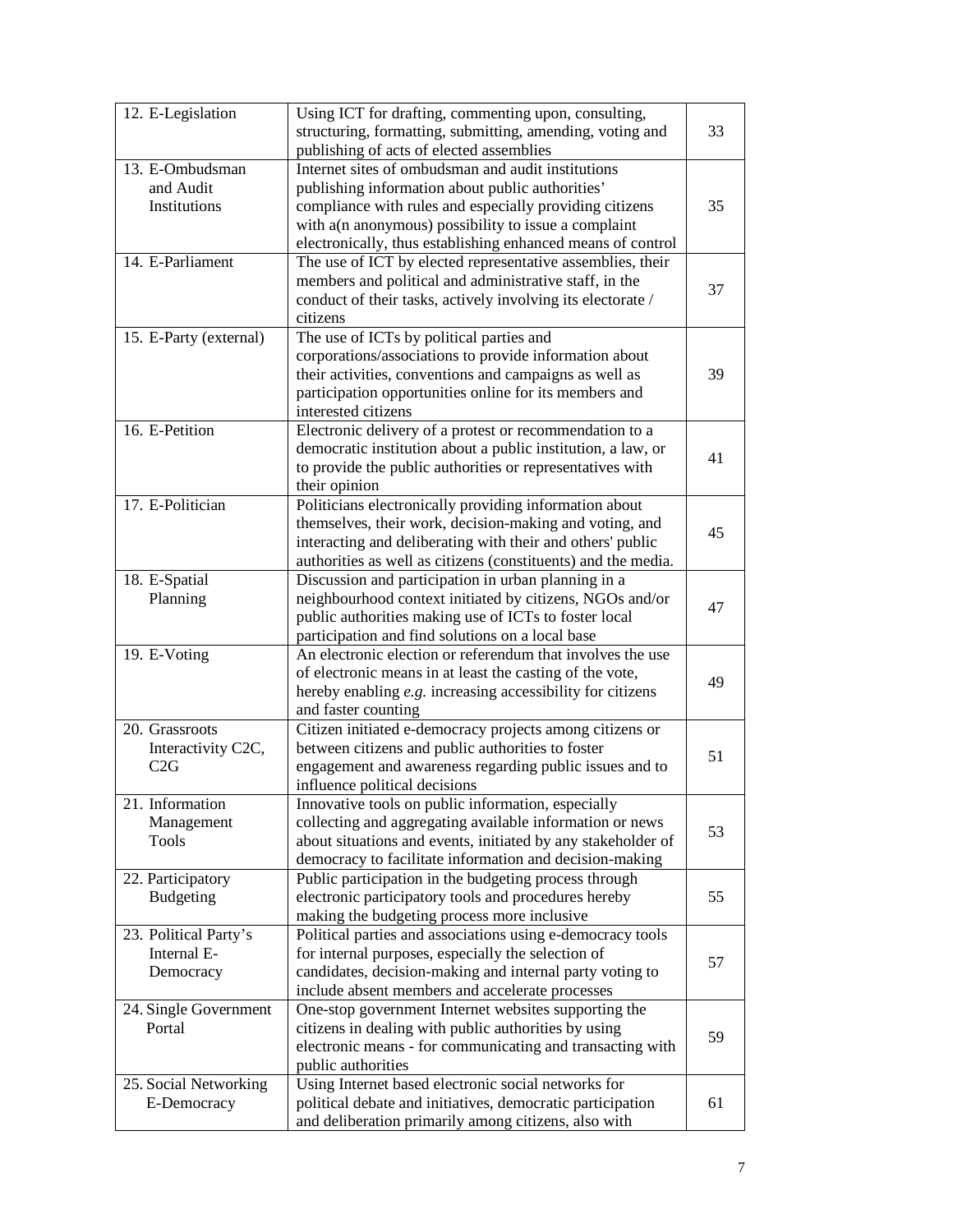| 12. E-Legislation                                 | Using ICT for drafting, commenting upon, consulting,<br>structuring, formatting, submitting, amending, voting and<br>publishing of acts of elected assemblies                                                                                                                            | 33 |
|---------------------------------------------------|------------------------------------------------------------------------------------------------------------------------------------------------------------------------------------------------------------------------------------------------------------------------------------------|----|
| 13. E-Ombudsman<br>and Audit<br>Institutions      | Internet sites of ombudsman and audit institutions<br>publishing information about public authorities'<br>compliance with rules and especially providing citizens<br>with a(n anonymous) possibility to issue a complaint<br>electronically, thus establishing enhanced means of control | 35 |
| 14. E-Parliament                                  | The use of ICT by elected representative assemblies, their<br>members and political and administrative staff, in the<br>conduct of their tasks, actively involving its electorate /<br>citizens                                                                                          | 37 |
| 15. E-Party (external)                            | The use of ICTs by political parties and<br>corporations/associations to provide information about<br>their activities, conventions and campaigns as well as<br>participation opportunities online for its members and<br>interested citizens                                            | 39 |
| 16. E-Petition                                    | Electronic delivery of a protest or recommendation to a<br>democratic institution about a public institution, a law, or<br>to provide the public authorities or representatives with<br>their opinion                                                                                    | 41 |
| 17. E-Politician                                  | Politicians electronically providing information about<br>themselves, their work, decision-making and voting, and<br>interacting and deliberating with their and others' public<br>authorities as well as citizens (constituents) and the media.                                         | 45 |
| 18. E-Spatial<br>Planning                         | Discussion and participation in urban planning in a<br>neighbourhood context initiated by citizens, NGOs and/or<br>public authorities making use of ICTs to foster local<br>participation and find solutions on a local base                                                             | 47 |
| 19. E-Voting                                      | An electronic election or referendum that involves the use<br>of electronic means in at least the casting of the vote,<br>hereby enabling e.g. increasing accessibility for citizens<br>and faster counting                                                                              | 49 |
| 20. Grassroots<br>Interactivity C2C,<br>C2G       | Citizen initiated e-democracy projects among citizens or<br>between citizens and public authorities to foster<br>engagement and awareness regarding public issues and to<br>influence political decisions                                                                                | 51 |
| 21. Information<br>Management<br><b>Tools</b>     | Innovative tools on public information, especially<br>collecting and aggregating available information or news<br>about situations and events, initiated by any stakeholder of<br>democracy to facilitate information and decision-making                                                | 53 |
| 22. Participatory<br><b>Budgeting</b>             | Public participation in the budgeting process through<br>electronic participatory tools and procedures hereby<br>making the budgeting process more inclusive                                                                                                                             | 55 |
| 23. Political Party's<br>Internal E-<br>Democracy | Political parties and associations using e-democracy tools<br>for internal purposes, especially the selection of<br>candidates, decision-making and internal party voting to<br>include absent members and accelerate processes                                                          | 57 |
| 24. Single Government<br>Portal                   | One-stop government Internet websites supporting the<br>citizens in dealing with public authorities by using<br>electronic means - for communicating and transacting with<br>public authorities                                                                                          | 59 |
| 25. Social Networking<br>E-Democracy              | Using Internet based electronic social networks for<br>political debate and initiatives, democratic participation<br>and deliberation primarily among citizens, also with                                                                                                                | 61 |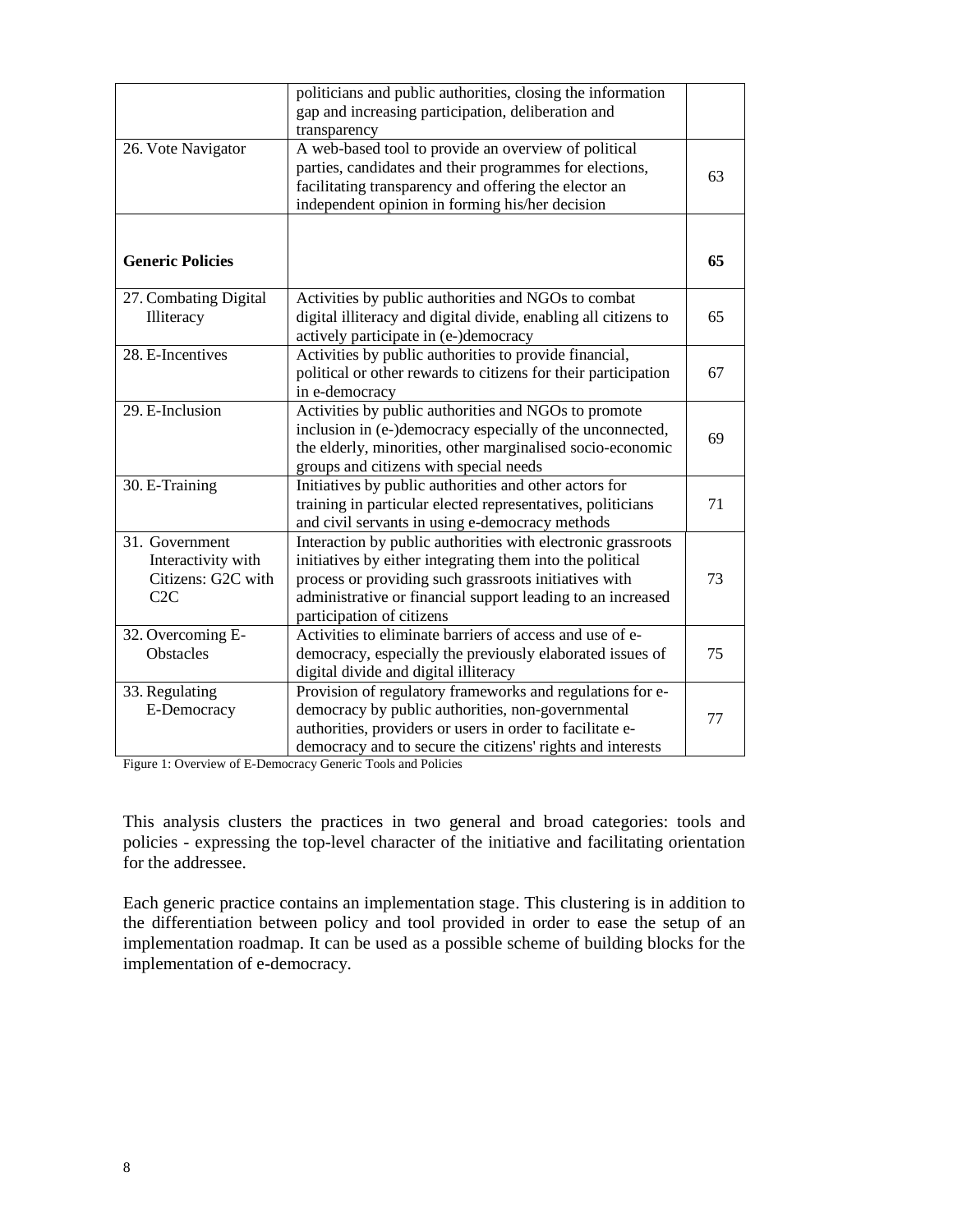|                                                                   | politicians and public authorities, closing the information<br>gap and increasing participation, deliberation and<br>transparency                                                                                                                                              |    |
|-------------------------------------------------------------------|--------------------------------------------------------------------------------------------------------------------------------------------------------------------------------------------------------------------------------------------------------------------------------|----|
| 26. Vote Navigator                                                | A web-based tool to provide an overview of political<br>parties, candidates and their programmes for elections,<br>facilitating transparency and offering the elector an<br>independent opinion in forming his/her decision                                                    | 63 |
| <b>Generic Policies</b>                                           |                                                                                                                                                                                                                                                                                | 65 |
| 27. Combating Digital<br>Illiteracy                               | Activities by public authorities and NGOs to combat<br>digital illiteracy and digital divide, enabling all citizens to<br>actively participate in (e-)democracy                                                                                                                | 65 |
| 28. E-Incentives                                                  | Activities by public authorities to provide financial,<br>political or other rewards to citizens for their participation<br>in e-democracy                                                                                                                                     | 67 |
| 29. E-Inclusion                                                   | Activities by public authorities and NGOs to promote<br>inclusion in (e-)democracy especially of the unconnected,<br>the elderly, minorities, other marginalised socio-economic<br>groups and citizens with special needs                                                      | 69 |
| 30. E-Training                                                    | Initiatives by public authorities and other actors for<br>training in particular elected representatives, politicians<br>and civil servants in using e-democracy methods                                                                                                       | 71 |
| 31. Government<br>Interactivity with<br>Citizens: G2C with<br>C2C | Interaction by public authorities with electronic grassroots<br>initiatives by either integrating them into the political<br>process or providing such grassroots initiatives with<br>administrative or financial support leading to an increased<br>participation of citizens | 73 |
| 32. Overcoming E-<br>Obstacles                                    | Activities to eliminate barriers of access and use of e-<br>democracy, especially the previously elaborated issues of<br>digital divide and digital illiteracy                                                                                                                 | 75 |
| 33. Regulating<br>E-Democracy                                     | Provision of regulatory frameworks and regulations for e-<br>democracy by public authorities, non-governmental<br>authorities, providers or users in order to facilitate e-<br>democracy and to secure the citizens' rights and interests                                      | 77 |

Figure 1: Overview of E-Democracy Generic Tools and Policies

This analysis clusters the practices in two general and broad categories: tools and policies - expressing the top-level character of the initiative and facilitating orientation for the addressee.

Each generic practice contains an implementation stage. This clustering is in addition to the differentiation between policy and tool provided in order to ease the setup of an implementation roadmap. It can be used as a possible scheme of building blocks for the implementation of e-democracy.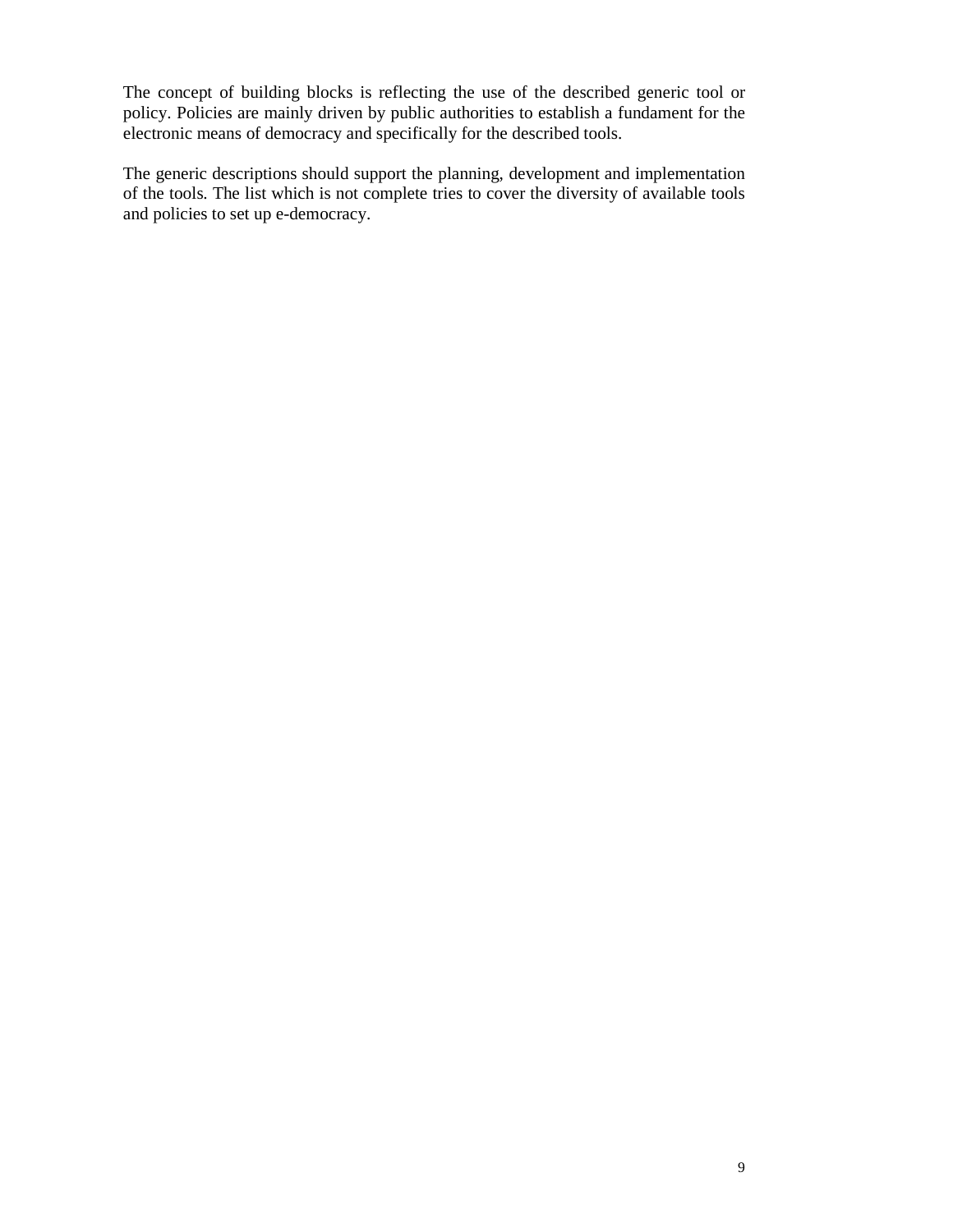The concept of building blocks is reflecting the use of the described generic tool or policy. Policies are mainly driven by public authorities to establish a fundament for the electronic means of democracy and specifically for the described tools.

The generic descriptions should support the planning, development and implementation of the tools. The list which is not complete tries to cover the diversity of available tools and policies to set up e-democracy.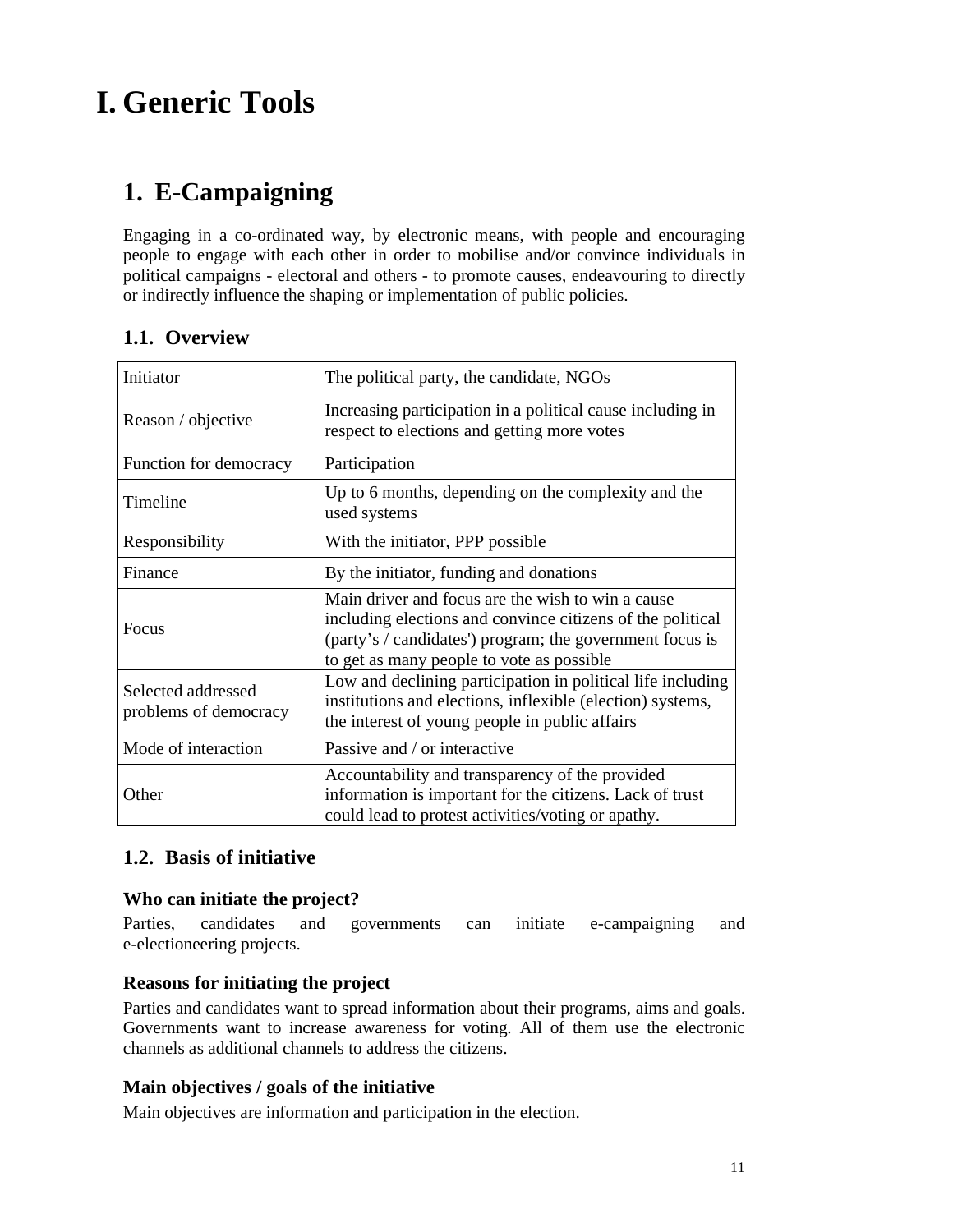# **I. Generic Tools**

# **1. E-Campaigning**

Engaging in a co-ordinated way, by electronic means, with people and encouraging people to engage with each other in order to mobilise and/or convince individuals in political campaigns - electoral and others - to promote causes, endeavouring to directly or indirectly influence the shaping or implementation of public policies.

| Initiator                                   | The political party, the candidate, NGOs                                                                                                                                                                                 |
|---------------------------------------------|--------------------------------------------------------------------------------------------------------------------------------------------------------------------------------------------------------------------------|
| Reason / objective                          | Increasing participation in a political cause including in<br>respect to elections and getting more votes                                                                                                                |
| Function for democracy                      | Participation                                                                                                                                                                                                            |
| Timeline                                    | Up to 6 months, depending on the complexity and the<br>used systems                                                                                                                                                      |
| Responsibility                              | With the initiator, PPP possible                                                                                                                                                                                         |
| Finance                                     | By the initiator, funding and donations                                                                                                                                                                                  |
| Focus                                       | Main driver and focus are the wish to win a cause<br>including elections and convince citizens of the political<br>(party's / candidates') program; the government focus is<br>to get as many people to vote as possible |
| Selected addressed<br>problems of democracy | Low and declining participation in political life including<br>institutions and elections, inflexible (election) systems,<br>the interest of young people in public affairs                                              |
| Mode of interaction                         | Passive and / or interactive                                                                                                                                                                                             |
| Other                                       | Accountability and transparency of the provided<br>information is important for the citizens. Lack of trust<br>could lead to protest activities/voting or apathy.                                                        |

# **1.1. Overview**

# **1.2. Basis of initiative**

#### **Who can initiate the project?**

Parties, candidates and governments can initiate e-campaigning and e-electioneering projects.

#### **Reasons for initiating the project**

Parties and candidates want to spread information about their programs, aims and goals. Governments want to increase awareness for voting. All of them use the electronic channels as additional channels to address the citizens.

# **Main objectives / goals of the initiative**

Main objectives are information and participation in the election.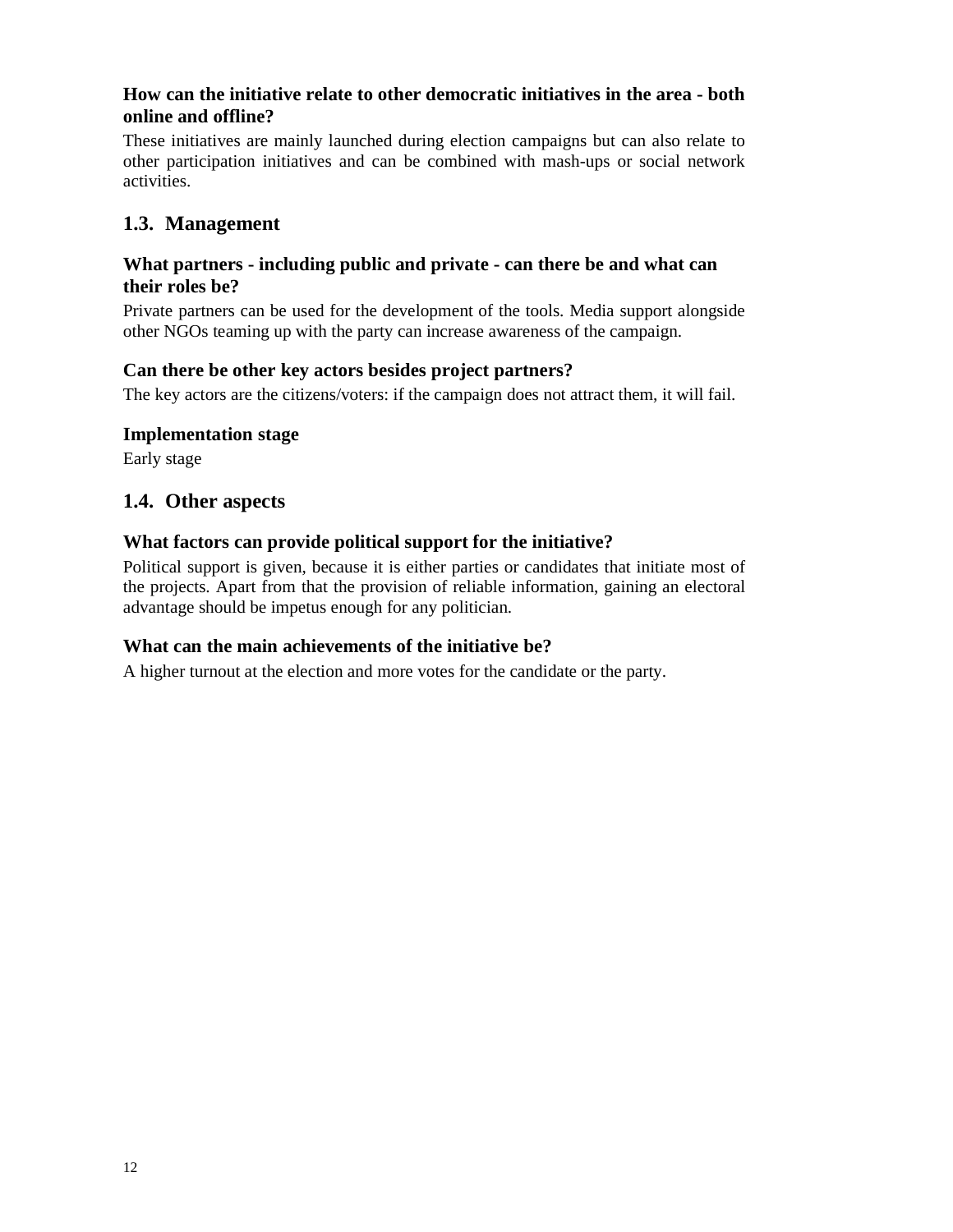## **How can the initiative relate to other democratic initiatives in the area - both online and offline?**

These initiatives are mainly launched during election campaigns but can also relate to other participation initiatives and can be combined with mash-ups or social network activities.

# **1.3. Management**

#### **What partners - including public and private - can there be and what can their roles be?**

Private partners can be used for the development of the tools. Media support alongside other NGOs teaming up with the party can increase awareness of the campaign.

#### **Can there be other key actors besides project partners?**

The key actors are the citizens/voters: if the campaign does not attract them, it will fail.

#### **Implementation stage**

Early stage

# **1.4. Other aspects**

#### **What factors can provide political support for the initiative?**

Political support is given, because it is either parties or candidates that initiate most of the projects. Apart from that the provision of reliable information, gaining an electoral advantage should be impetus enough for any politician.

#### **What can the main achievements of the initiative be?**

A higher turnout at the election and more votes for the candidate or the party.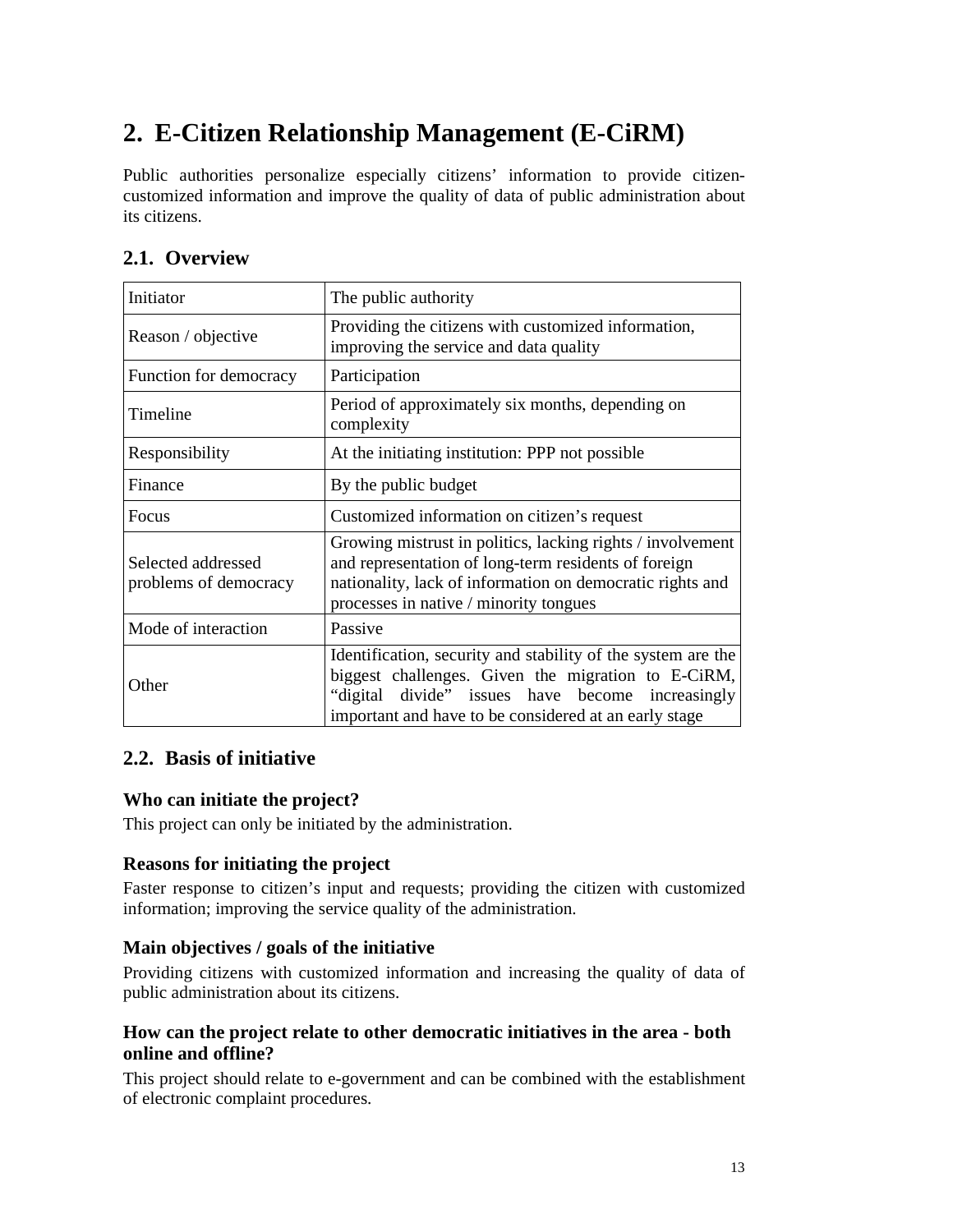# **2. E-Citizen Relationship Management (E-CiRM)**

Public authorities personalize especially citizens' information to provide citizencustomized information and improve the quality of data of public administration about its citizens.

# **2.1. Overview**

| Initiator                                   | The public authority                                                                                                                                                                                                            |
|---------------------------------------------|---------------------------------------------------------------------------------------------------------------------------------------------------------------------------------------------------------------------------------|
| Reason / objective                          | Providing the citizens with customized information,<br>improving the service and data quality                                                                                                                                   |
| Function for democracy                      | Participation                                                                                                                                                                                                                   |
| Timeline                                    | Period of approximately six months, depending on<br>complexity                                                                                                                                                                  |
| Responsibility                              | At the initiating institution: PPP not possible                                                                                                                                                                                 |
| Finance                                     | By the public budget                                                                                                                                                                                                            |
| <b>Focus</b>                                | Customized information on citizen's request                                                                                                                                                                                     |
| Selected addressed<br>problems of democracy | Growing mistrust in politics, lacking rights / involvement<br>and representation of long-term residents of foreign<br>nationality, lack of information on democratic rights and<br>processes in native / minority tongues       |
| Mode of interaction                         | Passive                                                                                                                                                                                                                         |
| Other                                       | Identification, security and stability of the system are the<br>biggest challenges. Given the migration to E-CiRM,<br>"digital divide" issues have become increasingly<br>important and have to be considered at an early stage |

# **2.2. Basis of initiative**

# **Who can initiate the project?**

This project can only be initiated by the administration.

# **Reasons for initiating the project**

Faster response to citizen's input and requests; providing the citizen with customized information; improving the service quality of the administration.

# **Main objectives / goals of the initiative**

Providing citizens with customized information and increasing the quality of data of public administration about its citizens.

# **How can the project relate to other democratic initiatives in the area - both online and offline?**

This project should relate to e-government and can be combined with the establishment of electronic complaint procedures.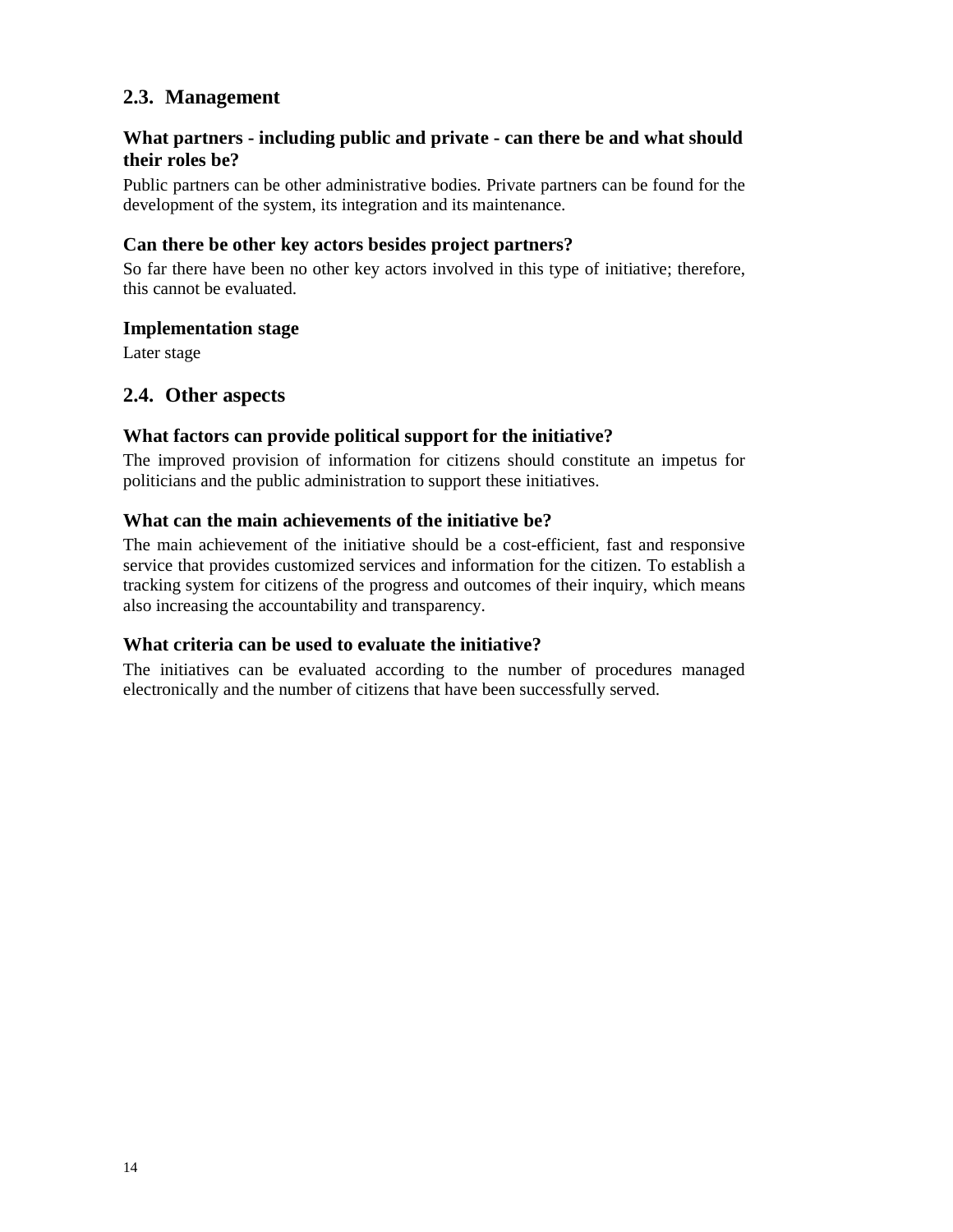# **2.3. Management**

# **What partners - including public and private - can there be and what should their roles be?**

Public partners can be other administrative bodies. Private partners can be found for the development of the system, its integration and its maintenance.

#### **Can there be other key actors besides project partners?**

So far there have been no other key actors involved in this type of initiative; therefore, this cannot be evaluated.

#### **Implementation stage**

Later stage

# **2.4. Other aspects**

#### **What factors can provide political support for the initiative?**

The improved provision of information for citizens should constitute an impetus for politicians and the public administration to support these initiatives.

#### **What can the main achievements of the initiative be?**

The main achievement of the initiative should be a cost-efficient, fast and responsive service that provides customized services and information for the citizen. To establish a tracking system for citizens of the progress and outcomes of their inquiry, which means also increasing the accountability and transparency.

#### **What criteria can be used to evaluate the initiative?**

The initiatives can be evaluated according to the number of procedures managed electronically and the number of citizens that have been successfully served.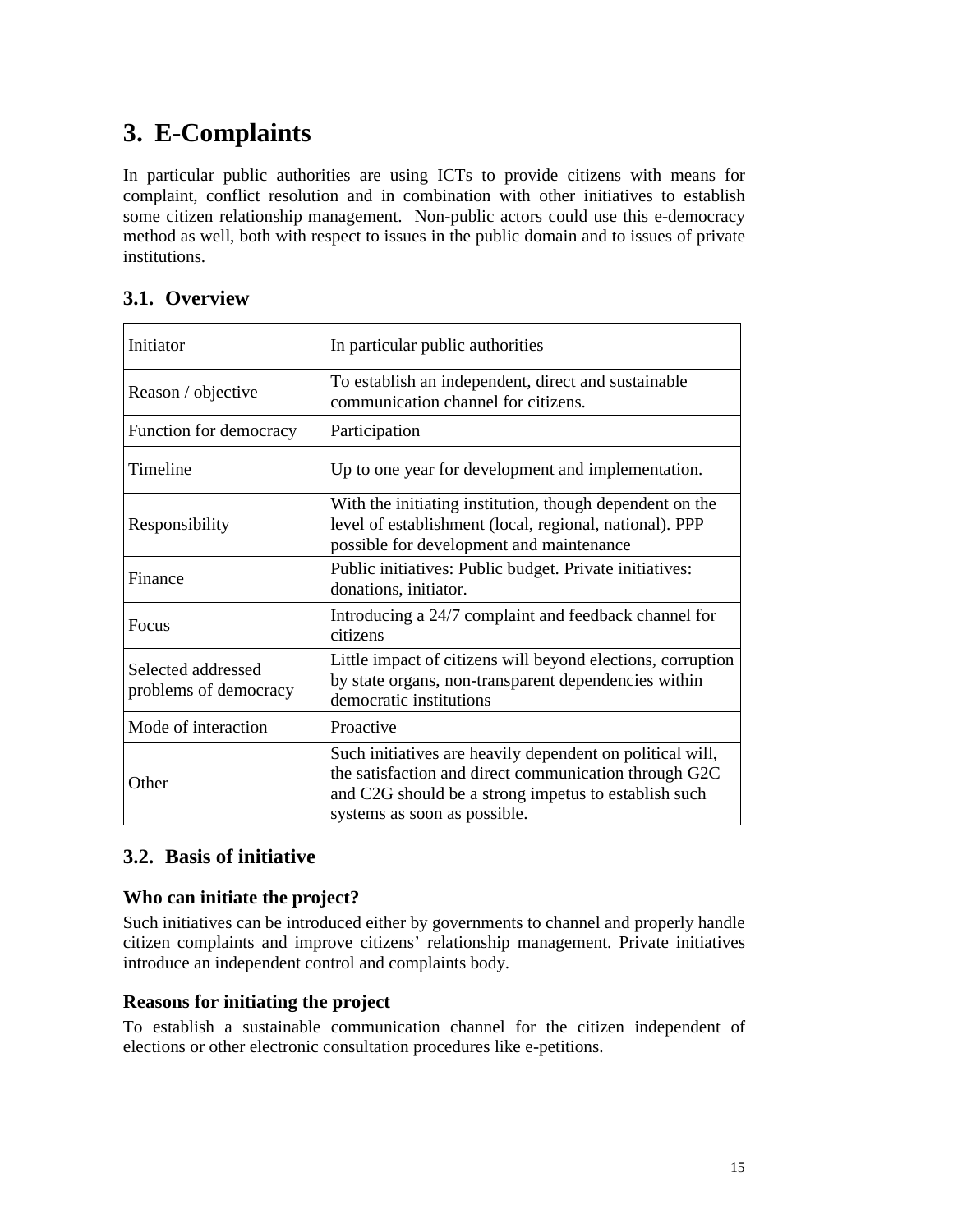# **3. E-Complaints**

In particular public authorities are using ICTs to provide citizens with means for complaint, conflict resolution and in combination with other initiatives to establish some citizen relationship management. Non-public actors could use this e-democracy method as well, both with respect to issues in the public domain and to issues of private institutions.

# **3.1. Overview**

| Initiator                                   | In particular public authorities                                                                                                                                                                           |
|---------------------------------------------|------------------------------------------------------------------------------------------------------------------------------------------------------------------------------------------------------------|
| Reason / objective                          | To establish an independent, direct and sustainable<br>communication channel for citizens.                                                                                                                 |
| Function for democracy                      | Participation                                                                                                                                                                                              |
| Timeline                                    | Up to one year for development and implementation.                                                                                                                                                         |
| Responsibility                              | With the initiating institution, though dependent on the<br>level of establishment (local, regional, national). PPP<br>possible for development and maintenance                                            |
| Finance                                     | Public initiatives: Public budget. Private initiatives:<br>donations, initiator.                                                                                                                           |
| <b>Focus</b>                                | Introducing a 24/7 complaint and feedback channel for<br>citizens                                                                                                                                          |
| Selected addressed<br>problems of democracy | Little impact of citizens will beyond elections, corruption<br>by state organs, non-transparent dependencies within<br>democratic institutions                                                             |
| Mode of interaction                         | Proactive                                                                                                                                                                                                  |
| Other                                       | Such initiatives are heavily dependent on political will,<br>the satisfaction and direct communication through G2C<br>and C2G should be a strong impetus to establish such<br>systems as soon as possible. |

# **3.2. Basis of initiative**

# **Who can initiate the project?**

Such initiatives can be introduced either by governments to channel and properly handle citizen complaints and improve citizens' relationship management. Private initiatives introduce an independent control and complaints body.

# **Reasons for initiating the project**

To establish a sustainable communication channel for the citizen independent of elections or other electronic consultation procedures like e-petitions.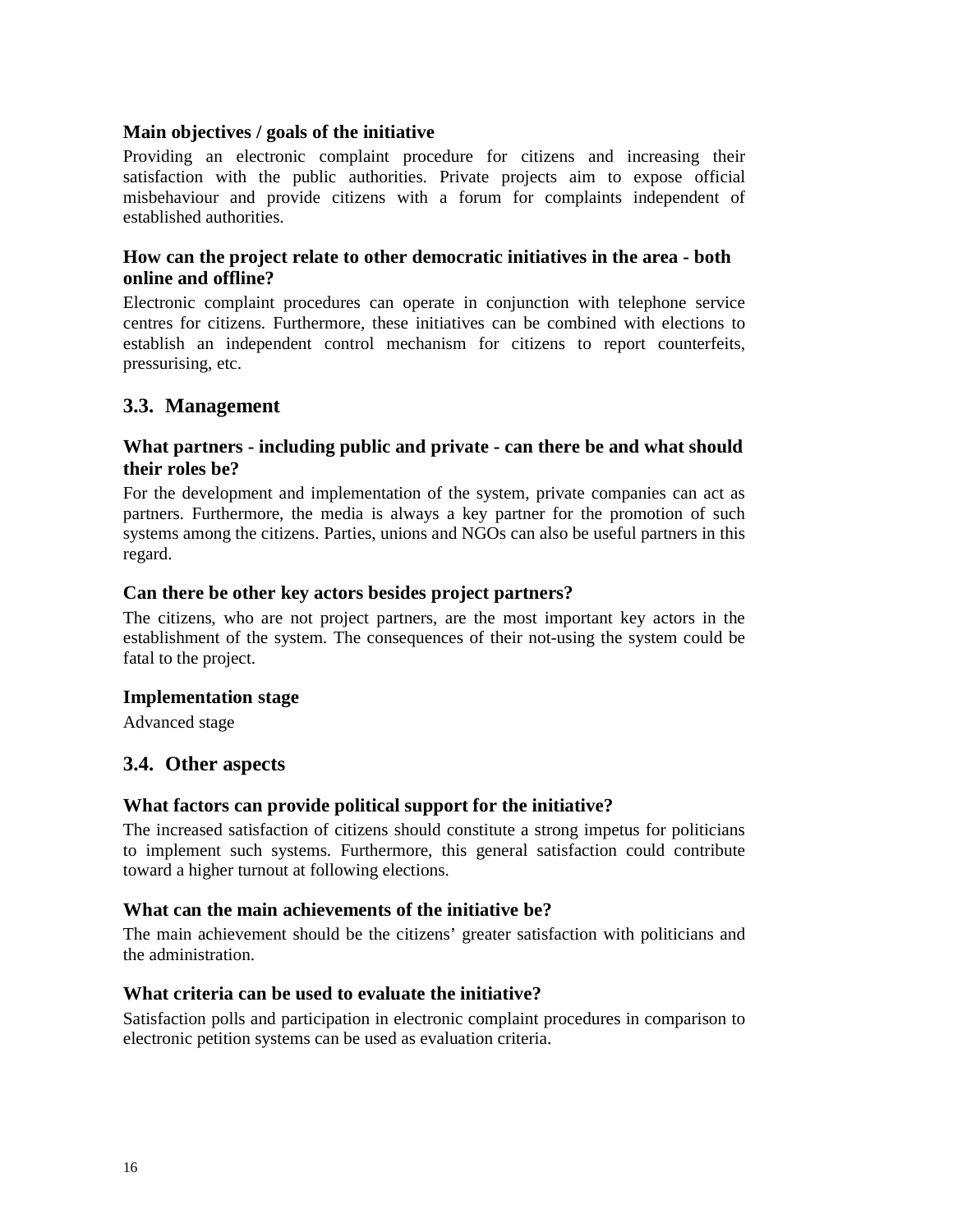#### **Main objectives / goals of the initiative**

Providing an electronic complaint procedure for citizens and increasing their satisfaction with the public authorities. Private projects aim to expose official misbehaviour and provide citizens with a forum for complaints independent of established authorities.

### **How can the project relate to other democratic initiatives in the area - both online and offline?**

Electronic complaint procedures can operate in conjunction with telephone service centres for citizens. Furthermore, these initiatives can be combined with elections to establish an independent control mechanism for citizens to report counterfeits, pressurising, etc.

#### **3.3. Management**

#### **What partners - including public and private - can there be and what should their roles be?**

For the development and implementation of the system, private companies can act as partners. Furthermore, the media is always a key partner for the promotion of such systems among the citizens. Parties, unions and NGOs can also be useful partners in this regard.

#### **Can there be other key actors besides project partners?**

The citizens, who are not project partners, are the most important key actors in the establishment of the system. The consequences of their not-using the system could be fatal to the project.

#### **Implementation stage**

Advanced stage

#### **3.4. Other aspects**

#### **What factors can provide political support for the initiative?**

The increased satisfaction of citizens should constitute a strong impetus for politicians to implement such systems. Furthermore, this general satisfaction could contribute toward a higher turnout at following elections.

#### **What can the main achievements of the initiative be?**

The main achievement should be the citizens' greater satisfaction with politicians and the administration.

#### **What criteria can be used to evaluate the initiative?**

Satisfaction polls and participation in electronic complaint procedures in comparison to electronic petition systems can be used as evaluation criteria.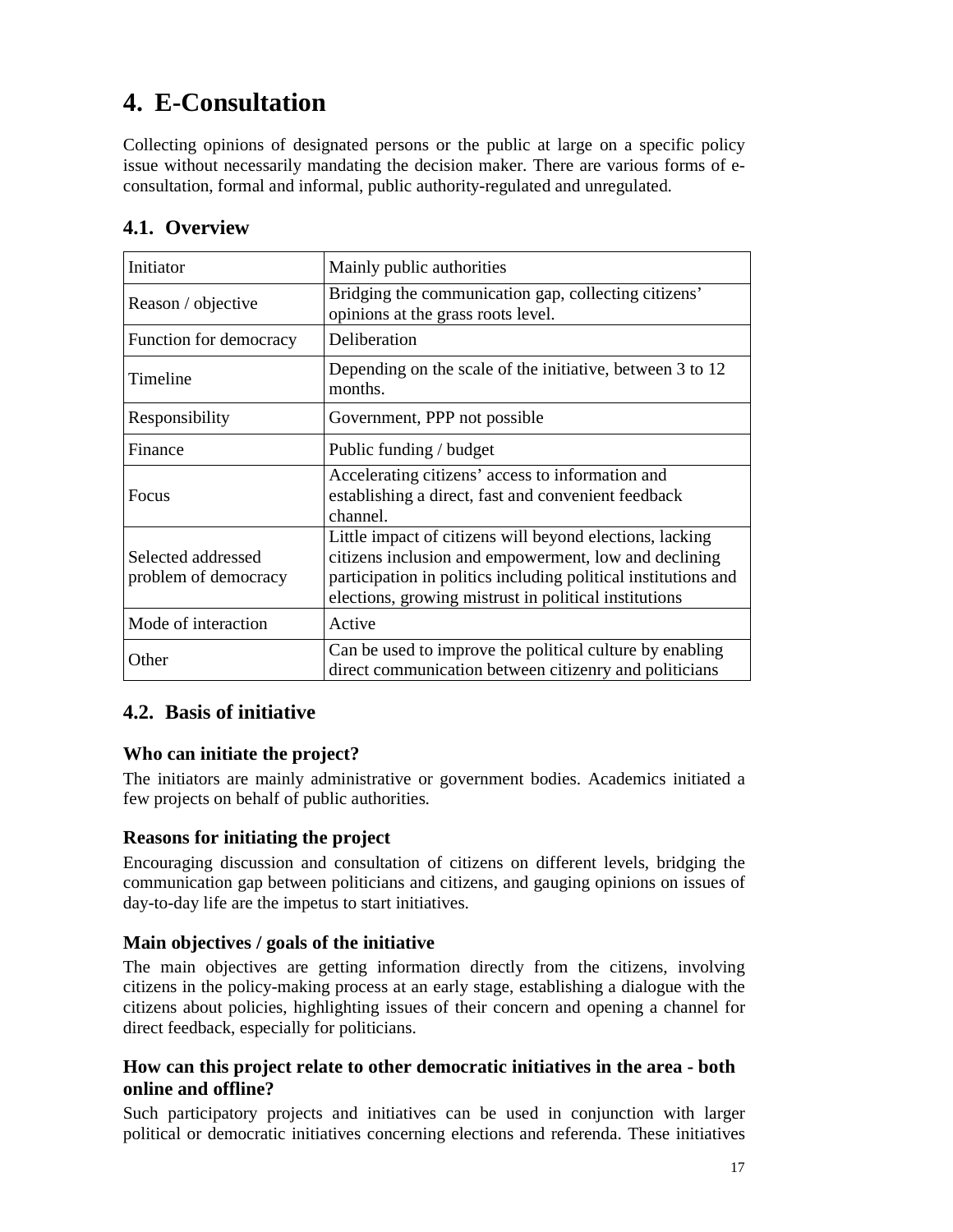# **4. E-Consultation**

Collecting opinions of designated persons or the public at large on a specific policy issue without necessarily mandating the decision maker. There are various forms of econsultation, formal and informal, public authority-regulated and unregulated.

| Initiator                                  | Mainly public authorities                                                                                                                                                                                                                    |
|--------------------------------------------|----------------------------------------------------------------------------------------------------------------------------------------------------------------------------------------------------------------------------------------------|
| Reason / objective                         | Bridging the communication gap, collecting citizens'<br>opinions at the grass roots level.                                                                                                                                                   |
| Function for democracy                     | Deliberation                                                                                                                                                                                                                                 |
| Timeline                                   | Depending on the scale of the initiative, between 3 to 12<br>months.                                                                                                                                                                         |
| Responsibility                             | Government, PPP not possible                                                                                                                                                                                                                 |
| Finance                                    | Public funding / budget                                                                                                                                                                                                                      |
| Focus                                      | Accelerating citizens' access to information and<br>establishing a direct, fast and convenient feedback<br>channel.                                                                                                                          |
| Selected addressed<br>problem of democracy | Little impact of citizens will beyond elections, lacking<br>citizens inclusion and empowerment, low and declining<br>participation in politics including political institutions and<br>elections, growing mistrust in political institutions |
| Mode of interaction                        | Active                                                                                                                                                                                                                                       |
| Other                                      | Can be used to improve the political culture by enabling<br>direct communication between citizenry and politicians                                                                                                                           |

# **4.1. Overview**

# **4.2. Basis of initiative**

# **Who can initiate the project?**

The initiators are mainly administrative or government bodies. Academics initiated a few projects on behalf of public authorities.

# **Reasons for initiating the project**

Encouraging discussion and consultation of citizens on different levels, bridging the communication gap between politicians and citizens, and gauging opinions on issues of day-to-day life are the impetus to start initiatives.

#### **Main objectives / goals of the initiative**

The main objectives are getting information directly from the citizens, involving citizens in the policy-making process at an early stage, establishing a dialogue with the citizens about policies, highlighting issues of their concern and opening a channel for direct feedback, especially for politicians.

### **How can this project relate to other democratic initiatives in the area - both online and offline?**

Such participatory projects and initiatives can be used in conjunction with larger political or democratic initiatives concerning elections and referenda. These initiatives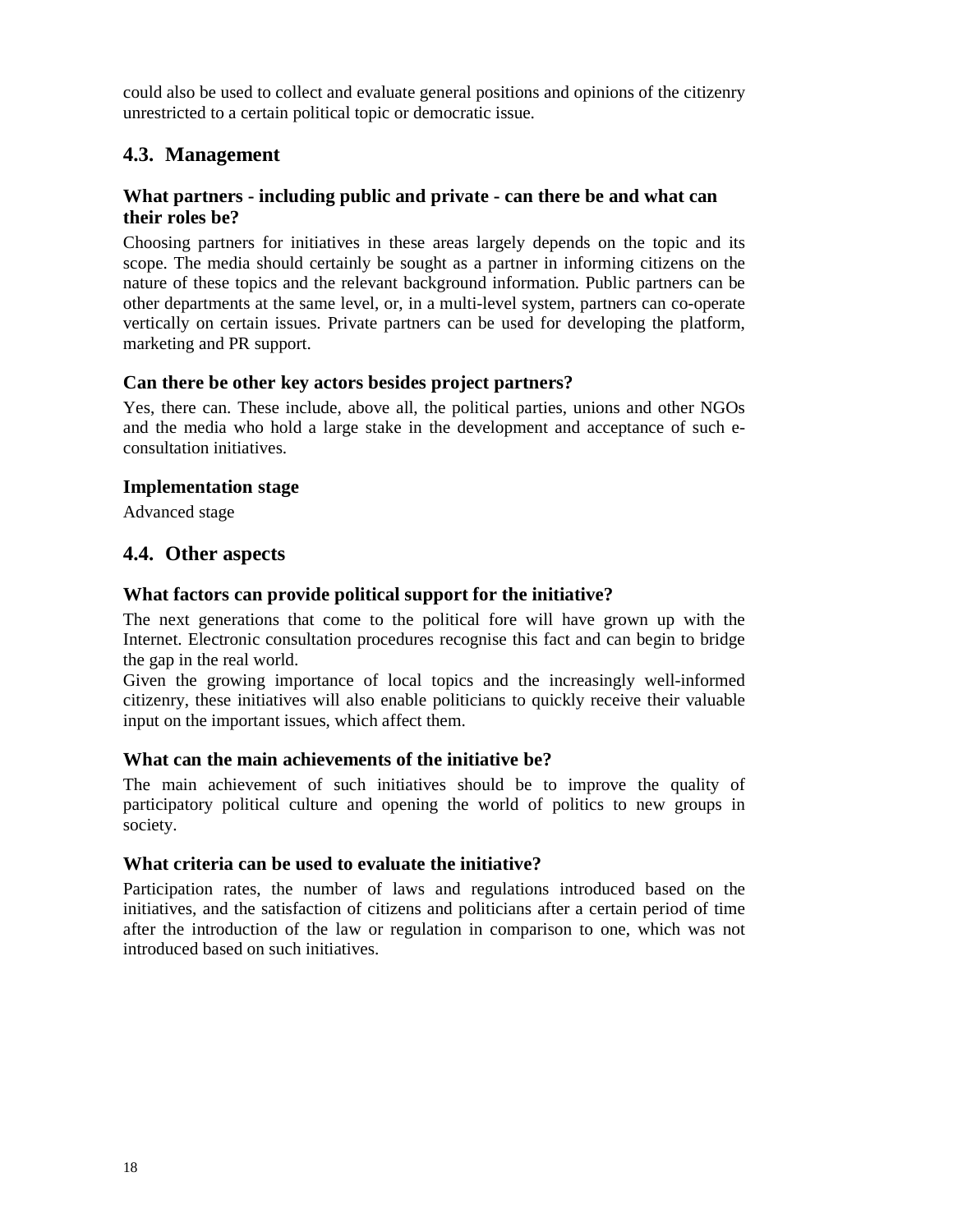could also be used to collect and evaluate general positions and opinions of the citizenry unrestricted to a certain political topic or democratic issue.

# **4.3. Management**

#### **What partners - including public and private - can there be and what can their roles be?**

Choosing partners for initiatives in these areas largely depends on the topic and its scope. The media should certainly be sought as a partner in informing citizens on the nature of these topics and the relevant background information. Public partners can be other departments at the same level, or, in a multi-level system, partners can co-operate vertically on certain issues. Private partners can be used for developing the platform, marketing and PR support.

#### **Can there be other key actors besides project partners?**

Yes, there can. These include, above all, the political parties, unions and other NGOs and the media who hold a large stake in the development and acceptance of such econsultation initiatives.

#### **Implementation stage**

Advanced stage

#### **4.4. Other aspects**

#### **What factors can provide political support for the initiative?**

The next generations that come to the political fore will have grown up with the Internet. Electronic consultation procedures recognise this fact and can begin to bridge the gap in the real world.

Given the growing importance of local topics and the increasingly well-informed citizenry, these initiatives will also enable politicians to quickly receive their valuable input on the important issues, which affect them.

#### **What can the main achievements of the initiative be?**

The main achievement of such initiatives should be to improve the quality of participatory political culture and opening the world of politics to new groups in society.

#### **What criteria can be used to evaluate the initiative?**

Participation rates, the number of laws and regulations introduced based on the initiatives, and the satisfaction of citizens and politicians after a certain period of time after the introduction of the law or regulation in comparison to one, which was not introduced based on such initiatives.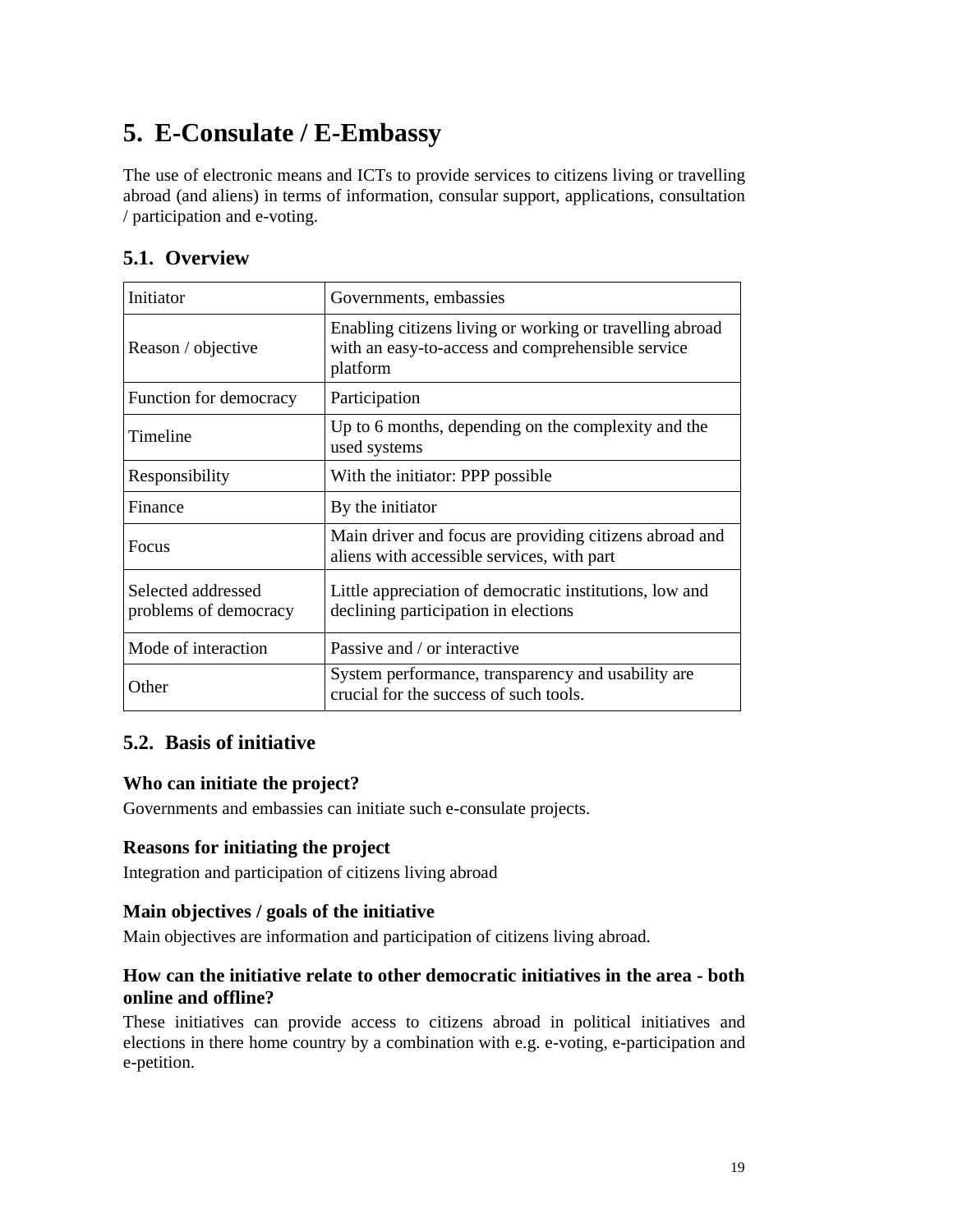# **5. E-Consulate / E-Embassy**

The use of electronic means and ICTs to provide services to citizens living or travelling abroad (and aliens) in terms of information, consular support, applications, consultation / participation and e-voting.

# **5.1. Overview**

| Initiator                                   | Governments, embassies                                                                                                    |
|---------------------------------------------|---------------------------------------------------------------------------------------------------------------------------|
| Reason / objective                          | Enabling citizens living or working or travelling abroad<br>with an easy-to-access and comprehensible service<br>platform |
| Function for democracy                      | Participation                                                                                                             |
| Timeline                                    | Up to 6 months, depending on the complexity and the<br>used systems                                                       |
| Responsibility                              | With the initiator: PPP possible                                                                                          |
| Finance                                     | By the initiator                                                                                                          |
| <b>Focus</b>                                | Main driver and focus are providing citizens abroad and<br>aliens with accessible services, with part                     |
| Selected addressed<br>problems of democracy | Little appreciation of democratic institutions, low and<br>declining participation in elections                           |
| Mode of interaction                         | Passive and / or interactive                                                                                              |
| Other                                       | System performance, transparency and usability are<br>crucial for the success of such tools.                              |

# **5.2. Basis of initiative**

# **Who can initiate the project?**

Governments and embassies can initiate such e-consulate projects.

#### **Reasons for initiating the project**

Integration and participation of citizens living abroad

#### **Main objectives / goals of the initiative**

Main objectives are information and participation of citizens living abroad.

### **How can the initiative relate to other democratic initiatives in the area - both online and offline?**

These initiatives can provide access to citizens abroad in political initiatives and elections in there home country by a combination with e.g. e-voting, e-participation and e-petition.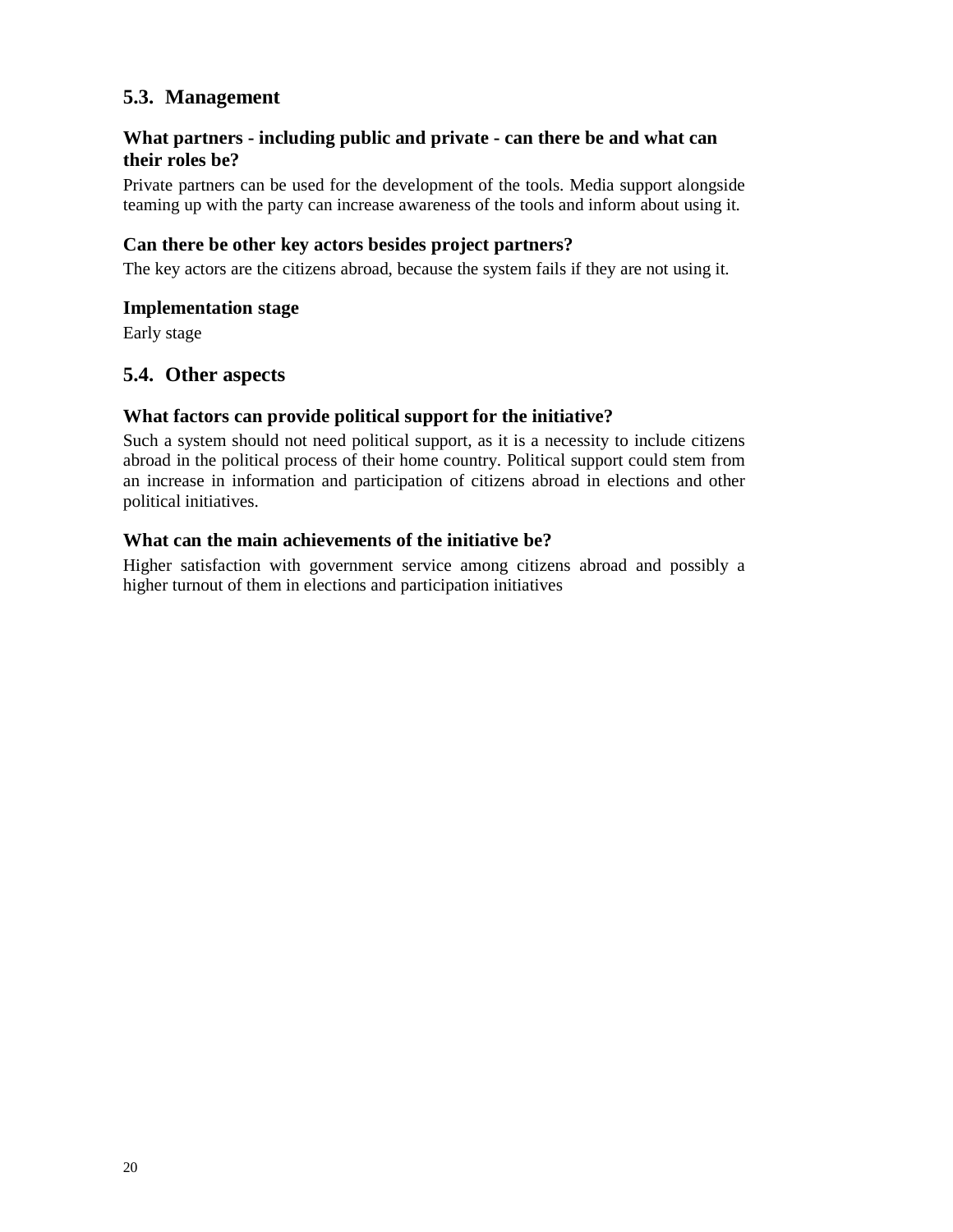# **5.3. Management**

# **What partners - including public and private - can there be and what can their roles be?**

Private partners can be used for the development of the tools. Media support alongside teaming up with the party can increase awareness of the tools and inform about using it.

## **Can there be other key actors besides project partners?**

The key actors are the citizens abroad, because the system fails if they are not using it.

#### **Implementation stage**

Early stage

# **5.4. Other aspects**

#### **What factors can provide political support for the initiative?**

Such a system should not need political support, as it is a necessity to include citizens abroad in the political process of their home country. Political support could stem from an increase in information and participation of citizens abroad in elections and other political initiatives.

#### **What can the main achievements of the initiative be?**

Higher satisfaction with government service among citizens abroad and possibly a higher turnout of them in elections and participation initiatives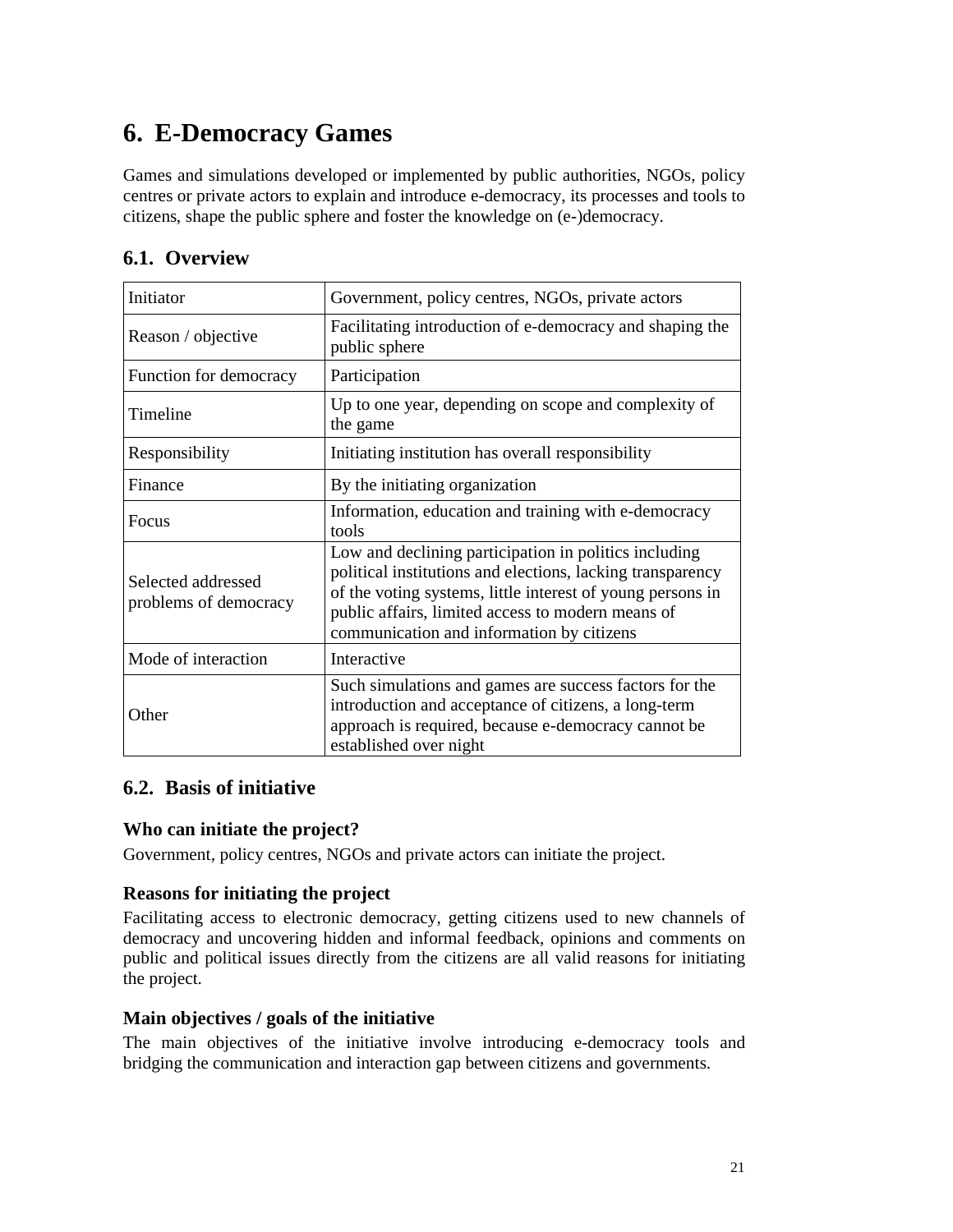# **6. E-Democracy Games**

Games and simulations developed or implemented by public authorities, NGOs, policy centres or private actors to explain and introduce e-democracy, its processes and tools to citizens, shape the public sphere and foster the knowledge on (e-)democracy.

# **6.1. Overview**

| Initiator                                   | Government, policy centres, NGOs, private actors                                                                                                                                                                                                                                    |
|---------------------------------------------|-------------------------------------------------------------------------------------------------------------------------------------------------------------------------------------------------------------------------------------------------------------------------------------|
| Reason / objective                          | Facilitating introduction of e-democracy and shaping the<br>public sphere                                                                                                                                                                                                           |
| Function for democracy                      | Participation                                                                                                                                                                                                                                                                       |
| Timeline                                    | Up to one year, depending on scope and complexity of<br>the game                                                                                                                                                                                                                    |
| Responsibility                              | Initiating institution has overall responsibility                                                                                                                                                                                                                                   |
| Finance                                     | By the initiating organization                                                                                                                                                                                                                                                      |
| <b>Focus</b>                                | Information, education and training with e-democracy<br>tools                                                                                                                                                                                                                       |
| Selected addressed<br>problems of democracy | Low and declining participation in politics including<br>political institutions and elections, lacking transparency<br>of the voting systems, little interest of young persons in<br>public affairs, limited access to modern means of<br>communication and information by citizens |
| Mode of interaction                         | Interactive                                                                                                                                                                                                                                                                         |
| Other                                       | Such simulations and games are success factors for the<br>introduction and acceptance of citizens, a long-term<br>approach is required, because e-democracy cannot be<br>established over night                                                                                     |

# **6.2. Basis of initiative**

# **Who can initiate the project?**

Government, policy centres, NGOs and private actors can initiate the project.

# **Reasons for initiating the project**

Facilitating access to electronic democracy, getting citizens used to new channels of democracy and uncovering hidden and informal feedback, opinions and comments on public and political issues directly from the citizens are all valid reasons for initiating the project.

#### **Main objectives / goals of the initiative**

The main objectives of the initiative involve introducing e-democracy tools and bridging the communication and interaction gap between citizens and governments.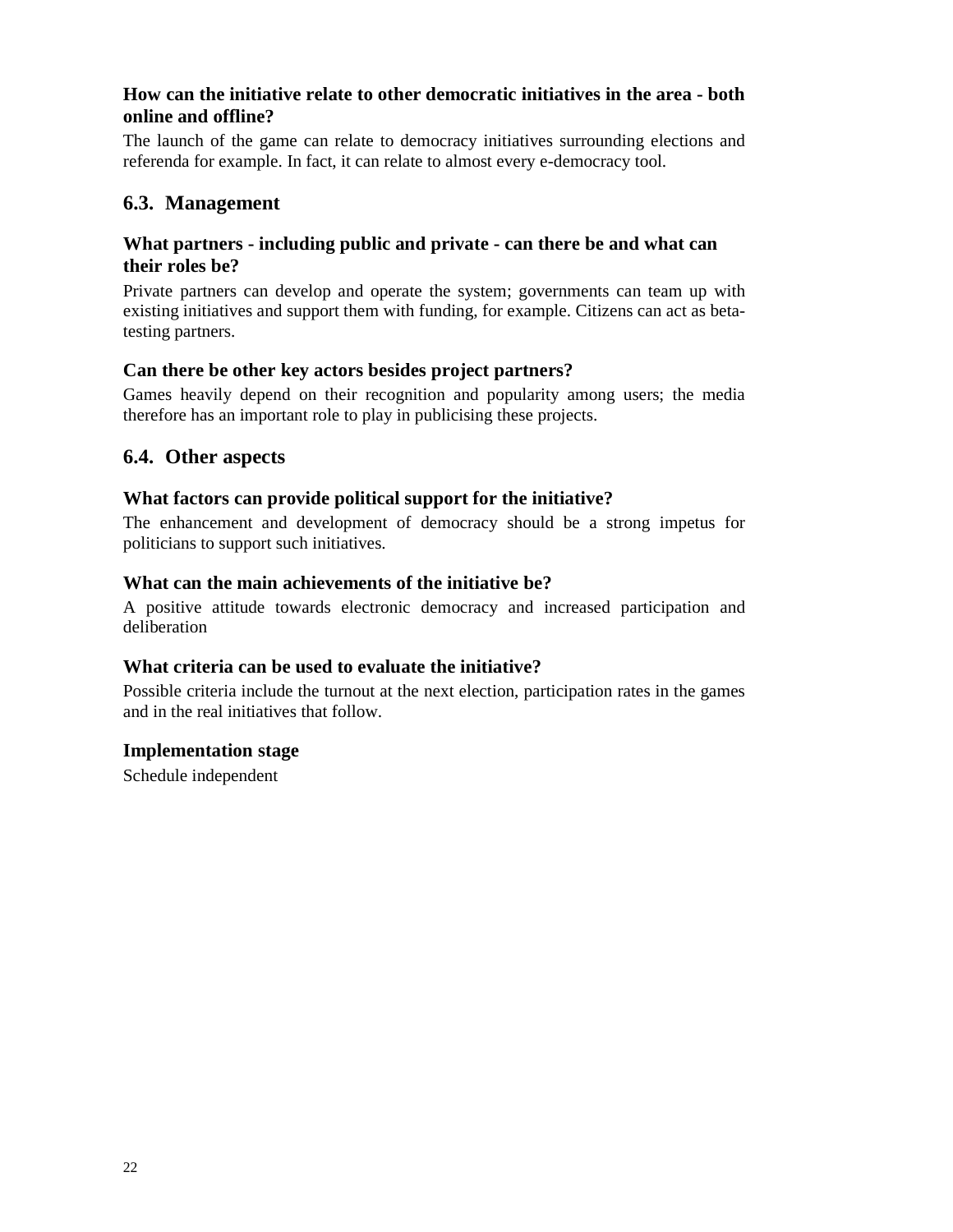## **How can the initiative relate to other democratic initiatives in the area - both online and offline?**

The launch of the game can relate to democracy initiatives surrounding elections and referenda for example. In fact, it can relate to almost every e-democracy tool.

# **6.3. Management**

#### **What partners - including public and private - can there be and what can their roles be?**

Private partners can develop and operate the system; governments can team up with existing initiatives and support them with funding, for example. Citizens can act as betatesting partners.

#### **Can there be other key actors besides project partners?**

Games heavily depend on their recognition and popularity among users; the media therefore has an important role to play in publicising these projects.

### **6.4. Other aspects**

#### **What factors can provide political support for the initiative?**

The enhancement and development of democracy should be a strong impetus for politicians to support such initiatives.

#### **What can the main achievements of the initiative be?**

A positive attitude towards electronic democracy and increased participation and deliberation

#### **What criteria can be used to evaluate the initiative?**

Possible criteria include the turnout at the next election, participation rates in the games and in the real initiatives that follow.

#### **Implementation stage**

Schedule independent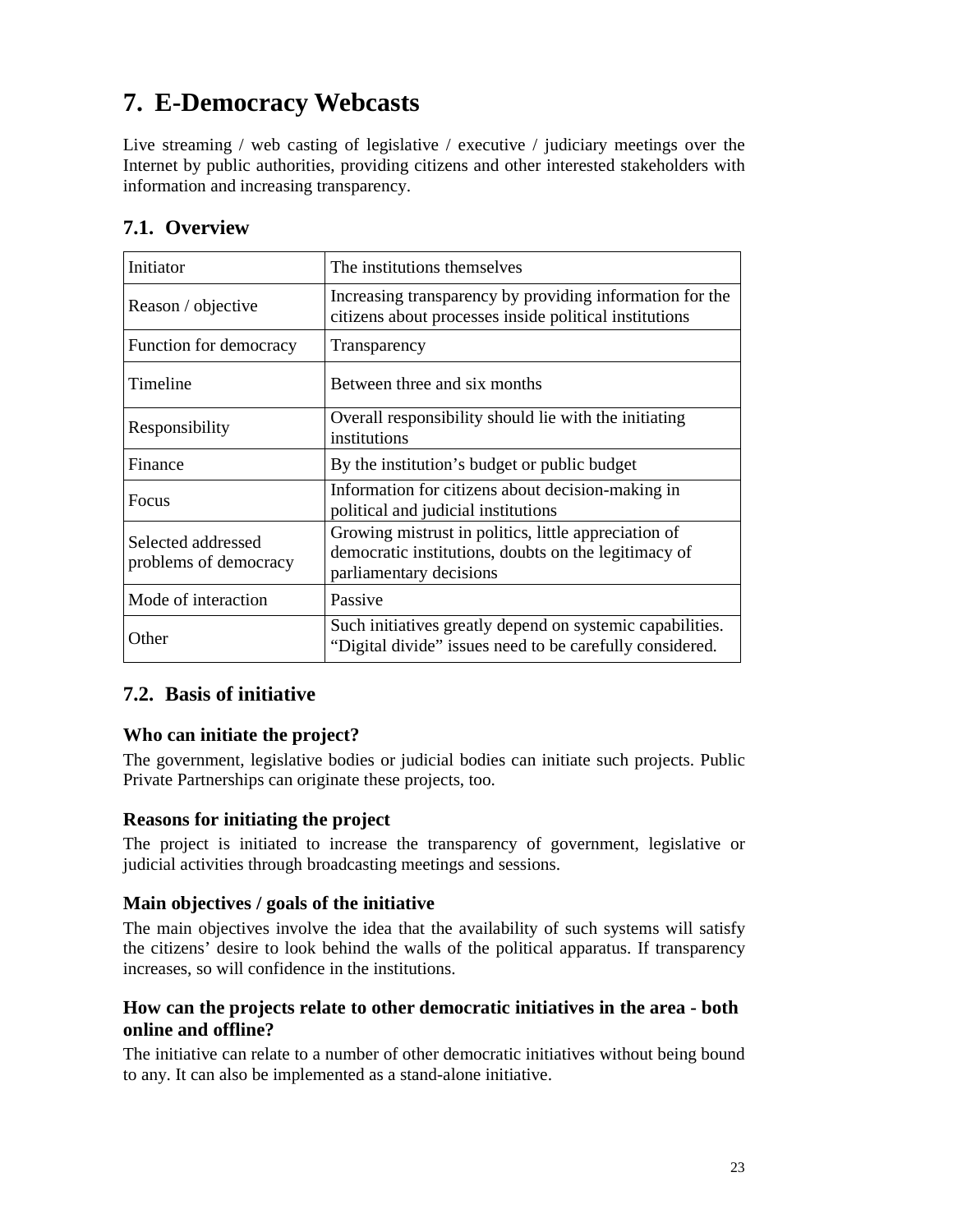# **7. E-Democracy Webcasts**

Live streaming / web casting of legislative / executive / judiciary meetings over the Internet by public authorities, providing citizens and other interested stakeholders with information and increasing transparency.

| Initiator                                   | The institutions themselves                                                                                                             |
|---------------------------------------------|-----------------------------------------------------------------------------------------------------------------------------------------|
| Reason / objective                          | Increasing transparency by providing information for the<br>citizens about processes inside political institutions                      |
| Function for democracy                      | Transparency                                                                                                                            |
| Timeline                                    | Between three and six months                                                                                                            |
| Responsibility                              | Overall responsibility should lie with the initiating<br>institutions                                                                   |
| Finance                                     | By the institution's budget or public budget                                                                                            |
| <b>Focus</b>                                | Information for citizens about decision-making in<br>political and judicial institutions                                                |
| Selected addressed<br>problems of democracy | Growing mistrust in politics, little appreciation of<br>democratic institutions, doubts on the legitimacy of<br>parliamentary decisions |
| Mode of interaction                         | Passive                                                                                                                                 |
| Other                                       | Such initiatives greatly depend on systemic capabilities.<br>"Digital divide" issues need to be carefully considered.                   |

# **7.1. Overview**

# **7.2. Basis of initiative**

# **Who can initiate the project?**

The government, legislative bodies or judicial bodies can initiate such projects. Public Private Partnerships can originate these projects, too.

#### **Reasons for initiating the project**

The project is initiated to increase the transparency of government, legislative or judicial activities through broadcasting meetings and sessions.

#### **Main objectives / goals of the initiative**

The main objectives involve the idea that the availability of such systems will satisfy the citizens' desire to look behind the walls of the political apparatus. If transparency increases, so will confidence in the institutions.

### **How can the projects relate to other democratic initiatives in the area - both online and offline?**

The initiative can relate to a number of other democratic initiatives without being bound to any. It can also be implemented as a stand-alone initiative.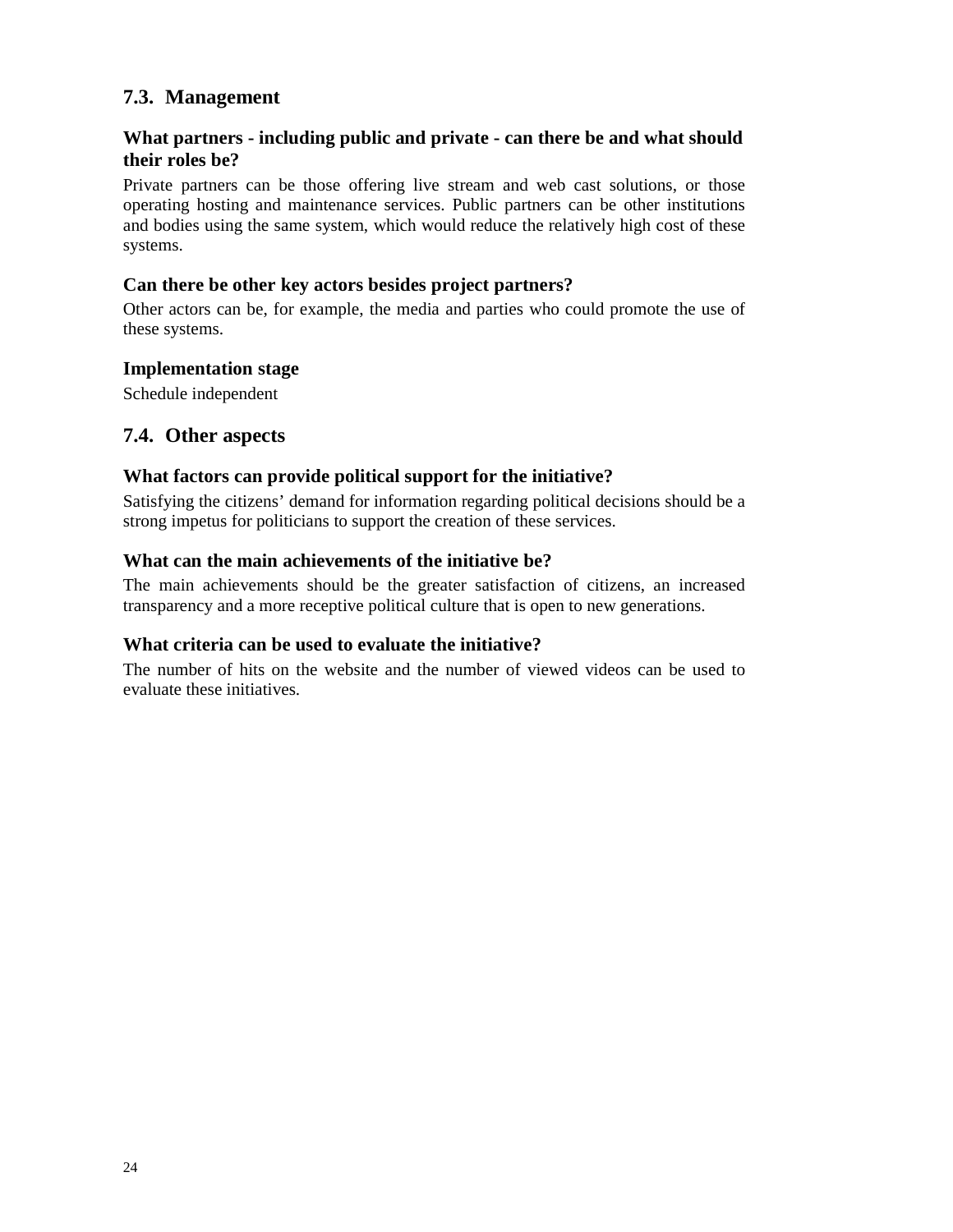# **7.3. Management**

# **What partners - including public and private - can there be and what should their roles be?**

Private partners can be those offering live stream and web cast solutions, or those operating hosting and maintenance services. Public partners can be other institutions and bodies using the same system, which would reduce the relatively high cost of these systems.

#### **Can there be other key actors besides project partners?**

Other actors can be, for example, the media and parties who could promote the use of these systems.

#### **Implementation stage**

Schedule independent

### **7.4. Other aspects**

#### **What factors can provide political support for the initiative?**

Satisfying the citizens' demand for information regarding political decisions should be a strong impetus for politicians to support the creation of these services.

#### **What can the main achievements of the initiative be?**

The main achievements should be the greater satisfaction of citizens, an increased transparency and a more receptive political culture that is open to new generations.

#### **What criteria can be used to evaluate the initiative?**

The number of hits on the website and the number of viewed videos can be used to evaluate these initiatives.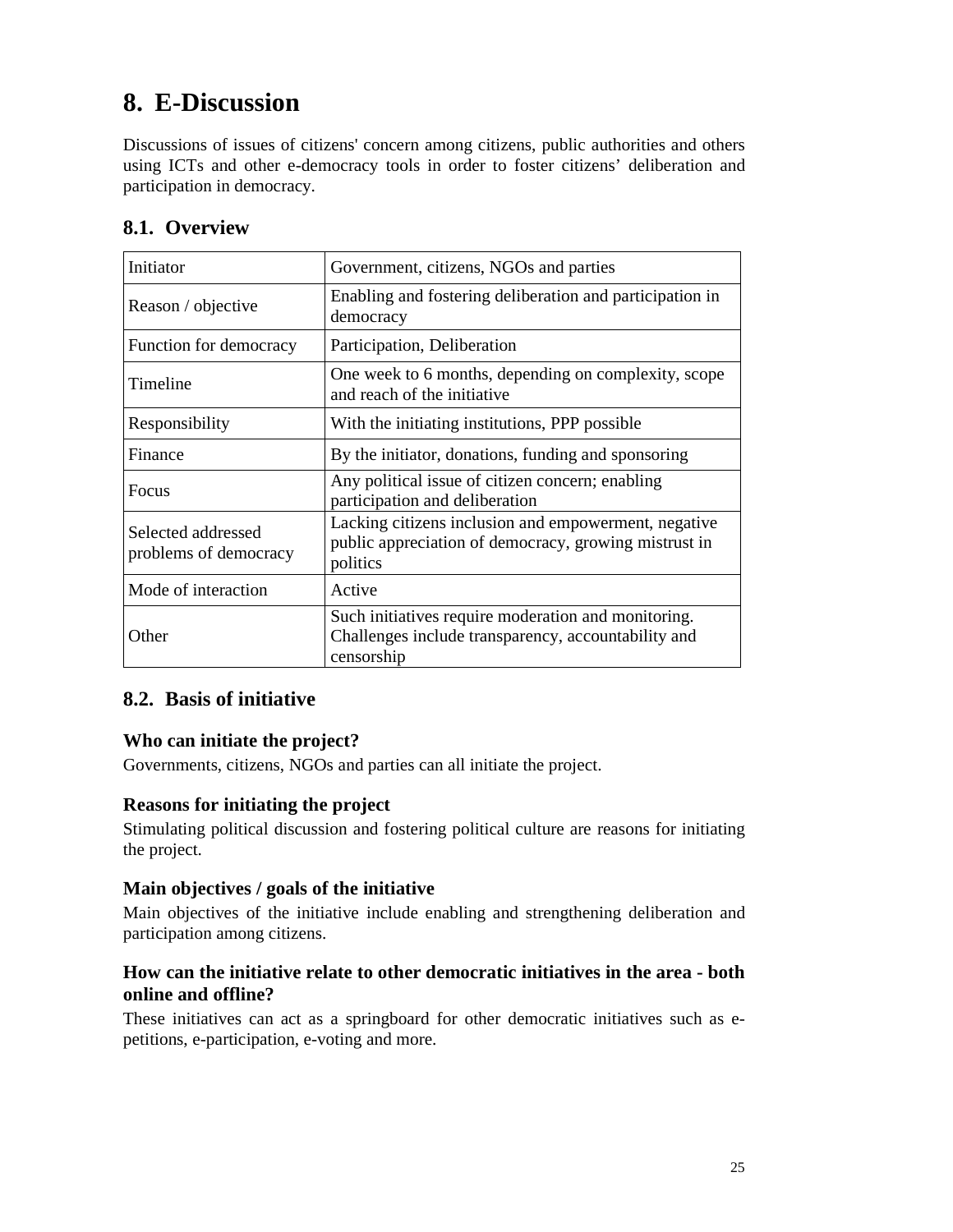# **8. E-Discussion**

Discussions of issues of citizens' concern among citizens, public authorities and others using ICTs and other e-democracy tools in order to foster citizens' deliberation and participation in democracy.

# **8.1. Overview**

| Initiator                                   | Government, citizens, NGOs and parties                                                                                    |
|---------------------------------------------|---------------------------------------------------------------------------------------------------------------------------|
| Reason / objective                          | Enabling and fostering deliberation and participation in<br>democracy                                                     |
| Function for democracy                      | Participation, Deliberation                                                                                               |
| Timeline                                    | One week to 6 months, depending on complexity, scope<br>and reach of the initiative                                       |
| Responsibility                              | With the initiating institutions, PPP possible.                                                                           |
| Finance                                     | By the initiator, donations, funding and sponsoring                                                                       |
| Focus                                       | Any political issue of citizen concern; enabling<br>participation and deliberation                                        |
| Selected addressed<br>problems of democracy | Lacking citizens inclusion and empowerment, negative<br>public appreciation of democracy, growing mistrust in<br>politics |
| Mode of interaction                         | Active                                                                                                                    |
| Other                                       | Such initiatives require moderation and monitoring.<br>Challenges include transparency, accountability and<br>censorship  |

# **8.2. Basis of initiative**

# **Who can initiate the project?**

Governments, citizens, NGOs and parties can all initiate the project.

#### **Reasons for initiating the project**

Stimulating political discussion and fostering political culture are reasons for initiating the project.

#### **Main objectives / goals of the initiative**

Main objectives of the initiative include enabling and strengthening deliberation and participation among citizens.

## **How can the initiative relate to other democratic initiatives in the area - both online and offline?**

These initiatives can act as a springboard for other democratic initiatives such as epetitions, e-participation, e-voting and more.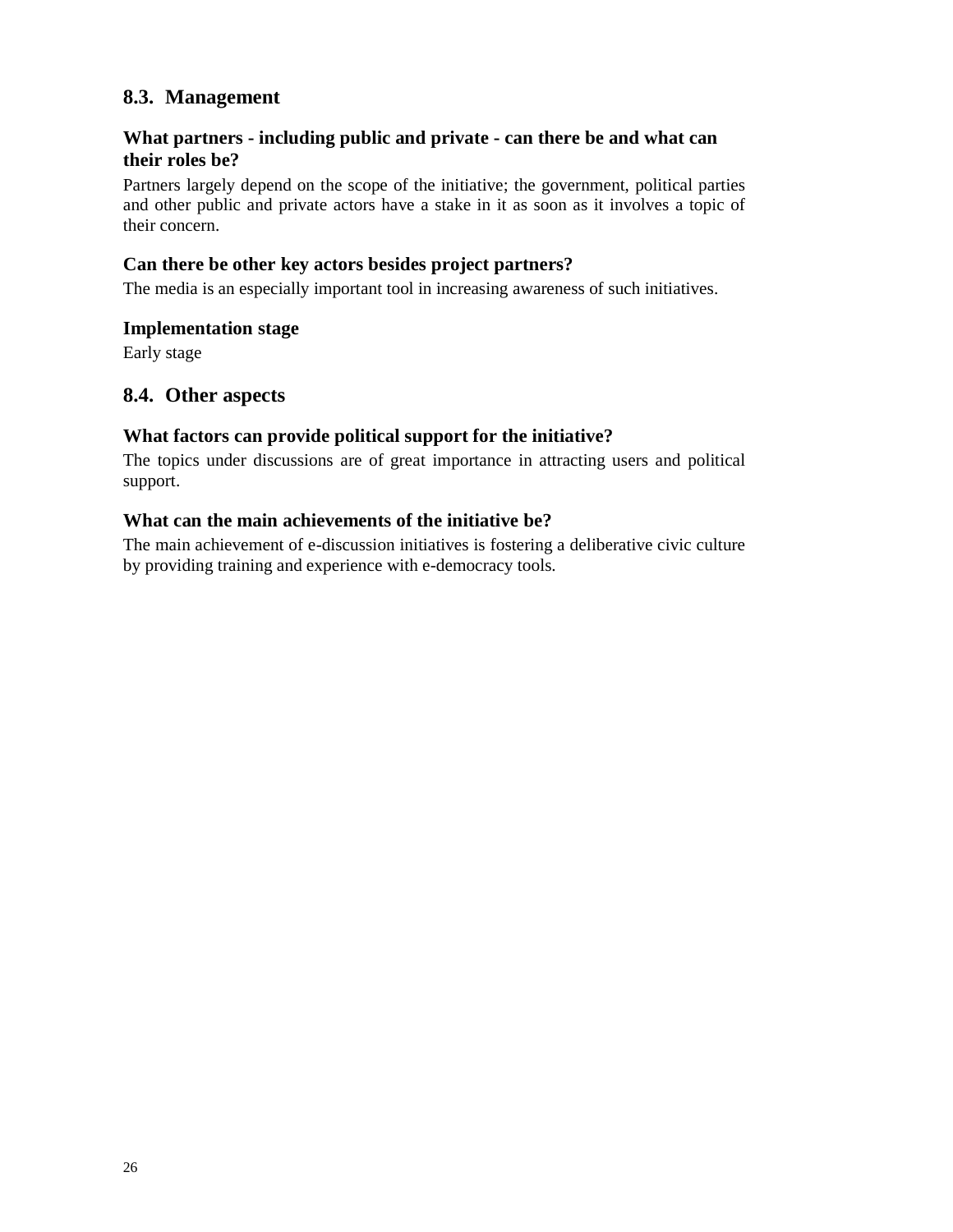# **8.3. Management**

# **What partners - including public and private - can there be and what can their roles be?**

Partners largely depend on the scope of the initiative; the government, political parties and other public and private actors have a stake in it as soon as it involves a topic of their concern.

#### **Can there be other key actors besides project partners?**

The media is an especially important tool in increasing awareness of such initiatives.

#### **Implementation stage**

Early stage

#### **8.4. Other aspects**

#### **What factors can provide political support for the initiative?**

The topics under discussions are of great importance in attracting users and political support.

#### **What can the main achievements of the initiative be?**

The main achievement of e-discussion initiatives is fostering a deliberative civic culture by providing training and experience with e-democracy tools.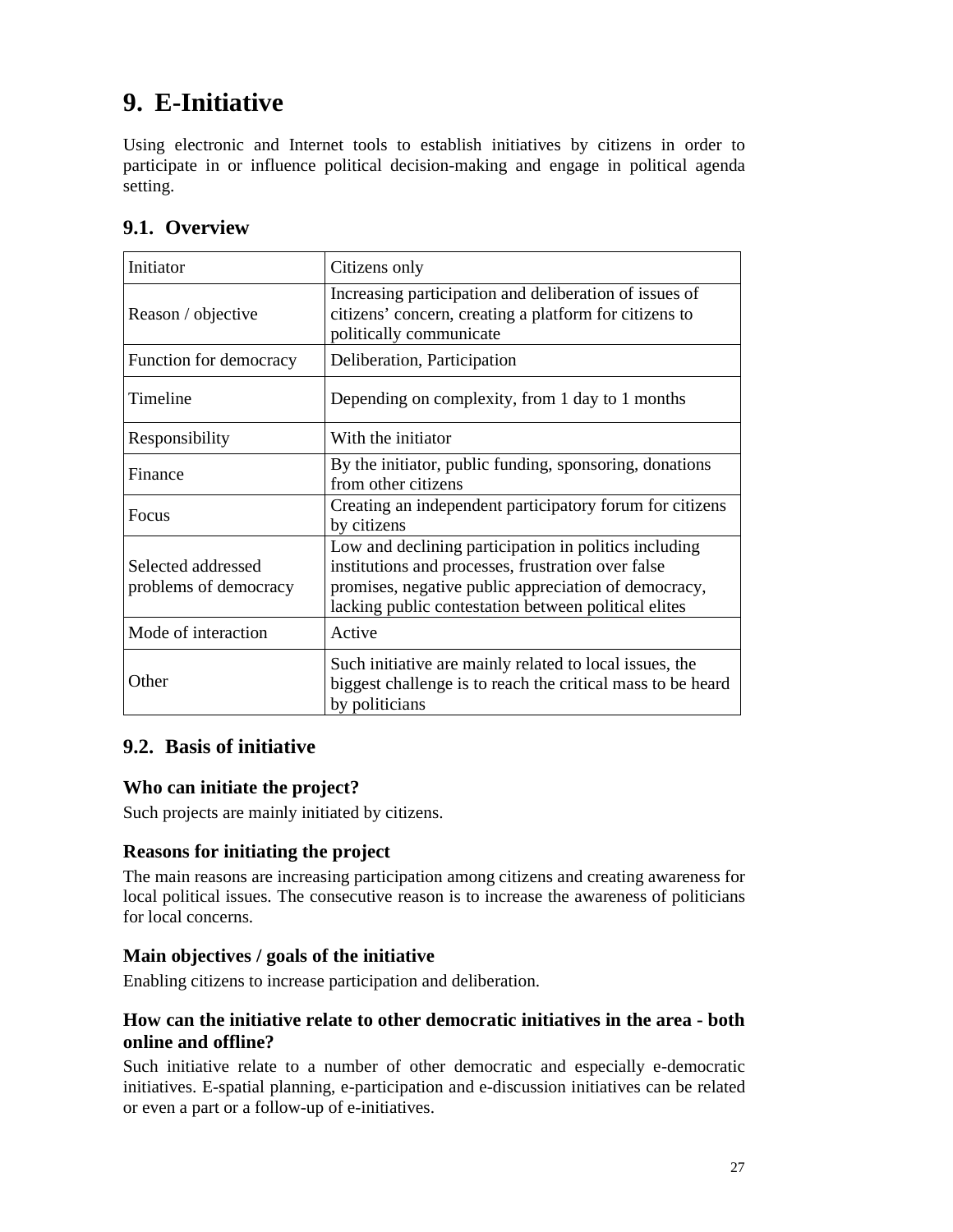# **9. E-Initiative**

Using electronic and Internet tools to establish initiatives by citizens in order to participate in or influence political decision-making and engage in political agenda setting.

| Initiator                                   | Citizens only                                                                                                                                                                                                               |
|---------------------------------------------|-----------------------------------------------------------------------------------------------------------------------------------------------------------------------------------------------------------------------------|
| Reason / objective                          | Increasing participation and deliberation of issues of<br>citizens' concern, creating a platform for citizens to<br>politically communicate                                                                                 |
| Function for democracy                      | Deliberation, Participation                                                                                                                                                                                                 |
| Timeline                                    | Depending on complexity, from 1 day to 1 months                                                                                                                                                                             |
| Responsibility                              | With the initiator                                                                                                                                                                                                          |
| Finance                                     | By the initiator, public funding, sponsoring, donations<br>from other citizens                                                                                                                                              |
| <b>Focus</b>                                | Creating an independent participatory forum for citizens<br>by citizens                                                                                                                                                     |
| Selected addressed<br>problems of democracy | Low and declining participation in politics including<br>institutions and processes, frustration over false<br>promises, negative public appreciation of democracy,<br>lacking public contestation between political elites |
| Mode of interaction                         | Active                                                                                                                                                                                                                      |
| Other                                       | Such initiative are mainly related to local issues, the<br>biggest challenge is to reach the critical mass to be heard<br>by politicians                                                                                    |

# **9.1. Overview**

# **9.2. Basis of initiative**

#### **Who can initiate the project?**

Such projects are mainly initiated by citizens.

#### **Reasons for initiating the project**

The main reasons are increasing participation among citizens and creating awareness for local political issues. The consecutive reason is to increase the awareness of politicians for local concerns.

#### **Main objectives / goals of the initiative**

Enabling citizens to increase participation and deliberation.

# **How can the initiative relate to other democratic initiatives in the area - both online and offline?**

Such initiative relate to a number of other democratic and especially e-democratic initiatives. E-spatial planning, e-participation and e-discussion initiatives can be related or even a part or a follow-up of e-initiatives.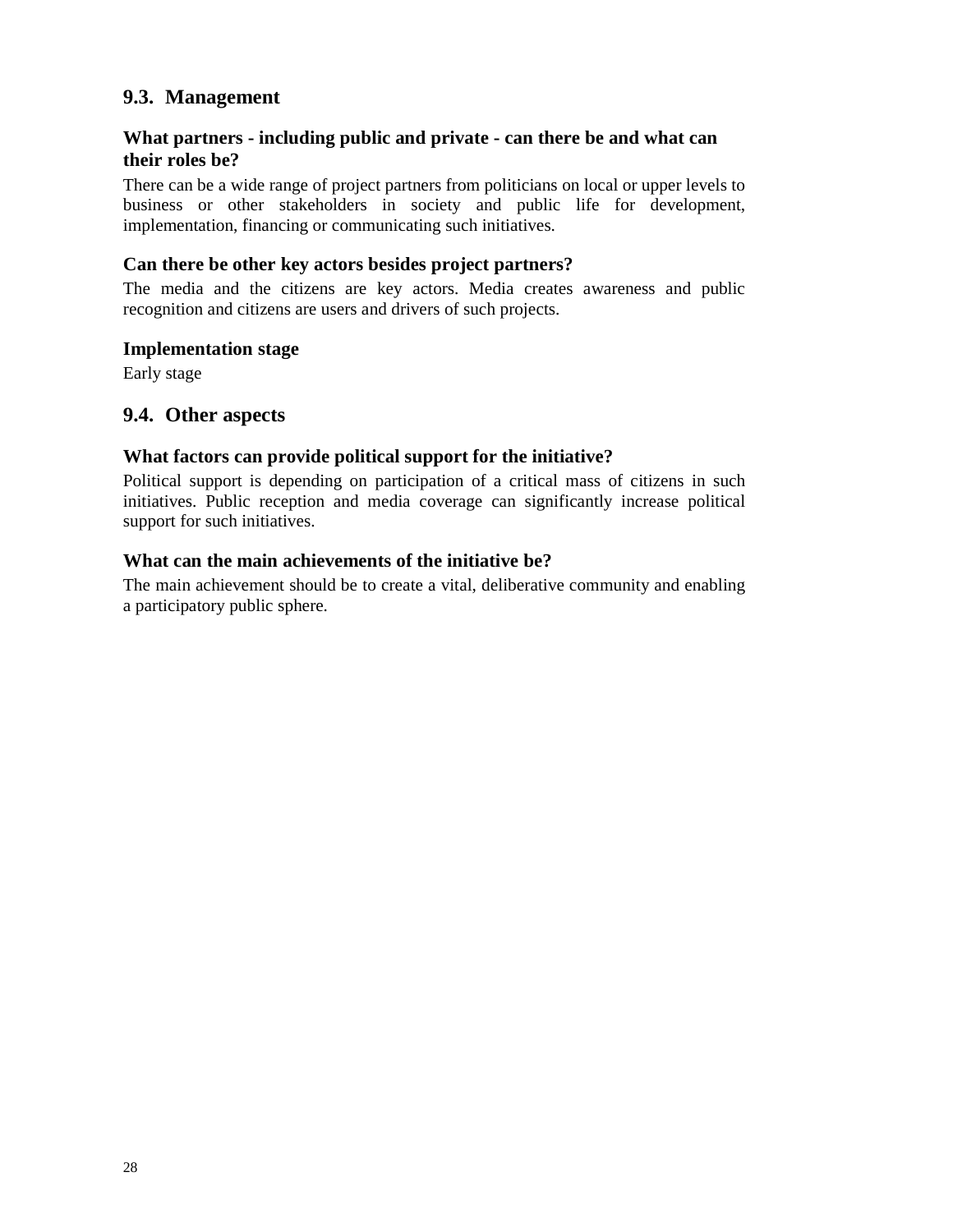# **9.3. Management**

# **What partners - including public and private - can there be and what can their roles be?**

There can be a wide range of project partners from politicians on local or upper levels to business or other stakeholders in society and public life for development, implementation, financing or communicating such initiatives.

### **Can there be other key actors besides project partners?**

The media and the citizens are key actors. Media creates awareness and public recognition and citizens are users and drivers of such projects.

#### **Implementation stage**

Early stage

### **9.4. Other aspects**

#### **What factors can provide political support for the initiative?**

Political support is depending on participation of a critical mass of citizens in such initiatives. Public reception and media coverage can significantly increase political support for such initiatives.

#### **What can the main achievements of the initiative be?**

The main achievement should be to create a vital, deliberative community and enabling a participatory public sphere.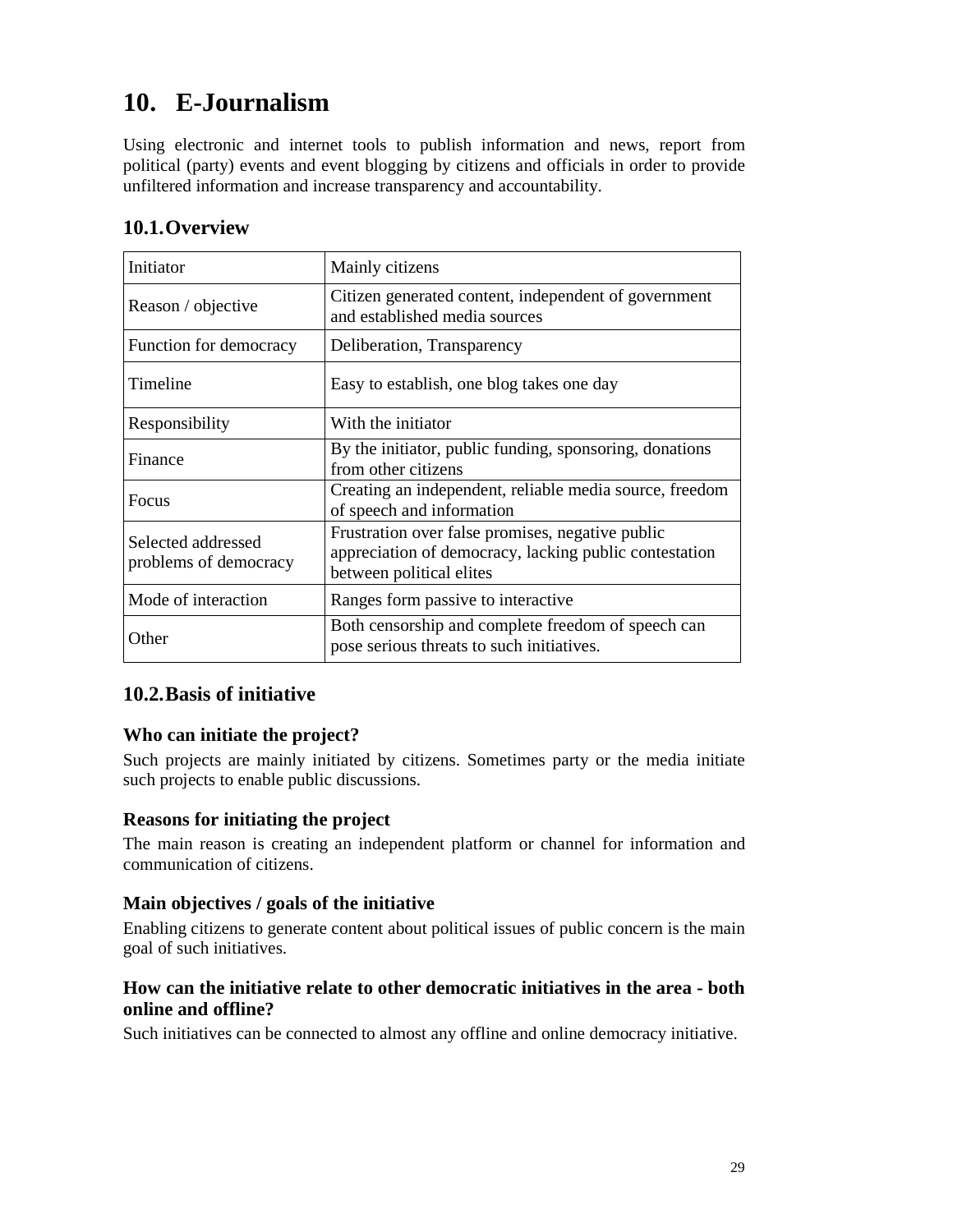# **10. E-Journalism**

Using electronic and internet tools to publish information and news, report from political (party) events and event blogging by citizens and officials in order to provide unfiltered information and increase transparency and accountability.

| Initiator                                   | Mainly citizens                                                                                                                        |
|---------------------------------------------|----------------------------------------------------------------------------------------------------------------------------------------|
| Reason / objective                          | Citizen generated content, independent of government<br>and established media sources                                                  |
| Function for democracy                      | Deliberation, Transparency                                                                                                             |
| Timeline                                    | Easy to establish, one blog takes one day                                                                                              |
| Responsibility                              | With the initiator                                                                                                                     |
| Finance                                     | By the initiator, public funding, sponsoring, donations<br>from other citizens                                                         |
| <b>Focus</b>                                | Creating an independent, reliable media source, freedom<br>of speech and information                                                   |
| Selected addressed<br>problems of democracy | Frustration over false promises, negative public<br>appreciation of democracy, lacking public contestation<br>between political elites |
| Mode of interaction                         | Ranges form passive to interactive                                                                                                     |
| Other                                       | Both censorship and complete freedom of speech can<br>pose serious threats to such initiatives.                                        |

# **10.1.Overview**

# **10.2.Basis of initiative**

# **Who can initiate the project?**

Such projects are mainly initiated by citizens. Sometimes party or the media initiate such projects to enable public discussions.

#### **Reasons for initiating the project**

The main reason is creating an independent platform or channel for information and communication of citizens.

#### **Main objectives / goals of the initiative**

Enabling citizens to generate content about political issues of public concern is the main goal of such initiatives.

# **How can the initiative relate to other democratic initiatives in the area - both online and offline?**

Such initiatives can be connected to almost any offline and online democracy initiative.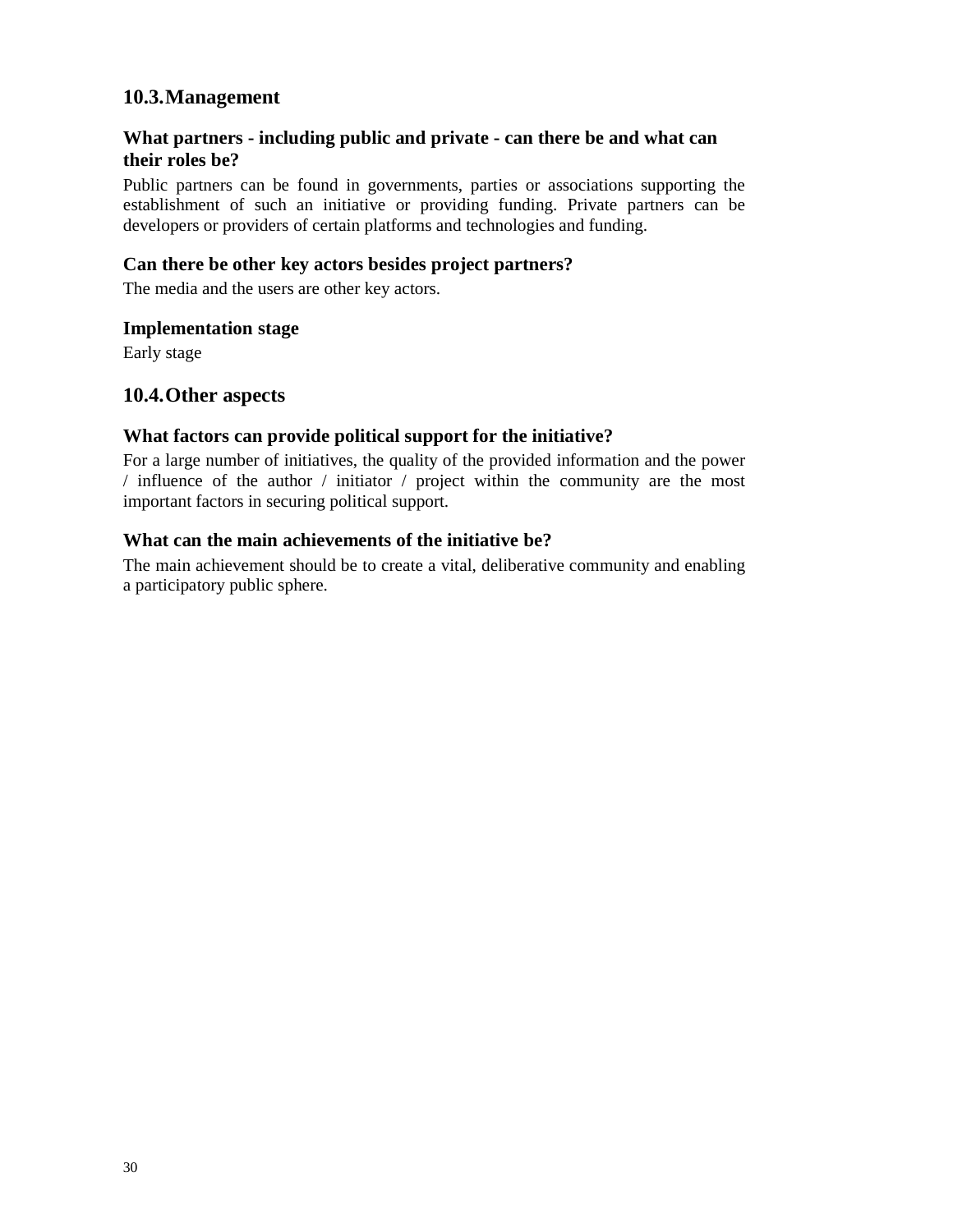# **10.3.Management**

## **What partners - including public and private - can there be and what can their roles be?**

Public partners can be found in governments, parties or associations supporting the establishment of such an initiative or providing funding. Private partners can be developers or providers of certain platforms and technologies and funding.

#### **Can there be other key actors besides project partners?**

The media and the users are other key actors.

#### **Implementation stage**

Early stage

#### **10.4.Other aspects**

#### **What factors can provide political support for the initiative?**

For a large number of initiatives, the quality of the provided information and the power / influence of the author / initiator / project within the community are the most important factors in securing political support.

#### **What can the main achievements of the initiative be?**

The main achievement should be to create a vital, deliberative community and enabling a participatory public sphere.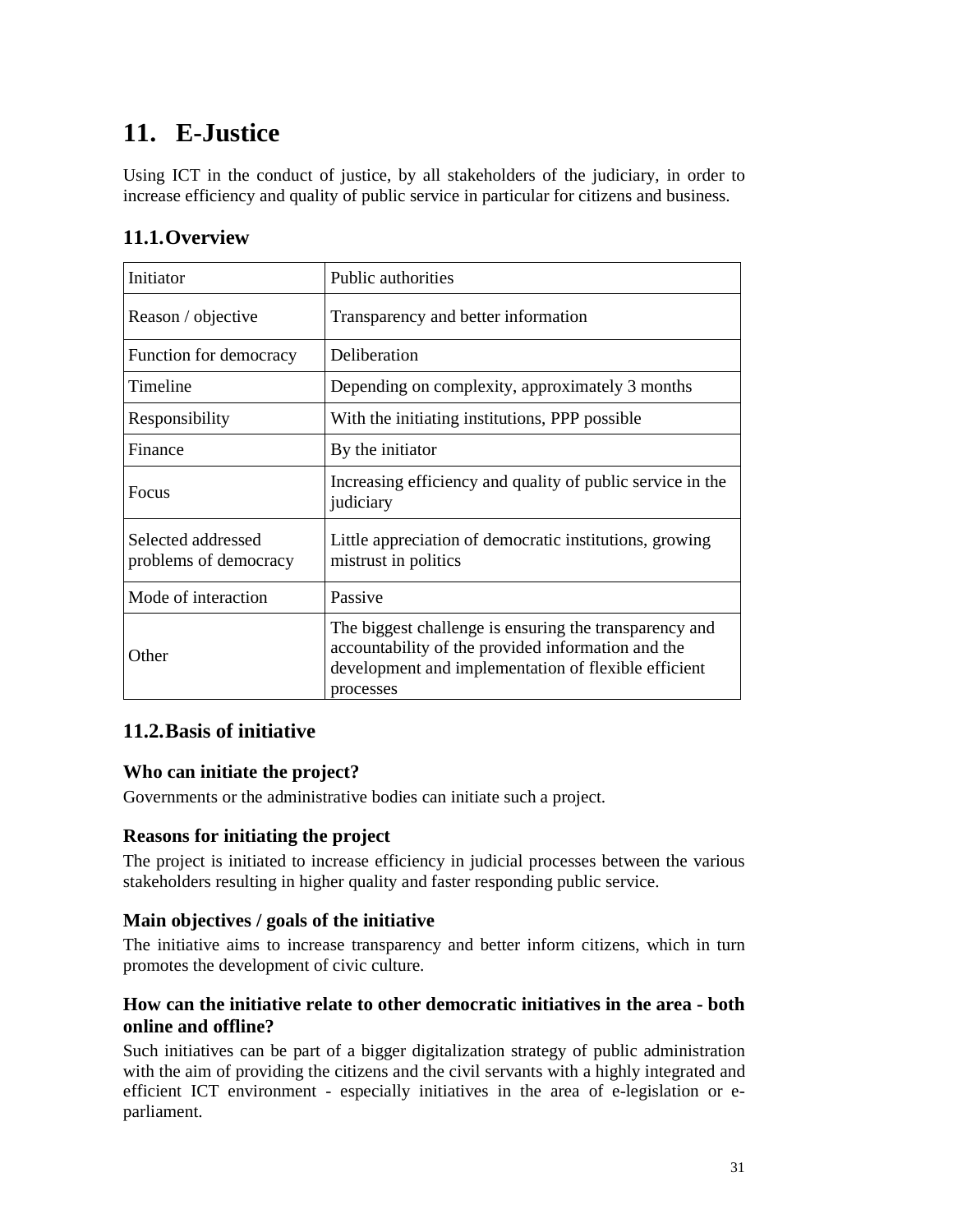# **11. E-Justice**

Using ICT in the conduct of justice, by all stakeholders of the judiciary, in order to increase efficiency and quality of public service in particular for citizens and business.

# **11.1.Overview**

| Initiator                                   | Public authorities                                                                                                                                                                |
|---------------------------------------------|-----------------------------------------------------------------------------------------------------------------------------------------------------------------------------------|
| Reason / objective                          | Transparency and better information                                                                                                                                               |
| Function for democracy                      | Deliberation                                                                                                                                                                      |
| Timeline                                    | Depending on complexity, approximately 3 months                                                                                                                                   |
| Responsibility                              | With the initiating institutions, PPP possible                                                                                                                                    |
| Finance                                     | By the initiator                                                                                                                                                                  |
| Focus                                       | Increasing efficiency and quality of public service in the<br>judiciary                                                                                                           |
| Selected addressed<br>problems of democracy | Little appreciation of democratic institutions, growing<br>mistrust in politics                                                                                                   |
| Mode of interaction                         | Passive                                                                                                                                                                           |
| Other                                       | The biggest challenge is ensuring the transparency and<br>accountability of the provided information and the<br>development and implementation of flexible efficient<br>processes |

# **11.2.Basis of initiative**

# **Who can initiate the project?**

Governments or the administrative bodies can initiate such a project.

# **Reasons for initiating the project**

The project is initiated to increase efficiency in judicial processes between the various stakeholders resulting in higher quality and faster responding public service.

# **Main objectives / goals of the initiative**

The initiative aims to increase transparency and better inform citizens, which in turn promotes the development of civic culture.

# **How can the initiative relate to other democratic initiatives in the area - both online and offline?**

Such initiatives can be part of a bigger digitalization strategy of public administration with the aim of providing the citizens and the civil servants with a highly integrated and efficient ICT environment - especially initiatives in the area of e-legislation or eparliament.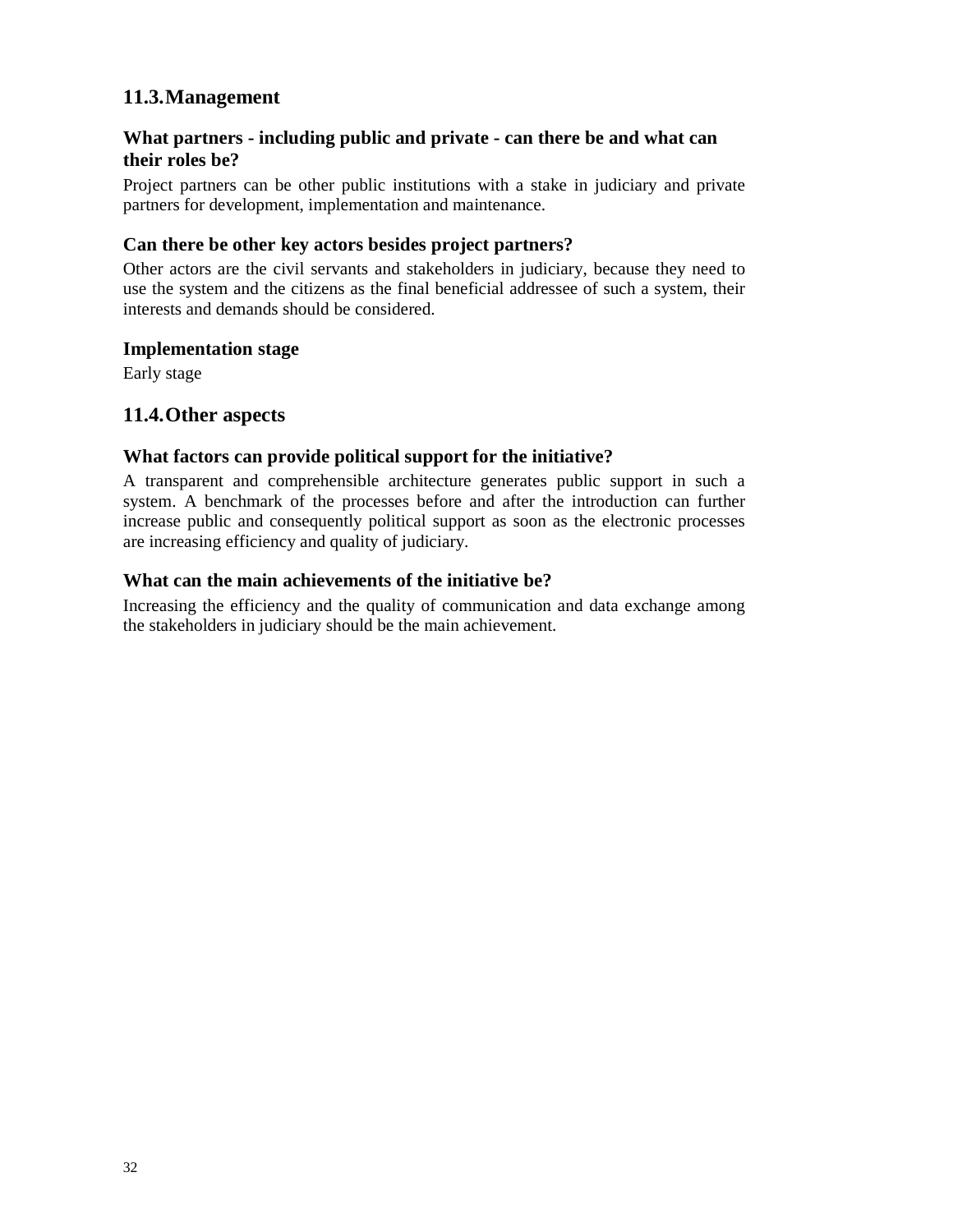# **11.3.Management**

# **What partners - including public and private - can there be and what can their roles be?**

Project partners can be other public institutions with a stake in judiciary and private partners for development, implementation and maintenance.

### **Can there be other key actors besides project partners?**

Other actors are the civil servants and stakeholders in judiciary, because they need to use the system and the citizens as the final beneficial addressee of such a system, their interests and demands should be considered.

#### **Implementation stage**

Early stage

### **11.4.Other aspects**

#### **What factors can provide political support for the initiative?**

A transparent and comprehensible architecture generates public support in such a system. A benchmark of the processes before and after the introduction can further increase public and consequently political support as soon as the electronic processes are increasing efficiency and quality of judiciary.

#### **What can the main achievements of the initiative be?**

Increasing the efficiency and the quality of communication and data exchange among the stakeholders in judiciary should be the main achievement.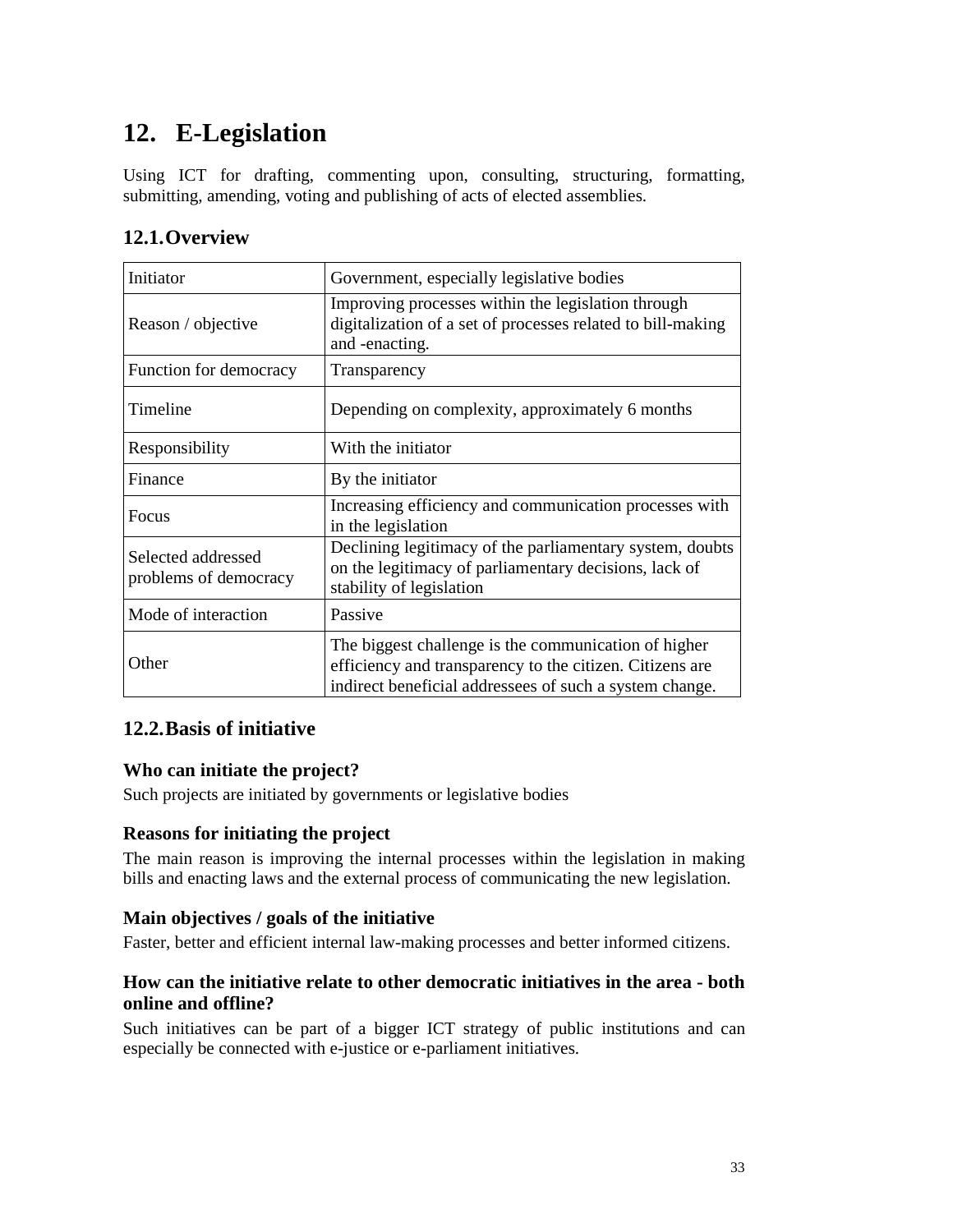# **12. E-Legislation**

Using ICT for drafting, commenting upon, consulting, structuring, formatting, submitting, amending, voting and publishing of acts of elected assemblies.

# **12.1.Overview**

| Initiator                                   | Government, especially legislative bodies                                                                                                                                   |
|---------------------------------------------|-----------------------------------------------------------------------------------------------------------------------------------------------------------------------------|
| Reason / objective                          | Improving processes within the legislation through<br>digitalization of a set of processes related to bill-making<br>and -enacting.                                         |
| Function for democracy                      | Transparency                                                                                                                                                                |
| Timeline                                    | Depending on complexity, approximately 6 months                                                                                                                             |
| Responsibility                              | With the initiator                                                                                                                                                          |
| Finance                                     | By the initiator                                                                                                                                                            |
| Focus                                       | Increasing efficiency and communication processes with<br>in the legislation                                                                                                |
| Selected addressed<br>problems of democracy | Declining legitimacy of the parliamentary system, doubts<br>on the legitimacy of parliamentary decisions, lack of<br>stability of legislation                               |
| Mode of interaction                         | Passive                                                                                                                                                                     |
| Other                                       | The biggest challenge is the communication of higher<br>efficiency and transparency to the citizen. Citizens are<br>indirect beneficial addressees of such a system change. |

# **12.2.Basis of initiative**

# **Who can initiate the project?**

Such projects are initiated by governments or legislative bodies

# **Reasons for initiating the project**

The main reason is improving the internal processes within the legislation in making bills and enacting laws and the external process of communicating the new legislation.

#### **Main objectives / goals of the initiative**

Faster, better and efficient internal law-making processes and better informed citizens.

### **How can the initiative relate to other democratic initiatives in the area - both online and offline?**

Such initiatives can be part of a bigger ICT strategy of public institutions and can especially be connected with e-justice or e-parliament initiatives.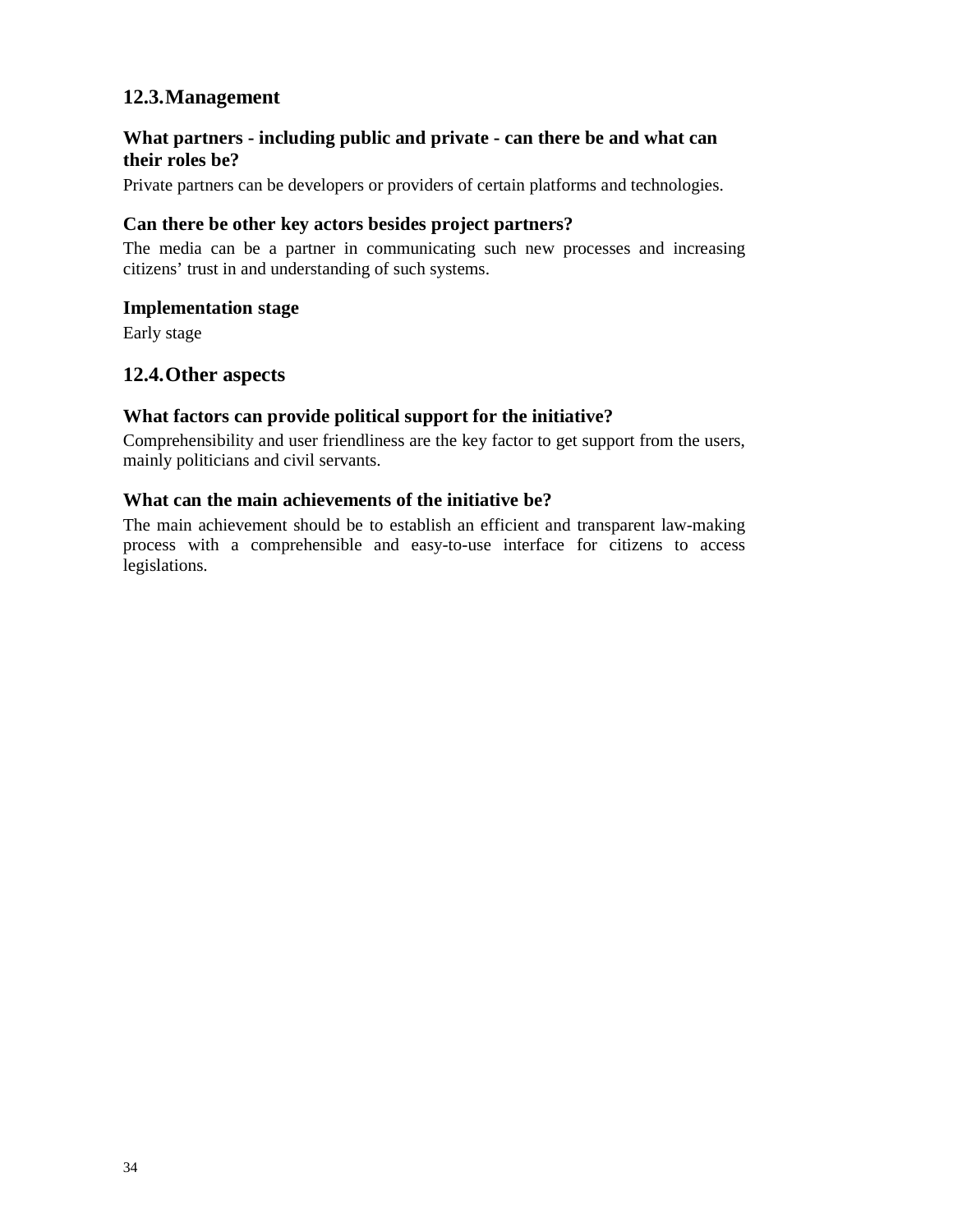# **12.3.Management**

## **What partners - including public and private - can there be and what can their roles be?**

Private partners can be developers or providers of certain platforms and technologies.

#### **Can there be other key actors besides project partners?**

The media can be a partner in communicating such new processes and increasing citizens' trust in and understanding of such systems.

#### **Implementation stage**

Early stage

# **12.4.Other aspects**

#### **What factors can provide political support for the initiative?**

Comprehensibility and user friendliness are the key factor to get support from the users, mainly politicians and civil servants.

#### **What can the main achievements of the initiative be?**

The main achievement should be to establish an efficient and transparent law-making process with a comprehensible and easy-to-use interface for citizens to access legislations.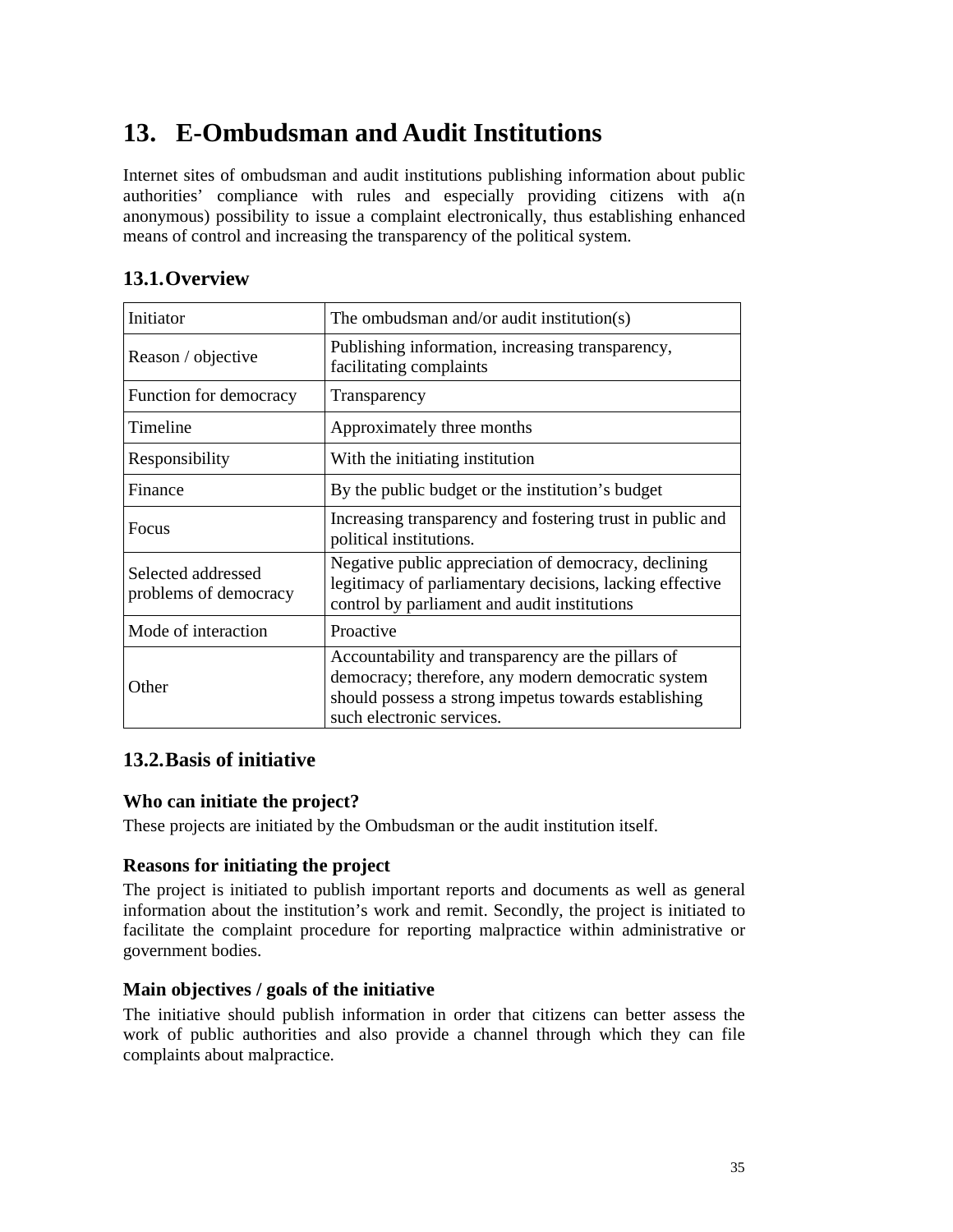# **13. E-Ombudsman and Audit Institutions**

Internet sites of ombudsman and audit institutions publishing information about public authorities' compliance with rules and especially providing citizens with a(n anonymous) possibility to issue a complaint electronically, thus establishing enhanced means of control and increasing the transparency of the political system.

| Initiator                                   | The ombudsman and/or audit institution(s)                                                                                                                                                     |
|---------------------------------------------|-----------------------------------------------------------------------------------------------------------------------------------------------------------------------------------------------|
| Reason / objective                          | Publishing information, increasing transparency,<br>facilitating complaints                                                                                                                   |
| Function for democracy                      | Transparency                                                                                                                                                                                  |
| Timeline                                    | Approximately three months                                                                                                                                                                    |
| Responsibility                              | With the initiating institution                                                                                                                                                               |
| Finance                                     | By the public budget or the institution's budget                                                                                                                                              |
| <b>Focus</b>                                | Increasing transparency and fostering trust in public and<br>political institutions.                                                                                                          |
| Selected addressed<br>problems of democracy | Negative public appreciation of democracy, declining<br>legitimacy of parliamentary decisions, lacking effective<br>control by parliament and audit institutions                              |
| Mode of interaction                         | Proactive                                                                                                                                                                                     |
| Other                                       | Accountability and transparency are the pillars of<br>democracy; therefore, any modern democratic system<br>should possess a strong impetus towards establishing<br>such electronic services. |

# **13.1.Overview**

# **13.2.Basis of initiative**

# **Who can initiate the project?**

These projects are initiated by the Ombudsman or the audit institution itself.

#### **Reasons for initiating the project**

The project is initiated to publish important reports and documents as well as general information about the institution's work and remit. Secondly, the project is initiated to facilitate the complaint procedure for reporting malpractice within administrative or government bodies.

#### **Main objectives / goals of the initiative**

The initiative should publish information in order that citizens can better assess the work of public authorities and also provide a channel through which they can file complaints about malpractice.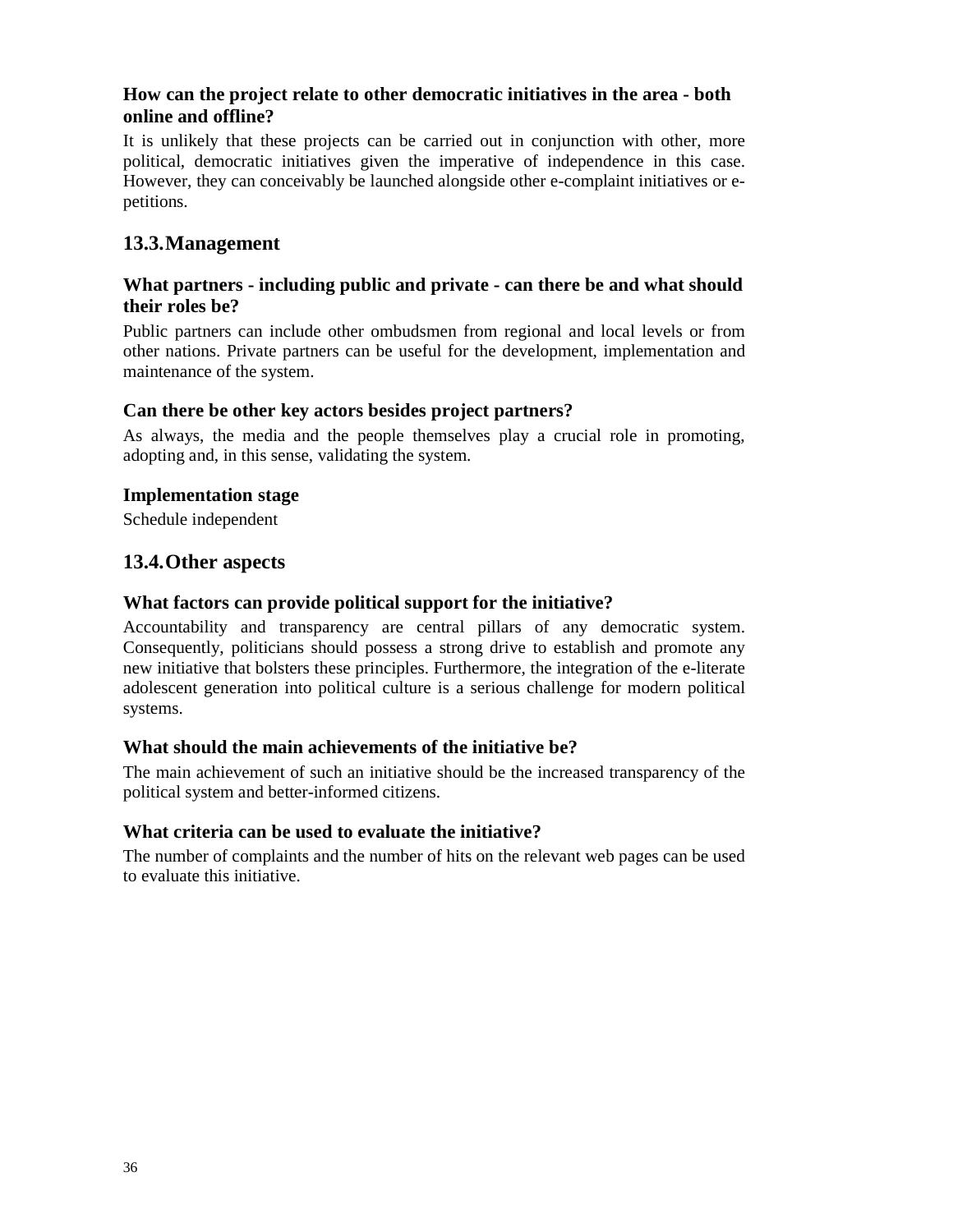### **How can the project relate to other democratic initiatives in the area - both online and offline?**

It is unlikely that these projects can be carried out in conjunction with other, more political, democratic initiatives given the imperative of independence in this case. However, they can conceivably be launched alongside other e-complaint initiatives or epetitions.

# **13.3.Management**

#### **What partners - including public and private - can there be and what should their roles be?**

Public partners can include other ombudsmen from regional and local levels or from other nations. Private partners can be useful for the development, implementation and maintenance of the system.

#### **Can there be other key actors besides project partners?**

As always, the media and the people themselves play a crucial role in promoting, adopting and, in this sense, validating the system.

#### **Implementation stage**

Schedule independent

### **13.4.Other aspects**

#### **What factors can provide political support for the initiative?**

Accountability and transparency are central pillars of any democratic system. Consequently, politicians should possess a strong drive to establish and promote any new initiative that bolsters these principles. Furthermore, the integration of the e-literate adolescent generation into political culture is a serious challenge for modern political systems.

#### **What should the main achievements of the initiative be?**

The main achievement of such an initiative should be the increased transparency of the political system and better-informed citizens.

#### **What criteria can be used to evaluate the initiative?**

The number of complaints and the number of hits on the relevant web pages can be used to evaluate this initiative.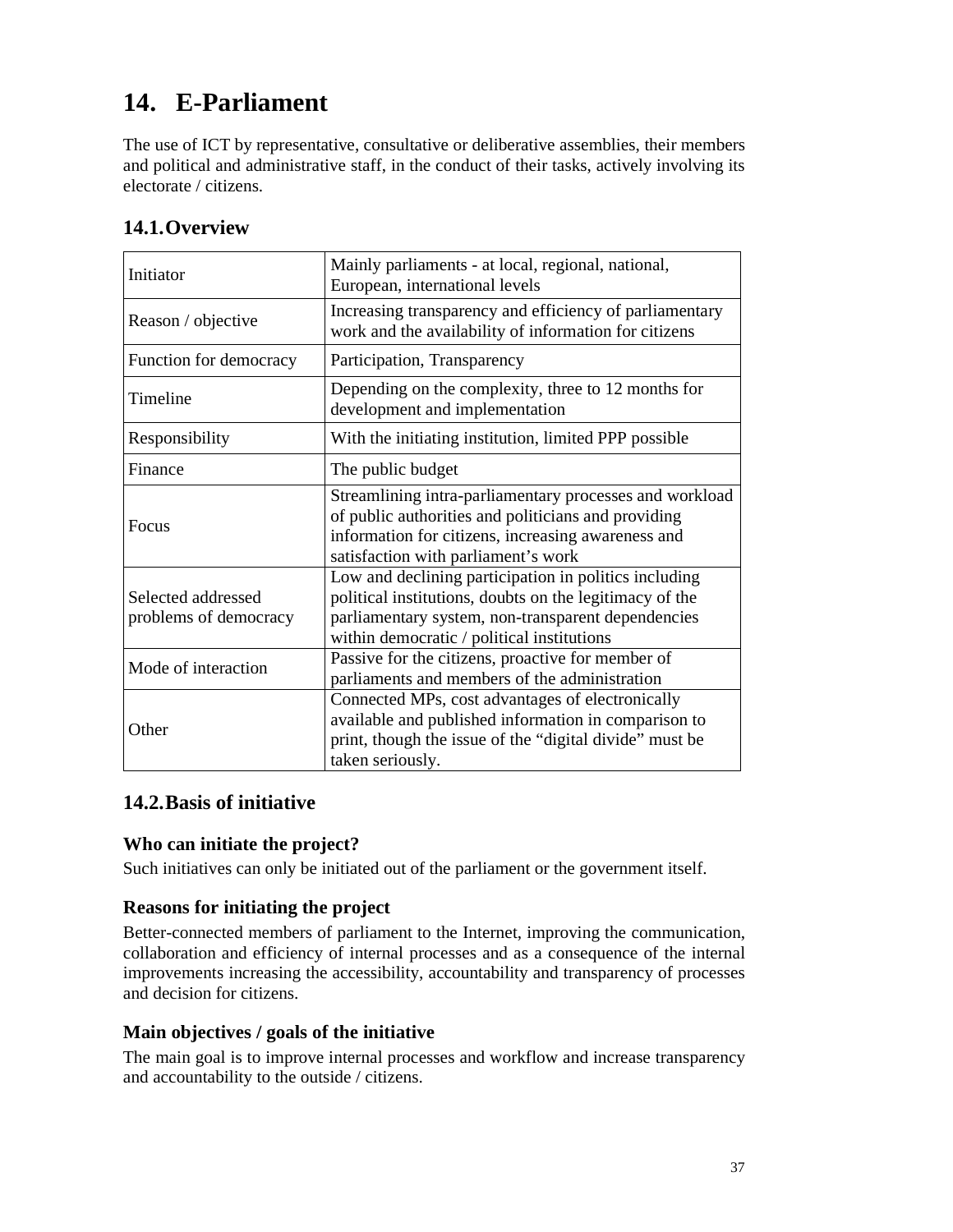# **14. E-Parliament**

The use of ICT by representative, consultative or deliberative assemblies, their members and political and administrative staff, in the conduct of their tasks, actively involving its electorate / citizens.

| Initiator                                   | Mainly parliaments - at local, regional, national,<br>European, international levels                                                                                                                                 |
|---------------------------------------------|----------------------------------------------------------------------------------------------------------------------------------------------------------------------------------------------------------------------|
| Reason / objective                          | Increasing transparency and efficiency of parliamentary<br>work and the availability of information for citizens                                                                                                     |
| Function for democracy                      | Participation, Transparency                                                                                                                                                                                          |
| Timeline                                    | Depending on the complexity, three to 12 months for<br>development and implementation                                                                                                                                |
| Responsibility                              | With the initiating institution, limited PPP possible                                                                                                                                                                |
| Finance                                     | The public budget                                                                                                                                                                                                    |
| <b>Focus</b>                                | Streamlining intra-parliamentary processes and workload<br>of public authorities and politicians and providing<br>information for citizens, increasing awareness and<br>satisfaction with parliament's work          |
| Selected addressed<br>problems of democracy | Low and declining participation in politics including<br>political institutions, doubts on the legitimacy of the<br>parliamentary system, non-transparent dependencies<br>within democratic / political institutions |
| Mode of interaction                         | Passive for the citizens, proactive for member of<br>parliaments and members of the administration                                                                                                                   |
| Other                                       | Connected MPs, cost advantages of electronically<br>available and published information in comparison to<br>print, though the issue of the "digital divide" must be<br>taken seriously.                              |

# **14.1.Overview**

# **14.2.Basis of initiative**

# **Who can initiate the project?**

Such initiatives can only be initiated out of the parliament or the government itself.

# **Reasons for initiating the project**

Better-connected members of parliament to the Internet, improving the communication, collaboration and efficiency of internal processes and as a consequence of the internal improvements increasing the accessibility, accountability and transparency of processes and decision for citizens.

## **Main objectives / goals of the initiative**

The main goal is to improve internal processes and workflow and increase transparency and accountability to the outside / citizens.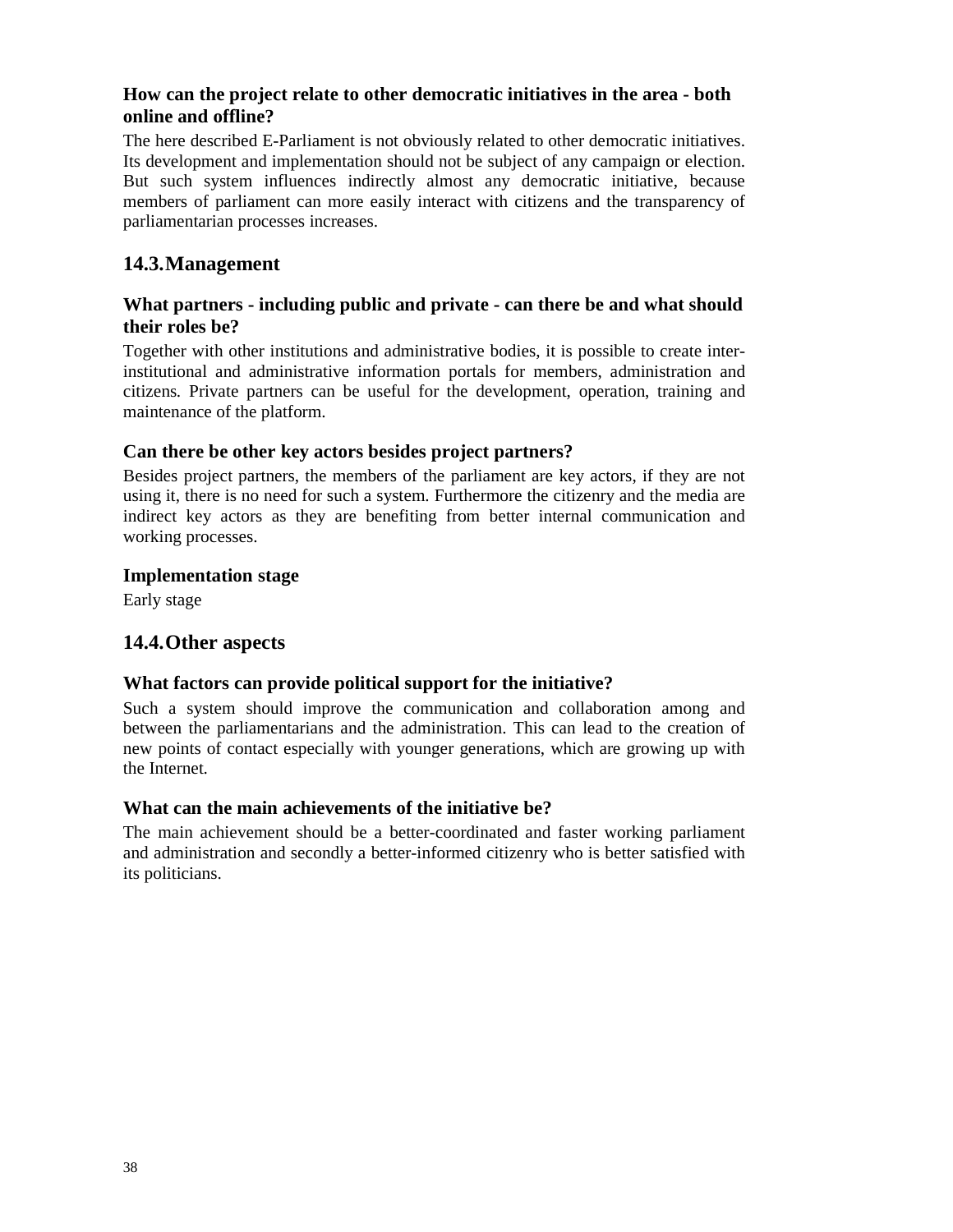# **How can the project relate to other democratic initiatives in the area - both online and offline?**

The here described E-Parliament is not obviously related to other democratic initiatives. Its development and implementation should not be subject of any campaign or election. But such system influences indirectly almost any democratic initiative, because members of parliament can more easily interact with citizens and the transparency of parliamentarian processes increases.

# **14.3.Management**

## **What partners - including public and private - can there be and what should their roles be?**

Together with other institutions and administrative bodies, it is possible to create interinstitutional and administrative information portals for members, administration and citizens. Private partners can be useful for the development, operation, training and maintenance of the platform.

# **Can there be other key actors besides project partners?**

Besides project partners, the members of the parliament are key actors, if they are not using it, there is no need for such a system. Furthermore the citizenry and the media are indirect key actors as they are benefiting from better internal communication and working processes.

## **Implementation stage**

Early stage

## **14.4.Other aspects**

## **What factors can provide political support for the initiative?**

Such a system should improve the communication and collaboration among and between the parliamentarians and the administration. This can lead to the creation of new points of contact especially with younger generations, which are growing up with the Internet.

## **What can the main achievements of the initiative be?**

The main achievement should be a better-coordinated and faster working parliament and administration and secondly a better-informed citizenry who is better satisfied with its politicians.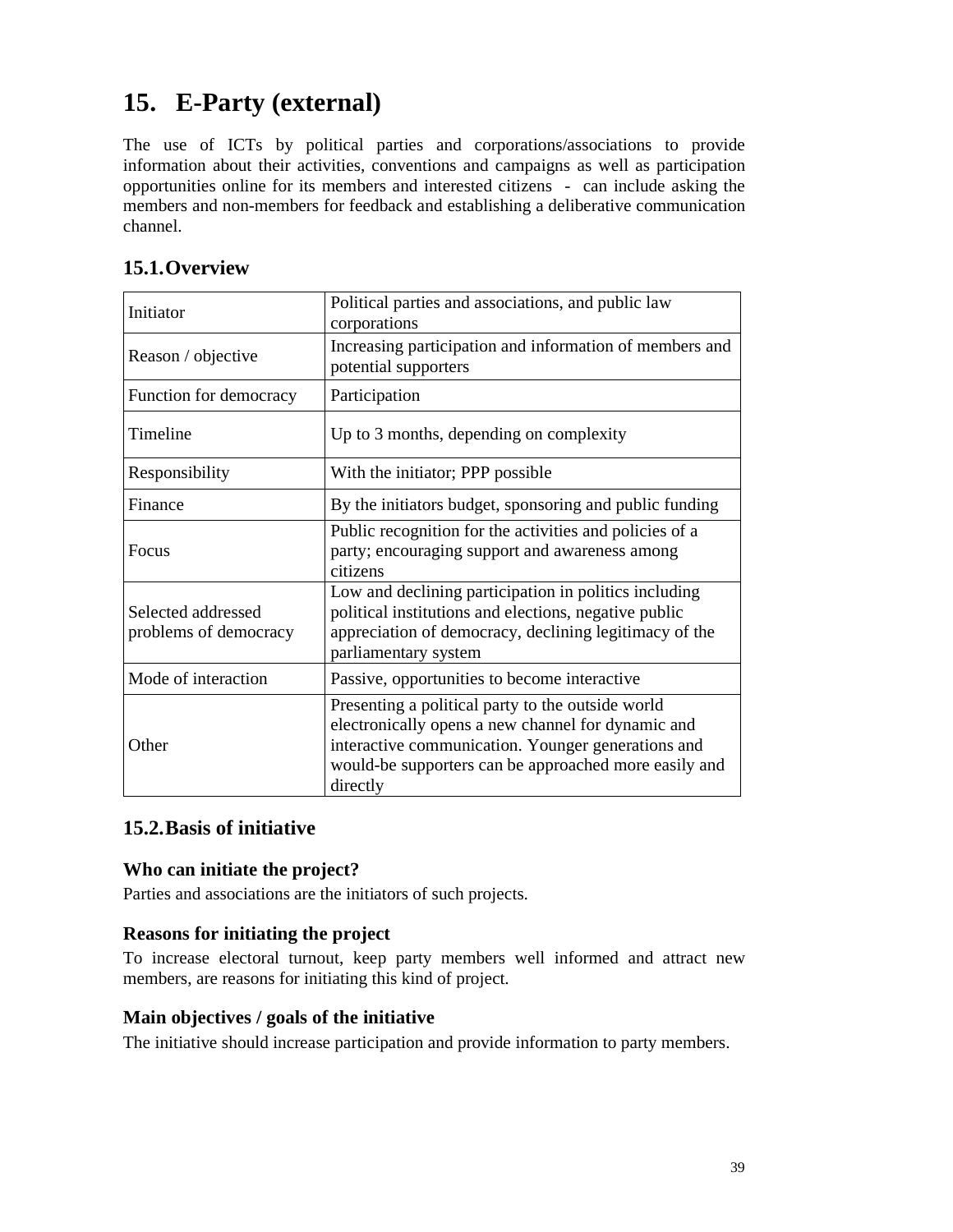# **15. E-Party (external)**

The use of ICTs by political parties and corporations/associations to provide information about their activities, conventions and campaigns as well as participation opportunities online for its members and interested citizens - can include asking the members and non-members for feedback and establishing a deliberative communication channel.

| Initiator                                   | Political parties and associations, and public law<br>corporations                                                                                                                                                                 |
|---------------------------------------------|------------------------------------------------------------------------------------------------------------------------------------------------------------------------------------------------------------------------------------|
| Reason / objective                          | Increasing participation and information of members and<br>potential supporters                                                                                                                                                    |
| Function for democracy                      | Participation                                                                                                                                                                                                                      |
| Timeline                                    | Up to 3 months, depending on complexity                                                                                                                                                                                            |
| Responsibility                              | With the initiator; PPP possible                                                                                                                                                                                                   |
| Finance                                     | By the initiators budget, sponsoring and public funding                                                                                                                                                                            |
| Focus                                       | Public recognition for the activities and policies of a<br>party; encouraging support and awareness among<br>citizens                                                                                                              |
| Selected addressed<br>problems of democracy | Low and declining participation in politics including<br>political institutions and elections, negative public<br>appreciation of democracy, declining legitimacy of the<br>parliamentary system                                   |
| Mode of interaction                         | Passive, opportunities to become interactive                                                                                                                                                                                       |
| Other                                       | Presenting a political party to the outside world<br>electronically opens a new channel for dynamic and<br>interactive communication. Younger generations and<br>would-be supporters can be approached more easily and<br>directly |

# **15.2.Basis of initiative**

# **Who can initiate the project?**

Parties and associations are the initiators of such projects.

## **Reasons for initiating the project**

To increase electoral turnout, keep party members well informed and attract new members, are reasons for initiating this kind of project.

## **Main objectives / goals of the initiative**

The initiative should increase participation and provide information to party members.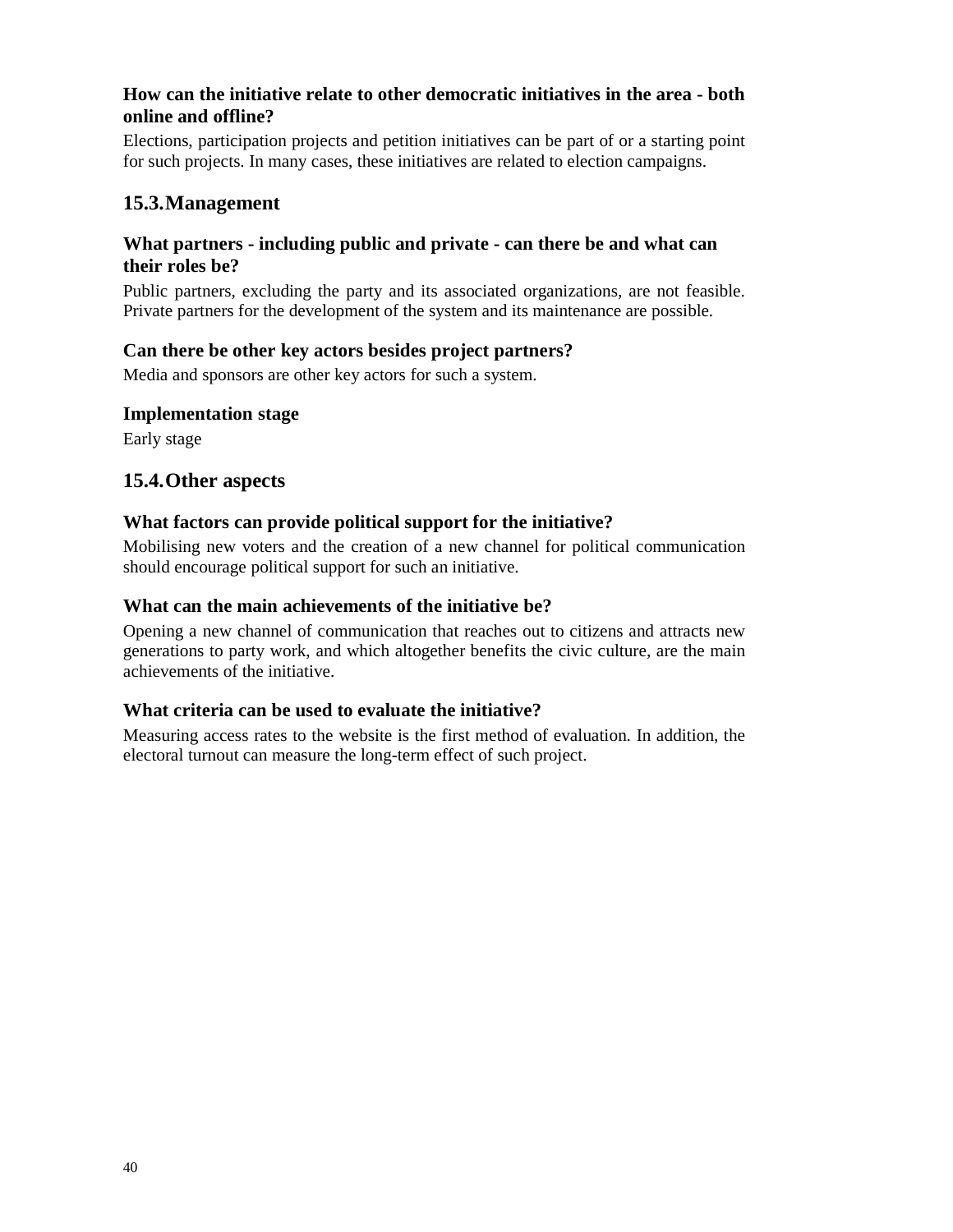# **How can the initiative relate to other democratic initiatives in the area - both online and offline?**

Elections, participation projects and petition initiatives can be part of or a starting point for such projects. In many cases, these initiatives are related to election campaigns.

# **15.3.Management**

## **What partners - including public and private - can there be and what can their roles be?**

Public partners, excluding the party and its associated organizations, are not feasible. Private partners for the development of the system and its maintenance are possible.

## **Can there be other key actors besides project partners?**

Media and sponsors are other key actors for such a system.

#### **Implementation stage**

Early stage

## **15.4.Other aspects**

#### **What factors can provide political support for the initiative?**

Mobilising new voters and the creation of a new channel for political communication should encourage political support for such an initiative.

#### **What can the main achievements of the initiative be?**

Opening a new channel of communication that reaches out to citizens and attracts new generations to party work, and which altogether benefits the civic culture, are the main achievements of the initiative.

## **What criteria can be used to evaluate the initiative?**

Measuring access rates to the website is the first method of evaluation. In addition, the electoral turnout can measure the long-term effect of such project.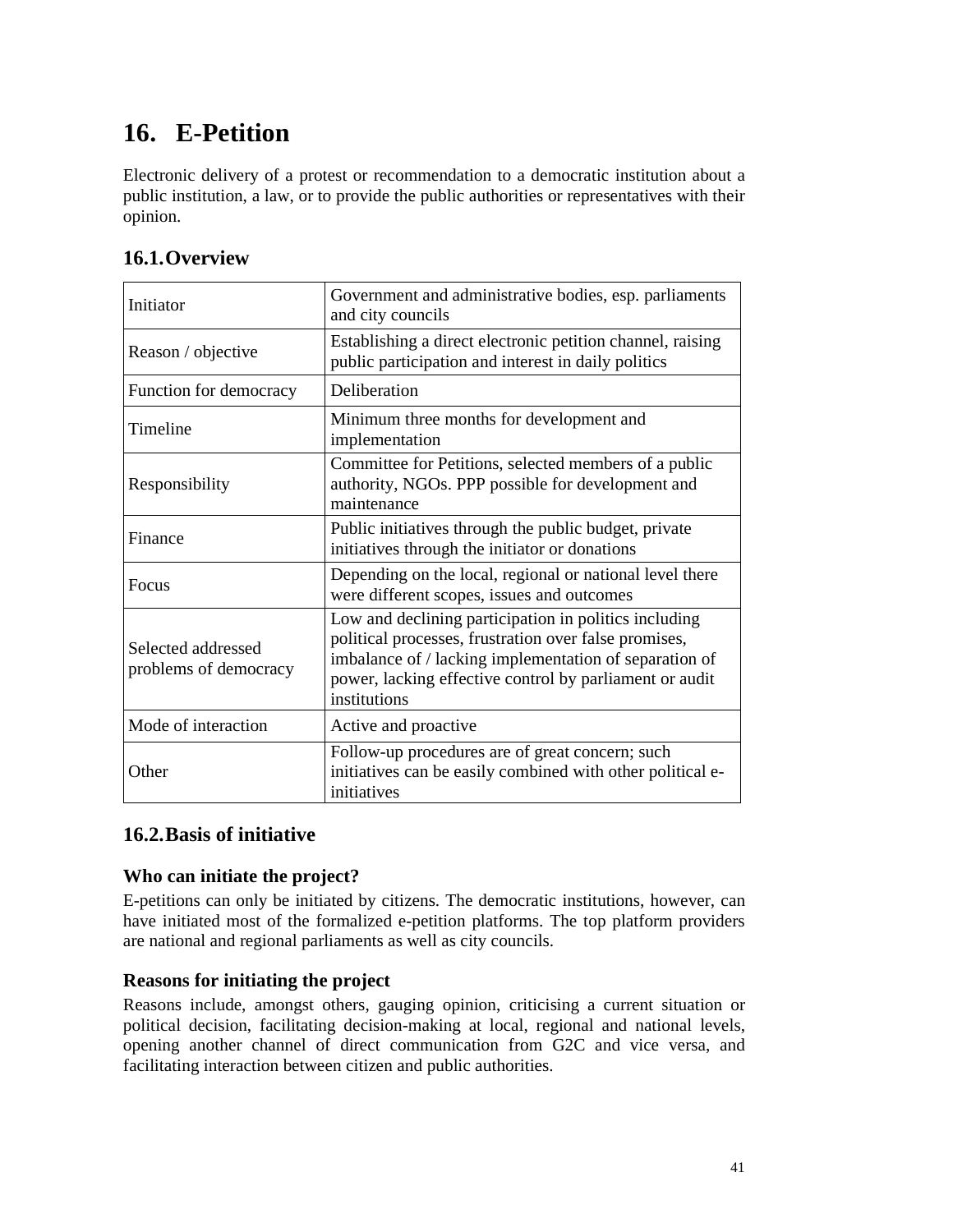# **16. E-Petition**

Electronic delivery of a protest or recommendation to a democratic institution about a public institution, a law, or to provide the public authorities or representatives with their opinion.

| Initiator                                   | Government and administrative bodies, esp. parliaments<br>and city councils                                                                                                                                                                         |
|---------------------------------------------|-----------------------------------------------------------------------------------------------------------------------------------------------------------------------------------------------------------------------------------------------------|
| Reason / objective                          | Establishing a direct electronic petition channel, raising<br>public participation and interest in daily politics                                                                                                                                   |
| Function for democracy                      | Deliberation                                                                                                                                                                                                                                        |
| Timeline                                    | Minimum three months for development and<br>implementation                                                                                                                                                                                          |
| Responsibility                              | Committee for Petitions, selected members of a public<br>authority, NGOs. PPP possible for development and<br>maintenance                                                                                                                           |
| Finance                                     | Public initiatives through the public budget, private<br>initiatives through the initiator or donations                                                                                                                                             |
| <b>Focus</b>                                | Depending on the local, regional or national level there<br>were different scopes, issues and outcomes                                                                                                                                              |
| Selected addressed<br>problems of democracy | Low and declining participation in politics including<br>political processes, frustration over false promises,<br>imbalance of / lacking implementation of separation of<br>power, lacking effective control by parliament or audit<br>institutions |
| Mode of interaction                         | Active and proactive                                                                                                                                                                                                                                |
| Other                                       | Follow-up procedures are of great concern; such<br>initiatives can be easily combined with other political e-<br>initiatives                                                                                                                        |

# **16.2.Basis of initiative**

# **Who can initiate the project?**

E-petitions can only be initiated by citizens. The democratic institutions, however, can have initiated most of the formalized e-petition platforms. The top platform providers are national and regional parliaments as well as city councils.

## **Reasons for initiating the project**

Reasons include, amongst others, gauging opinion, criticising a current situation or political decision, facilitating decision-making at local, regional and national levels, opening another channel of direct communication from G2C and vice versa, and facilitating interaction between citizen and public authorities.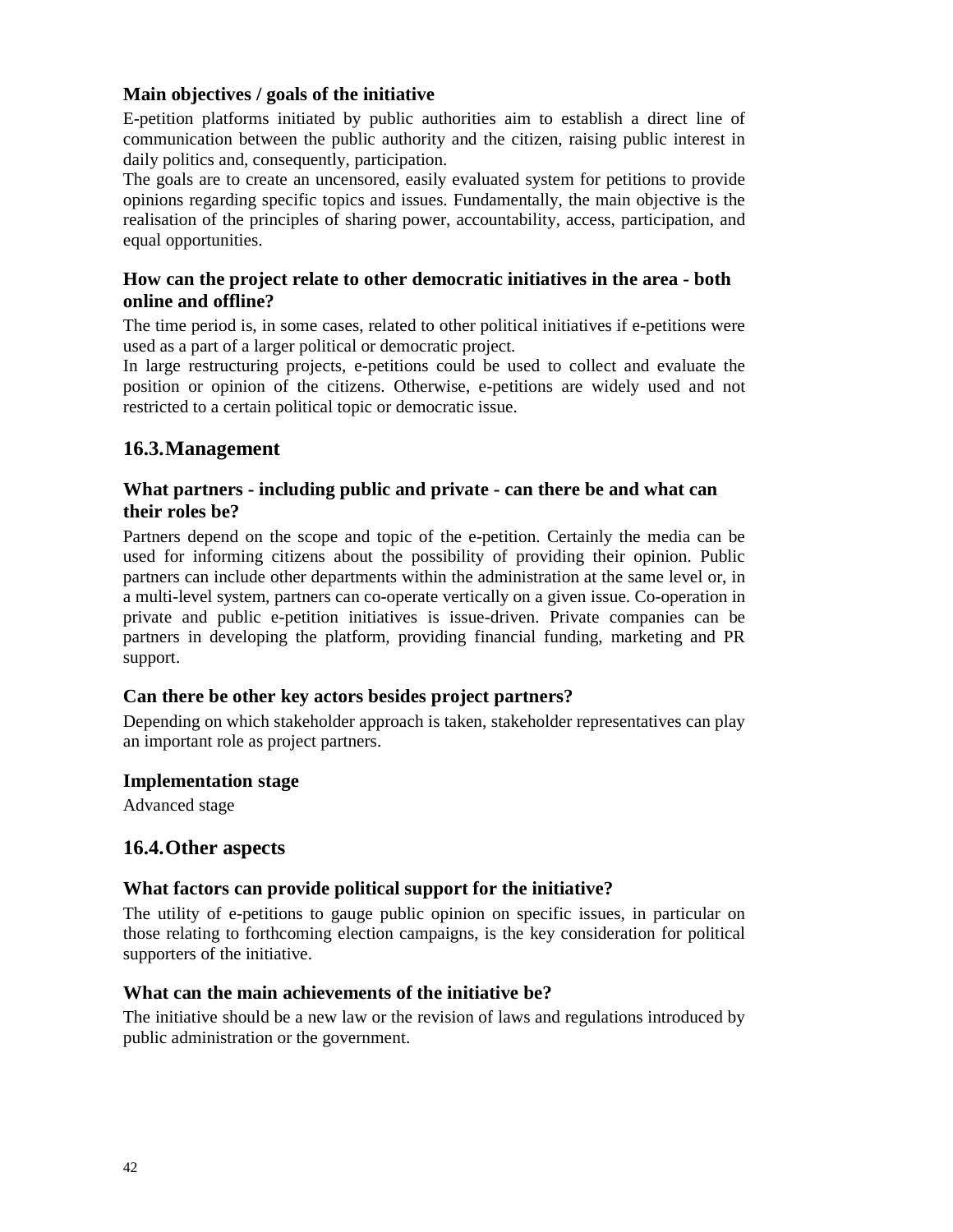## **Main objectives / goals of the initiative**

E-petition platforms initiated by public authorities aim to establish a direct line of communication between the public authority and the citizen, raising public interest in daily politics and, consequently, participation.

The goals are to create an uncensored, easily evaluated system for petitions to provide opinions regarding specific topics and issues. Fundamentally, the main objective is the realisation of the principles of sharing power, accountability, access, participation, and equal opportunities.

# **How can the project relate to other democratic initiatives in the area - both online and offline?**

The time period is, in some cases, related to other political initiatives if e-petitions were used as a part of a larger political or democratic project.

In large restructuring projects, e-petitions could be used to collect and evaluate the position or opinion of the citizens. Otherwise, e-petitions are widely used and not restricted to a certain political topic or democratic issue.

# **16.3.Management**

## **What partners - including public and private - can there be and what can their roles be?**

Partners depend on the scope and topic of the e-petition. Certainly the media can be used for informing citizens about the possibility of providing their opinion. Public partners can include other departments within the administration at the same level or, in a multi-level system, partners can co-operate vertically on a given issue. Co-operation in private and public e-petition initiatives is issue-driven. Private companies can be partners in developing the platform, providing financial funding, marketing and PR support.

## **Can there be other key actors besides project partners?**

Depending on which stakeholder approach is taken, stakeholder representatives can play an important role as project partners.

## **Implementation stage**

Advanced stage

## **16.4.Other aspects**

## **What factors can provide political support for the initiative?**

The utility of e-petitions to gauge public opinion on specific issues, in particular on those relating to forthcoming election campaigns, is the key consideration for political supporters of the initiative.

## **What can the main achievements of the initiative be?**

The initiative should be a new law or the revision of laws and regulations introduced by public administration or the government.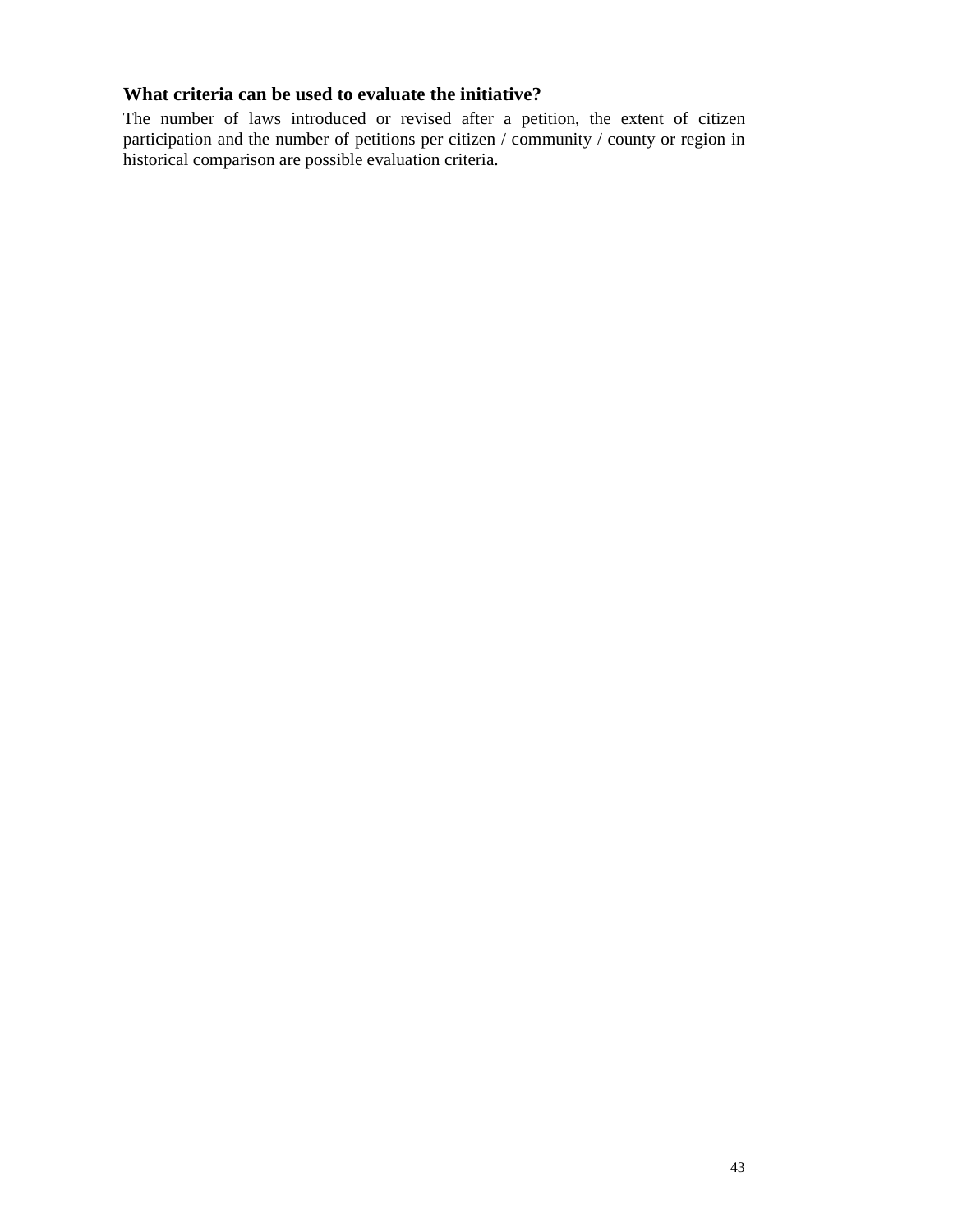# **What criteria can be used to evaluate the initiative?**

The number of laws introduced or revised after a petition, the extent of citizen participation and the number of petitions per citizen / community / county or region in historical comparison are possible evaluation criteria.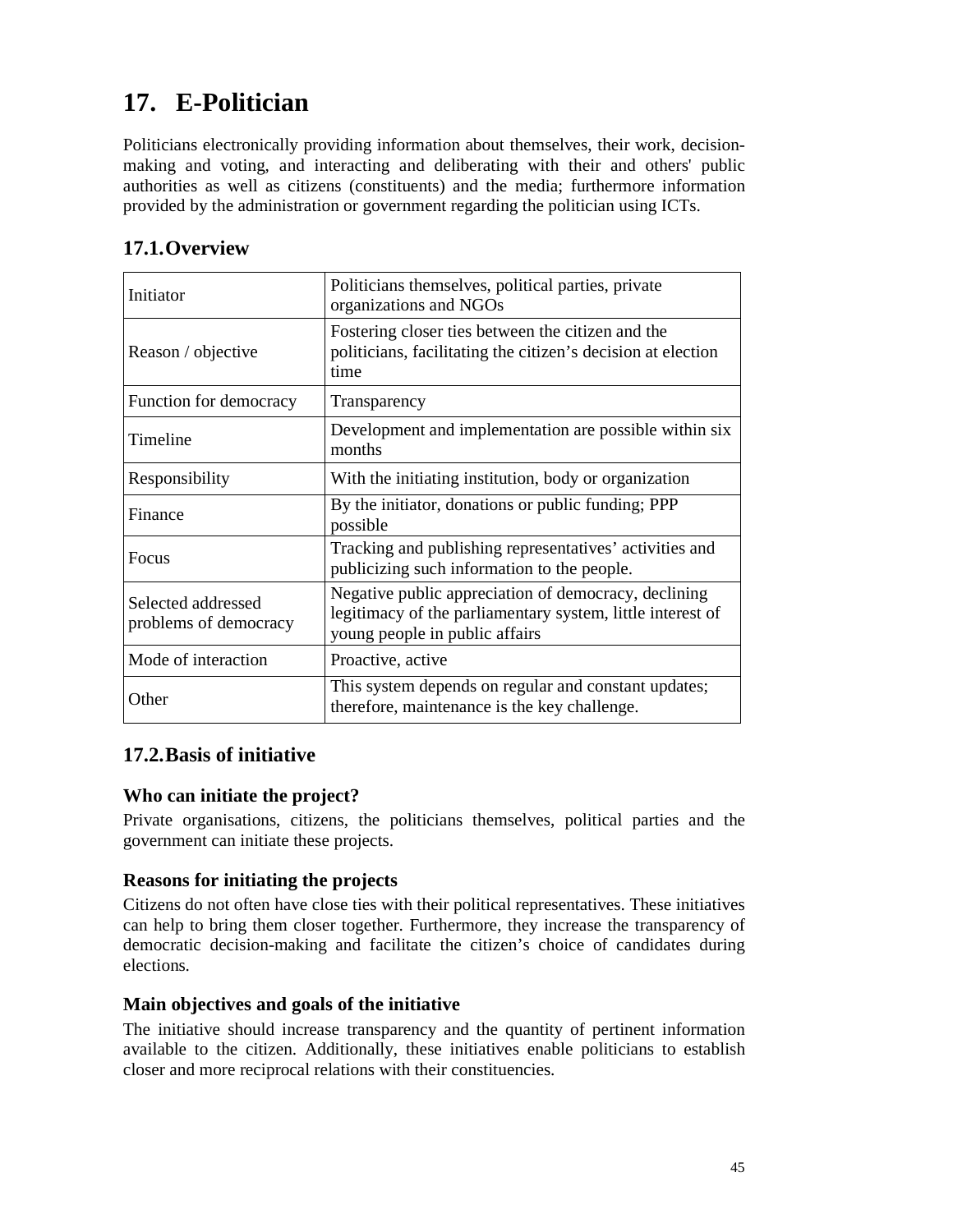# **17. E-Politician**

Politicians electronically providing information about themselves, their work, decisionmaking and voting, and interacting and deliberating with their and others' public authorities as well as citizens (constituents) and the media; furthermore information provided by the administration or government regarding the politician using ICTs.

# **17.1.Overview**

| Initiator                                   | Politicians themselves, political parties, private<br>organizations and NGOs                                                                         |
|---------------------------------------------|------------------------------------------------------------------------------------------------------------------------------------------------------|
| Reason / objective                          | Fostering closer ties between the citizen and the<br>politicians, facilitating the citizen's decision at election<br>time                            |
| Function for democracy                      | Transparency                                                                                                                                         |
| Timeline                                    | Development and implementation are possible within six<br>months                                                                                     |
| Responsibility                              | With the initiating institution, body or organization                                                                                                |
| Finance                                     | By the initiator, donations or public funding; PPP<br>possible                                                                                       |
| <b>Focus</b>                                | Tracking and publishing representatives' activities and<br>publicizing such information to the people.                                               |
| Selected addressed<br>problems of democracy | Negative public appreciation of democracy, declining<br>legitimacy of the parliamentary system, little interest of<br>young people in public affairs |
| Mode of interaction                         | Proactive, active                                                                                                                                    |
| Other                                       | This system depends on regular and constant updates;<br>therefore, maintenance is the key challenge.                                                 |

# **17.2.Basis of initiative**

# **Who can initiate the project?**

Private organisations, citizens, the politicians themselves, political parties and the government can initiate these projects.

# **Reasons for initiating the projects**

Citizens do not often have close ties with their political representatives. These initiatives can help to bring them closer together. Furthermore, they increase the transparency of democratic decision-making and facilitate the citizen's choice of candidates during elections.

## **Main objectives and goals of the initiative**

The initiative should increase transparency and the quantity of pertinent information available to the citizen. Additionally, these initiatives enable politicians to establish closer and more reciprocal relations with their constituencies.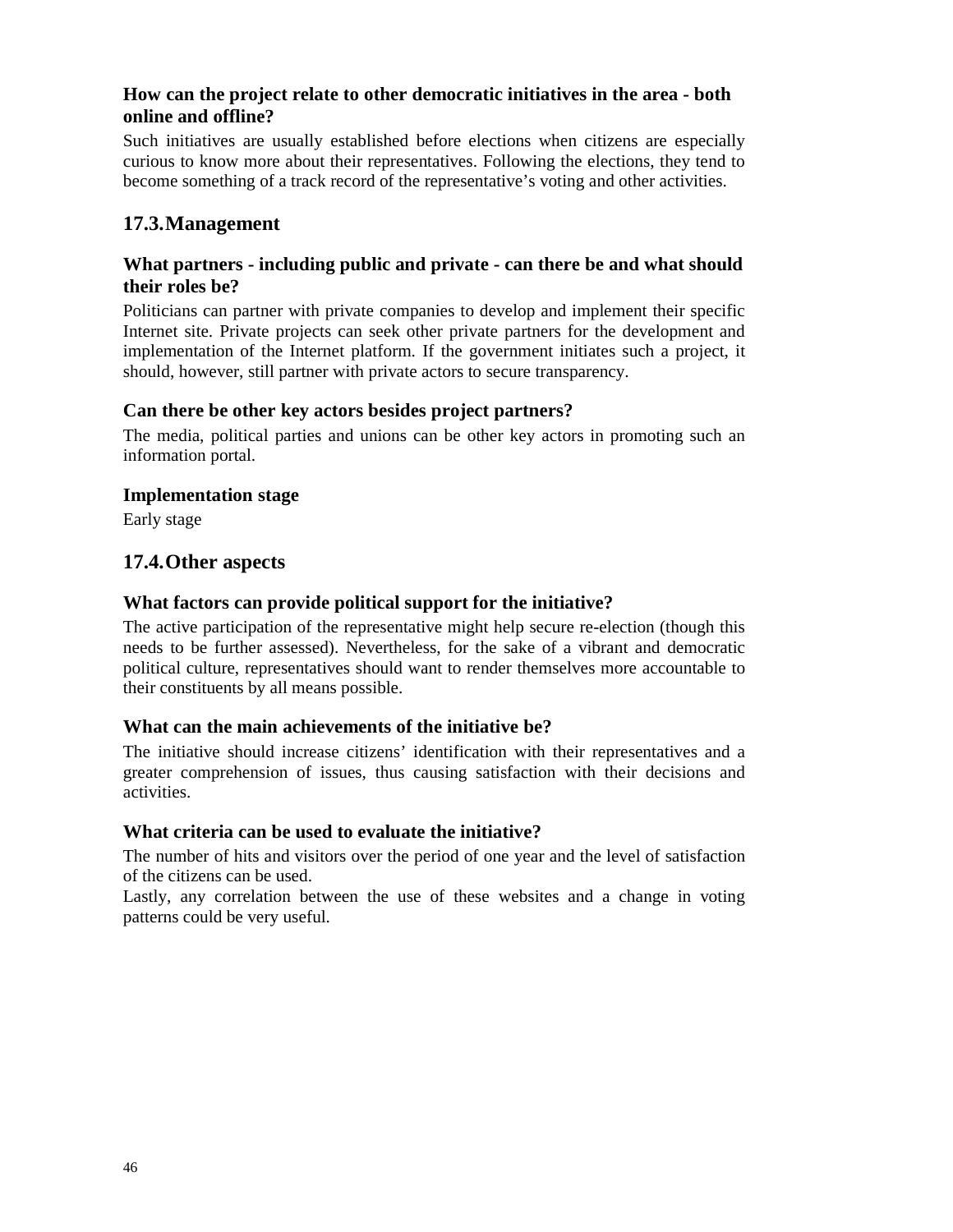# **How can the project relate to other democratic initiatives in the area - both online and offline?**

Such initiatives are usually established before elections when citizens are especially curious to know more about their representatives. Following the elections, they tend to become something of a track record of the representative's voting and other activities.

# **17.3.Management**

## **What partners - including public and private - can there be and what should their roles be?**

Politicians can partner with private companies to develop and implement their specific Internet site. Private projects can seek other private partners for the development and implementation of the Internet platform. If the government initiates such a project, it should, however, still partner with private actors to secure transparency.

## **Can there be other key actors besides project partners?**

The media, political parties and unions can be other key actors in promoting such an information portal.

## **Implementation stage**

Early stage

# **17.4.Other aspects**

# **What factors can provide political support for the initiative?**

The active participation of the representative might help secure re-election (though this needs to be further assessed). Nevertheless, for the sake of a vibrant and democratic political culture, representatives should want to render themselves more accountable to their constituents by all means possible.

## **What can the main achievements of the initiative be?**

The initiative should increase citizens' identification with their representatives and a greater comprehension of issues, thus causing satisfaction with their decisions and activities.

## **What criteria can be used to evaluate the initiative?**

The number of hits and visitors over the period of one year and the level of satisfaction of the citizens can be used.

Lastly, any correlation between the use of these websites and a change in voting patterns could be very useful.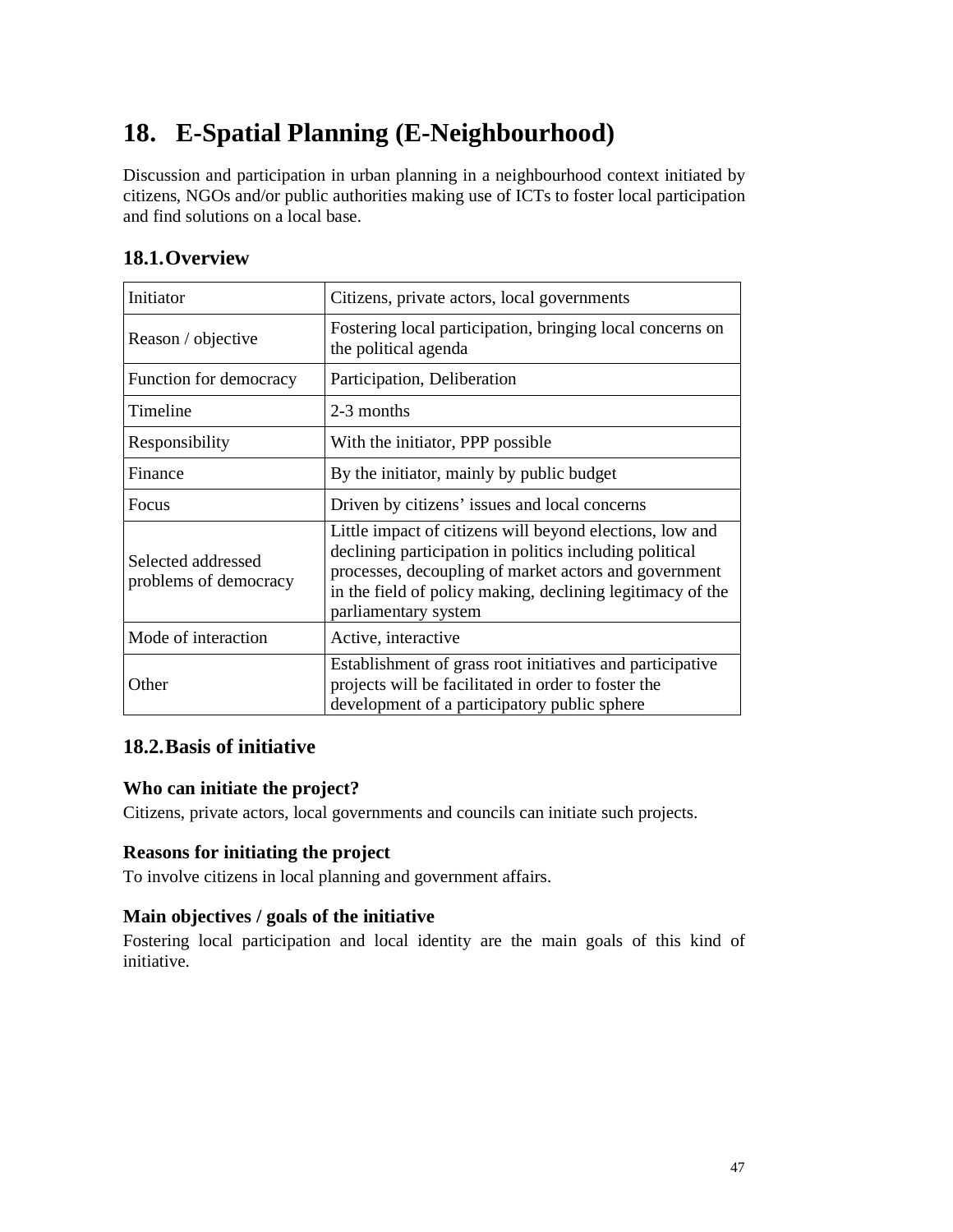# **18. E-Spatial Planning (E-Neighbourhood)**

Discussion and participation in urban planning in a neighbourhood context initiated by citizens, NGOs and/or public authorities making use of ICTs to foster local participation and find solutions on a local base.

| Initiator                                   | Citizens, private actors, local governments                                                                                                                                                                                                                        |
|---------------------------------------------|--------------------------------------------------------------------------------------------------------------------------------------------------------------------------------------------------------------------------------------------------------------------|
| Reason / objective                          | Fostering local participation, bringing local concerns on<br>the political agenda                                                                                                                                                                                  |
| Function for democracy                      | Participation, Deliberation                                                                                                                                                                                                                                        |
| Timeline                                    | 2-3 months                                                                                                                                                                                                                                                         |
| Responsibility                              | With the initiator, PPP possible                                                                                                                                                                                                                                   |
| Finance                                     | By the initiator, mainly by public budget                                                                                                                                                                                                                          |
| Focus                                       | Driven by citizens' issues and local concerns                                                                                                                                                                                                                      |
| Selected addressed<br>problems of democracy | Little impact of citizens will beyond elections, low and<br>declining participation in politics including political<br>processes, decoupling of market actors and government<br>in the field of policy making, declining legitimacy of the<br>parliamentary system |
| Mode of interaction                         | Active, interactive                                                                                                                                                                                                                                                |
| Other                                       | Establishment of grass root initiatives and participative<br>projects will be facilitated in order to foster the<br>development of a participatory public sphere                                                                                                   |

# **18.2.Basis of initiative**

# **Who can initiate the project?**

Citizens, private actors, local governments and councils can initiate such projects.

# **Reasons for initiating the project**

To involve citizens in local planning and government affairs.

## **Main objectives / goals of the initiative**

Fostering local participation and local identity are the main goals of this kind of initiative.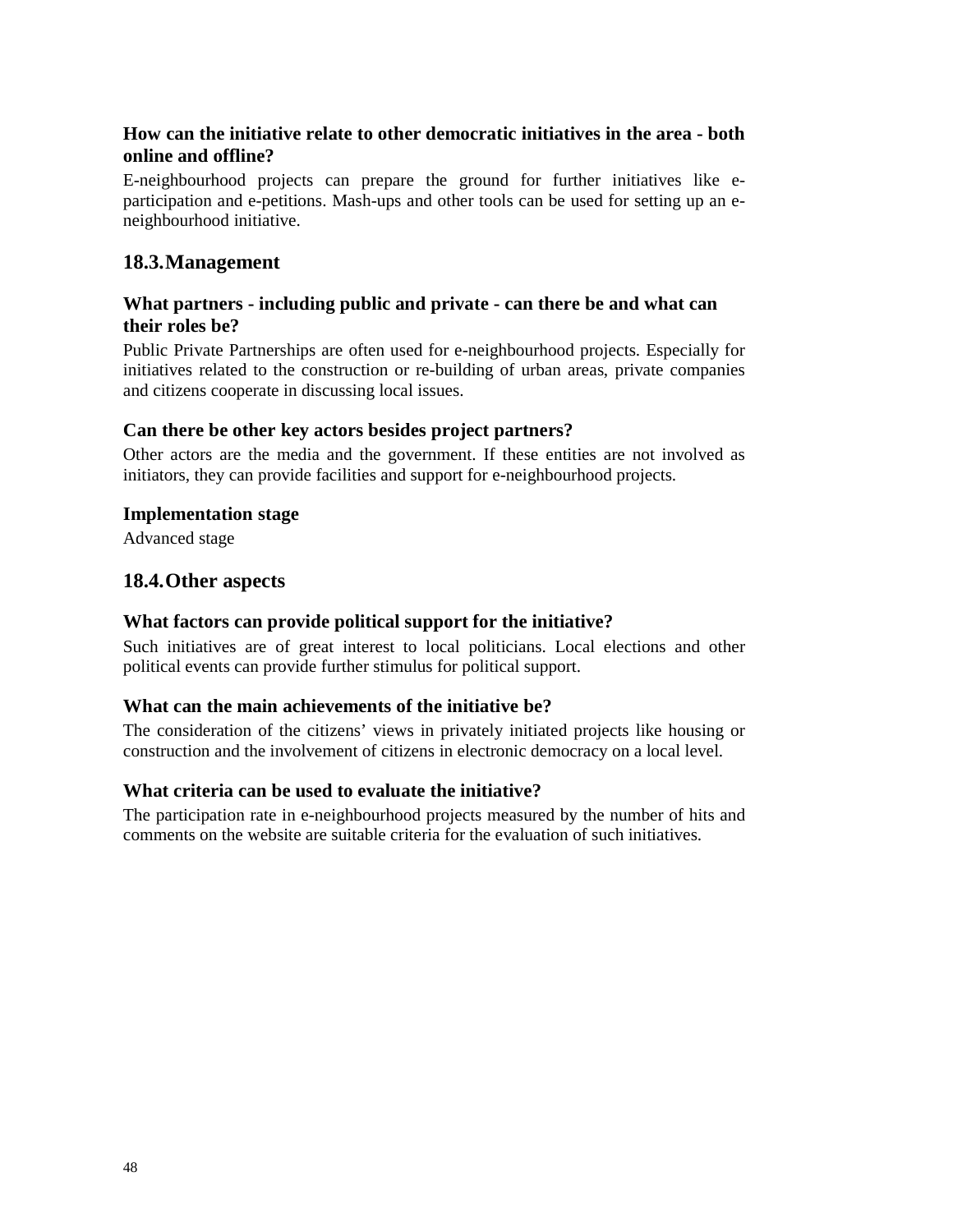# **How can the initiative relate to other democratic initiatives in the area - both online and offline?**

E-neighbourhood projects can prepare the ground for further initiatives like eparticipation and e-petitions. Mash-ups and other tools can be used for setting up an eneighbourhood initiative.

# **18.3.Management**

## **What partners - including public and private - can there be and what can their roles be?**

Public Private Partnerships are often used for e-neighbourhood projects. Especially for initiatives related to the construction or re-building of urban areas, private companies and citizens cooperate in discussing local issues.

## **Can there be other key actors besides project partners?**

Other actors are the media and the government. If these entities are not involved as initiators, they can provide facilities and support for e-neighbourhood projects.

#### **Implementation stage**

Advanced stage

## **18.4.Other aspects**

#### **What factors can provide political support for the initiative?**

Such initiatives are of great interest to local politicians. Local elections and other political events can provide further stimulus for political support.

## **What can the main achievements of the initiative be?**

The consideration of the citizens' views in privately initiated projects like housing or construction and the involvement of citizens in electronic democracy on a local level.

## **What criteria can be used to evaluate the initiative?**

The participation rate in e-neighbourhood projects measured by the number of hits and comments on the website are suitable criteria for the evaluation of such initiatives.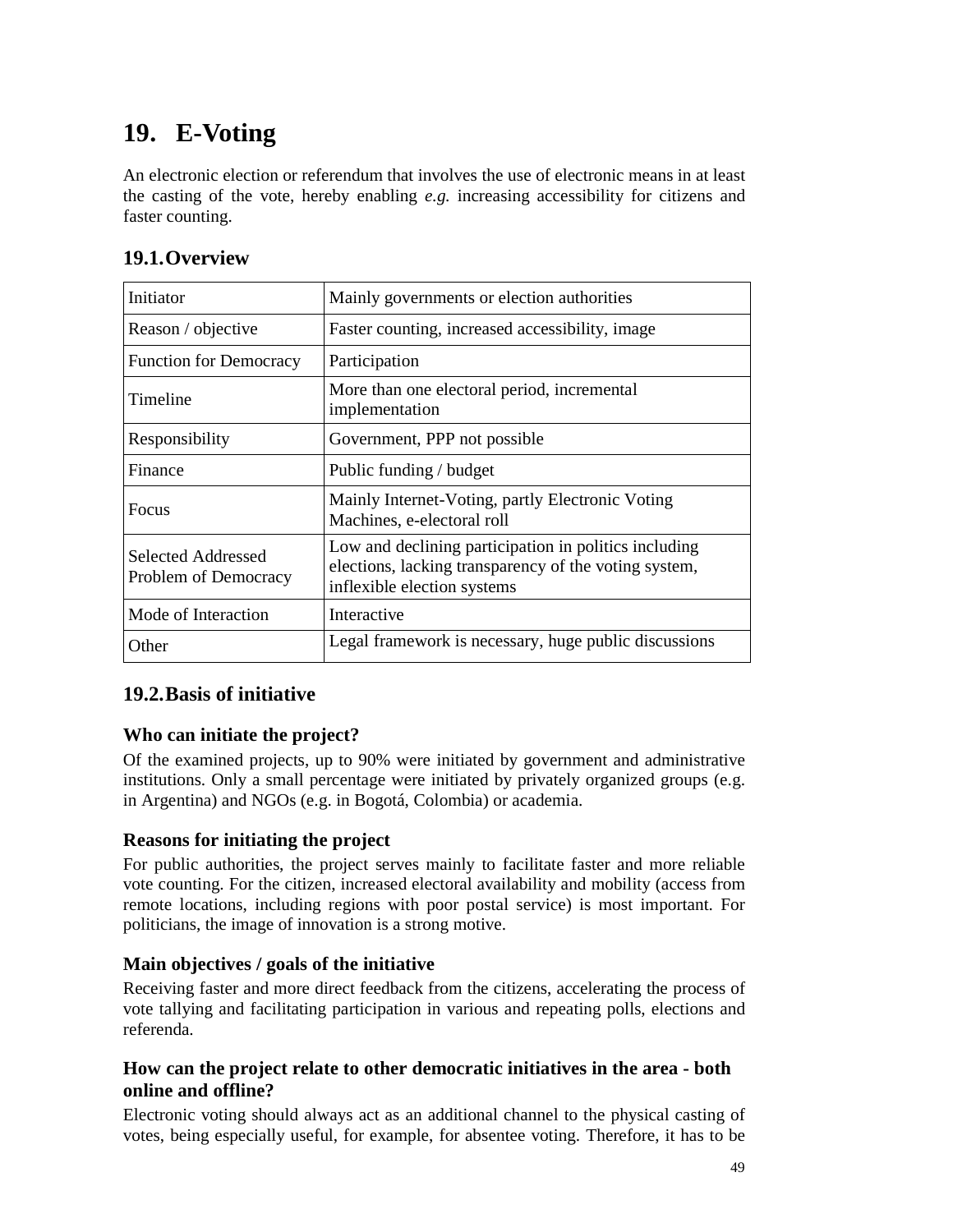# **19. E-Voting**

An electronic election or referendum that involves the use of electronic means in at least the casting of the vote, hereby enabling *e.g.* increasing accessibility for citizens and faster counting.

# **19.1.Overview**

| Initiator                                  | Mainly governments or election authorities                                                                                                    |
|--------------------------------------------|-----------------------------------------------------------------------------------------------------------------------------------------------|
| Reason / objective                         | Faster counting, increased accessibility, image                                                                                               |
| <b>Function for Democracy</b>              | Participation                                                                                                                                 |
| Timeline                                   | More than one electoral period, incremental<br>implementation                                                                                 |
| Responsibility                             | Government, PPP not possible                                                                                                                  |
| Finance                                    | Public funding / budget                                                                                                                       |
| Focus                                      | Mainly Internet-Voting, partly Electronic Voting<br>Machines, e-electoral roll                                                                |
| Selected Addressed<br>Problem of Democracy | Low and declining participation in politics including<br>elections, lacking transparency of the voting system,<br>inflexible election systems |
| Mode of Interaction                        | Interactive                                                                                                                                   |
| Other                                      | Legal framework is necessary, huge public discussions                                                                                         |

# **19.2.Basis of initiative**

# **Who can initiate the project?**

Of the examined projects, up to 90% were initiated by government and administrative institutions. Only a small percentage were initiated by privately organized groups (e.g. in Argentina) and NGOs (e.g. in Bogotá, Colombia) or academia.

# **Reasons for initiating the project**

For public authorities, the project serves mainly to facilitate faster and more reliable vote counting. For the citizen, increased electoral availability and mobility (access from remote locations, including regions with poor postal service) is most important. For politicians, the image of innovation is a strong motive.

# **Main objectives / goals of the initiative**

Receiving faster and more direct feedback from the citizens, accelerating the process of vote tallying and facilitating participation in various and repeating polls, elections and referenda.

# **How can the project relate to other democratic initiatives in the area - both online and offline?**

Electronic voting should always act as an additional channel to the physical casting of votes, being especially useful, for example, for absentee voting. Therefore, it has to be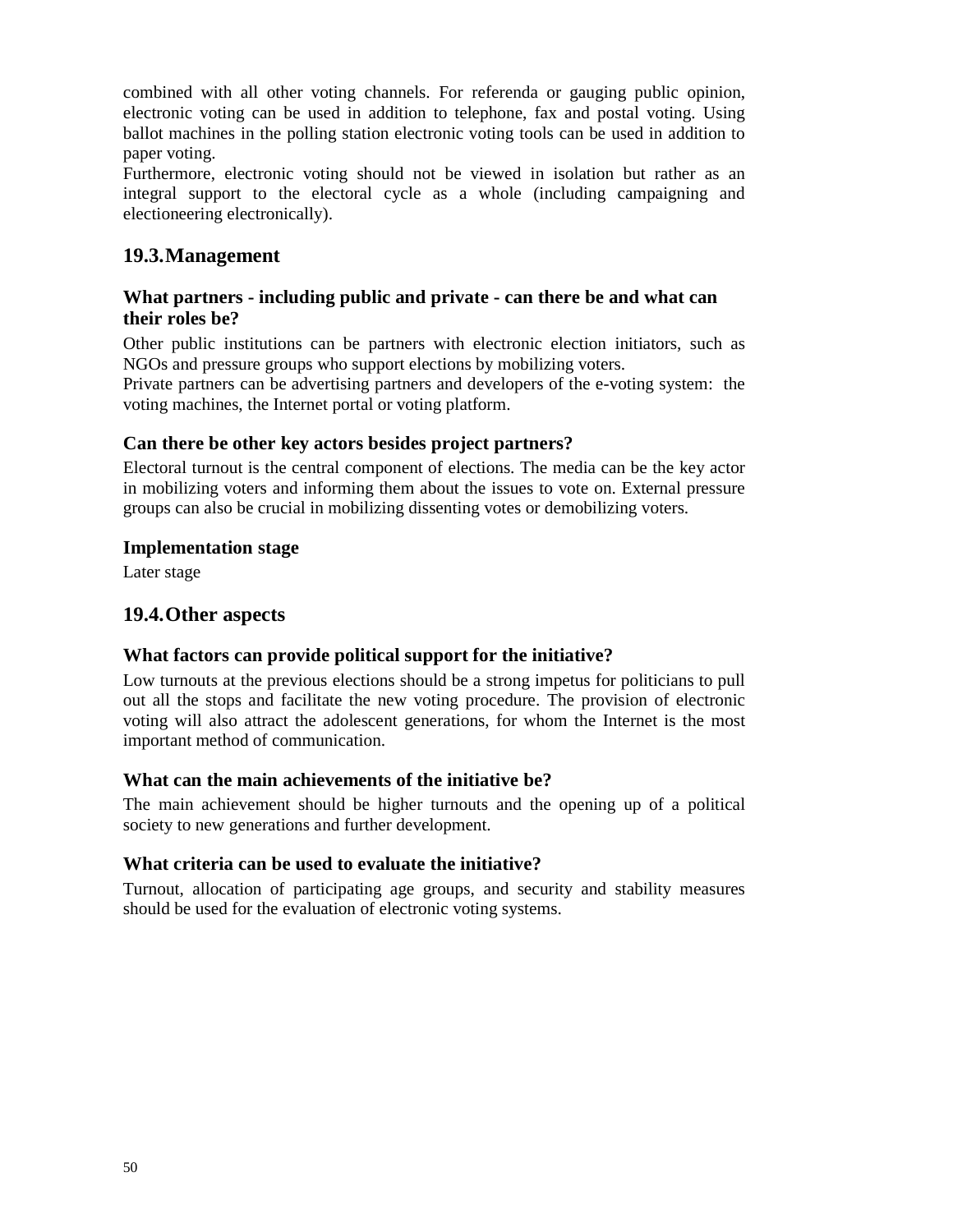combined with all other voting channels. For referenda or gauging public opinion, electronic voting can be used in addition to telephone, fax and postal voting. Using ballot machines in the polling station electronic voting tools can be used in addition to paper voting.

Furthermore, electronic voting should not be viewed in isolation but rather as an integral support to the electoral cycle as a whole (including campaigning and electioneering electronically).

# **19.3.Management**

# **What partners - including public and private - can there be and what can their roles be?**

Other public institutions can be partners with electronic election initiators, such as NGOs and pressure groups who support elections by mobilizing voters.

Private partners can be advertising partners and developers of the e-voting system: the voting machines, the Internet portal or voting platform.

## **Can there be other key actors besides project partners?**

Electoral turnout is the central component of elections. The media can be the key actor in mobilizing voters and informing them about the issues to vote on. External pressure groups can also be crucial in mobilizing dissenting votes or demobilizing voters.

## **Implementation stage**

Later stage

# **19.4.Other aspects**

## **What factors can provide political support for the initiative?**

Low turnouts at the previous elections should be a strong impetus for politicians to pull out all the stops and facilitate the new voting procedure. The provision of electronic voting will also attract the adolescent generations, for whom the Internet is the most important method of communication.

## **What can the main achievements of the initiative be?**

The main achievement should be higher turnouts and the opening up of a political society to new generations and further development.

## **What criteria can be used to evaluate the initiative?**

Turnout, allocation of participating age groups, and security and stability measures should be used for the evaluation of electronic voting systems.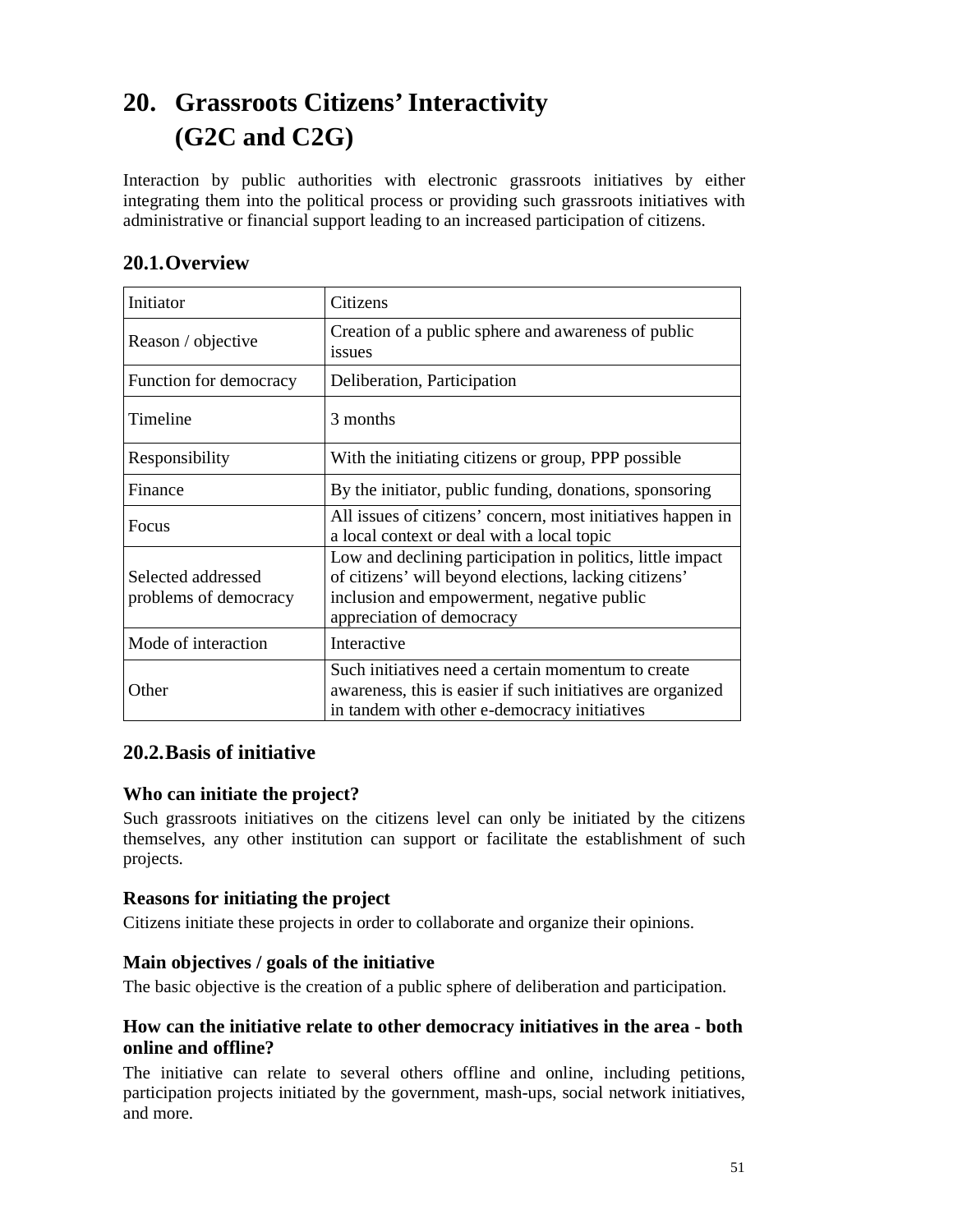# **20. Grassroots Citizens' Interactivity (G2C and C2G)**

Interaction by public authorities with electronic grassroots initiatives by either integrating them into the political process or providing such grassroots initiatives with administrative or financial support leading to an increased participation of citizens.

| Initiator                                   | Citizens                                                                                                                                                                                       |
|---------------------------------------------|------------------------------------------------------------------------------------------------------------------------------------------------------------------------------------------------|
| Reason / objective                          | Creation of a public sphere and awareness of public<br>issues                                                                                                                                  |
| Function for democracy                      | Deliberation, Participation                                                                                                                                                                    |
| Timeline                                    | 3 months                                                                                                                                                                                       |
| Responsibility                              | With the initiating citizens or group, PPP possible                                                                                                                                            |
| Finance                                     | By the initiator, public funding, donations, sponsoring                                                                                                                                        |
| Focus                                       | All issues of citizens' concern, most initiatives happen in<br>a local context or deal with a local topic                                                                                      |
| Selected addressed<br>problems of democracy | Low and declining participation in politics, little impact<br>of citizens' will beyond elections, lacking citizens'<br>inclusion and empowerment, negative public<br>appreciation of democracy |
| Mode of interaction                         | Interactive                                                                                                                                                                                    |
| Other                                       | Such initiatives need a certain momentum to create<br>awareness, this is easier if such initiatives are organized<br>in tandem with other e-democracy initiatives                              |

# **20.2.Basis of initiative**

# **Who can initiate the project?**

Such grassroots initiatives on the citizens level can only be initiated by the citizens themselves, any other institution can support or facilitate the establishment of such projects.

# **Reasons for initiating the project**

Citizens initiate these projects in order to collaborate and organize their opinions.

## **Main objectives / goals of the initiative**

The basic objective is the creation of a public sphere of deliberation and participation.

# **How can the initiative relate to other democracy initiatives in the area - both online and offline?**

The initiative can relate to several others offline and online, including petitions, participation projects initiated by the government, mash-ups, social network initiatives, and more.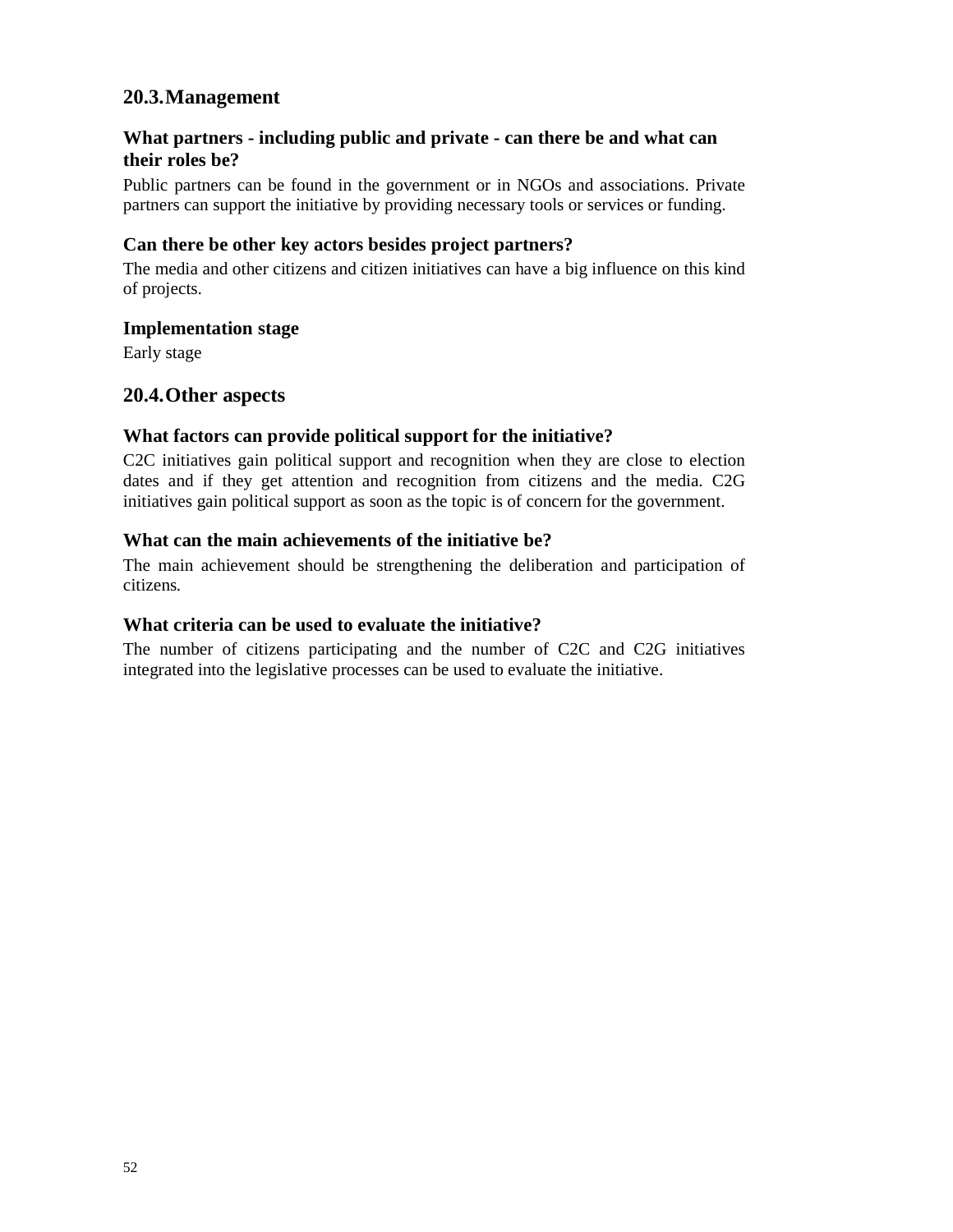# **What partners - including public and private - can there be and what can their roles be?**

Public partners can be found in the government or in NGOs and associations. Private partners can support the initiative by providing necessary tools or services or funding.

## **Can there be other key actors besides project partners?**

The media and other citizens and citizen initiatives can have a big influence on this kind of projects.

#### **Implementation stage**

Early stage

# **20.4.Other aspects**

## **What factors can provide political support for the initiative?**

C2C initiatives gain political support and recognition when they are close to election dates and if they get attention and recognition from citizens and the media. C2G initiatives gain political support as soon as the topic is of concern for the government.

## **What can the main achievements of the initiative be?**

The main achievement should be strengthening the deliberation and participation of citizens.

## **What criteria can be used to evaluate the initiative?**

The number of citizens participating and the number of C2C and C2G initiatives integrated into the legislative processes can be used to evaluate the initiative.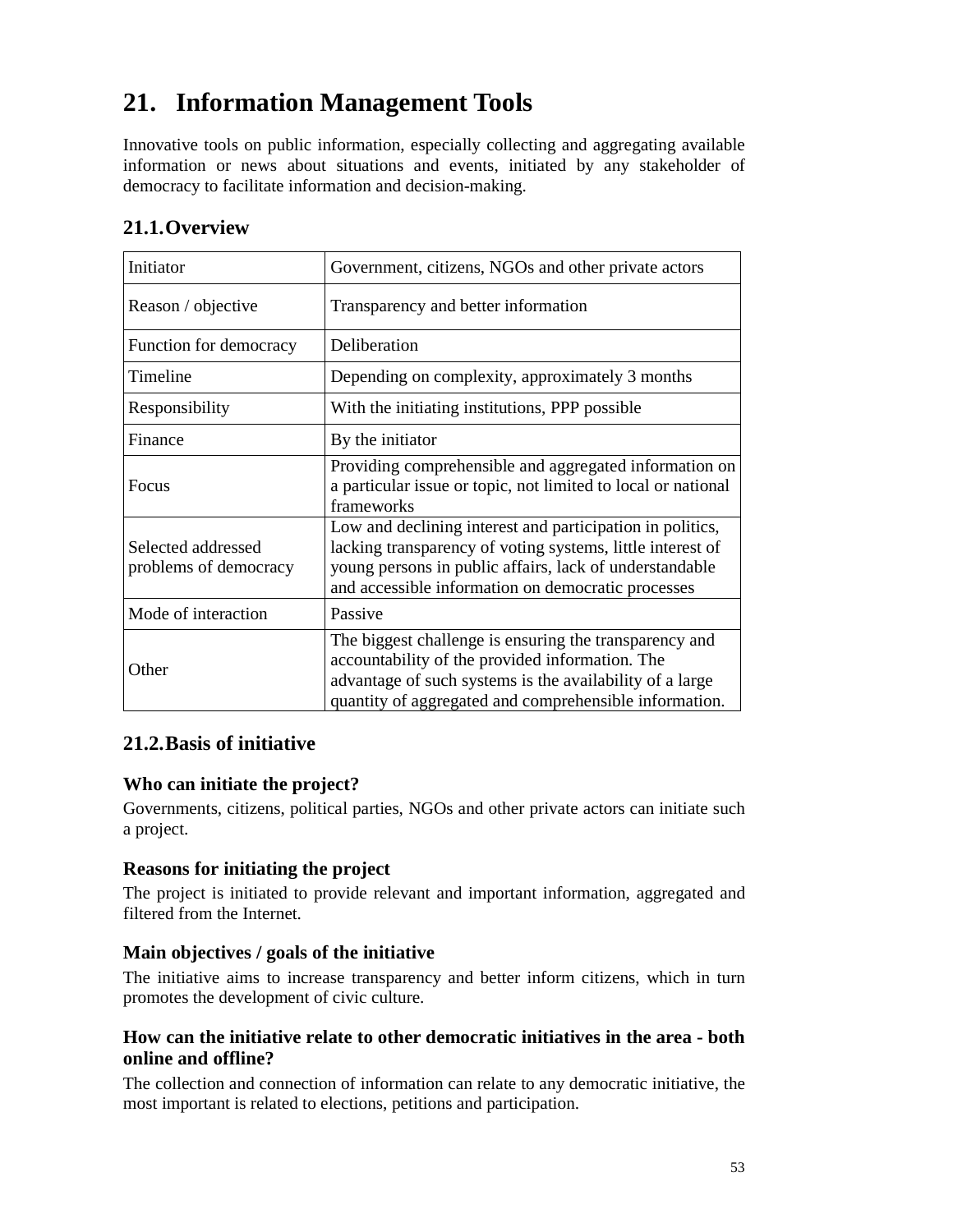# **21. Information Management Tools**

Innovative tools on public information, especially collecting and aggregating available information or news about situations and events, initiated by any stakeholder of democracy to facilitate information and decision-making.

| Initiator                                   | Government, citizens, NGOs and other private actors                                                                                                                                                                                      |
|---------------------------------------------|------------------------------------------------------------------------------------------------------------------------------------------------------------------------------------------------------------------------------------------|
| Reason / objective                          | Transparency and better information                                                                                                                                                                                                      |
| Function for democracy                      | Deliberation                                                                                                                                                                                                                             |
| Timeline                                    | Depending on complexity, approximately 3 months                                                                                                                                                                                          |
| Responsibility                              | With the initiating institutions, PPP possible                                                                                                                                                                                           |
| Finance                                     | By the initiator                                                                                                                                                                                                                         |
| Focus                                       | Providing comprehensible and aggregated information on<br>a particular issue or topic, not limited to local or national<br>frameworks                                                                                                    |
| Selected addressed<br>problems of democracy | Low and declining interest and participation in politics,<br>lacking transparency of voting systems, little interest of<br>young persons in public affairs, lack of understandable<br>and accessible information on democratic processes |
| Mode of interaction                         | Passive                                                                                                                                                                                                                                  |
| Other                                       | The biggest challenge is ensuring the transparency and<br>accountability of the provided information. The<br>advantage of such systems is the availability of a large<br>quantity of aggregated and comprehensible information.          |

# **21.2.Basis of initiative**

# **Who can initiate the project?**

Governments, citizens, political parties, NGOs and other private actors can initiate such a project.

## **Reasons for initiating the project**

The project is initiated to provide relevant and important information, aggregated and filtered from the Internet.

## **Main objectives / goals of the initiative**

The initiative aims to increase transparency and better inform citizens, which in turn promotes the development of civic culture.

# **How can the initiative relate to other democratic initiatives in the area - both online and offline?**

The collection and connection of information can relate to any democratic initiative, the most important is related to elections, petitions and participation.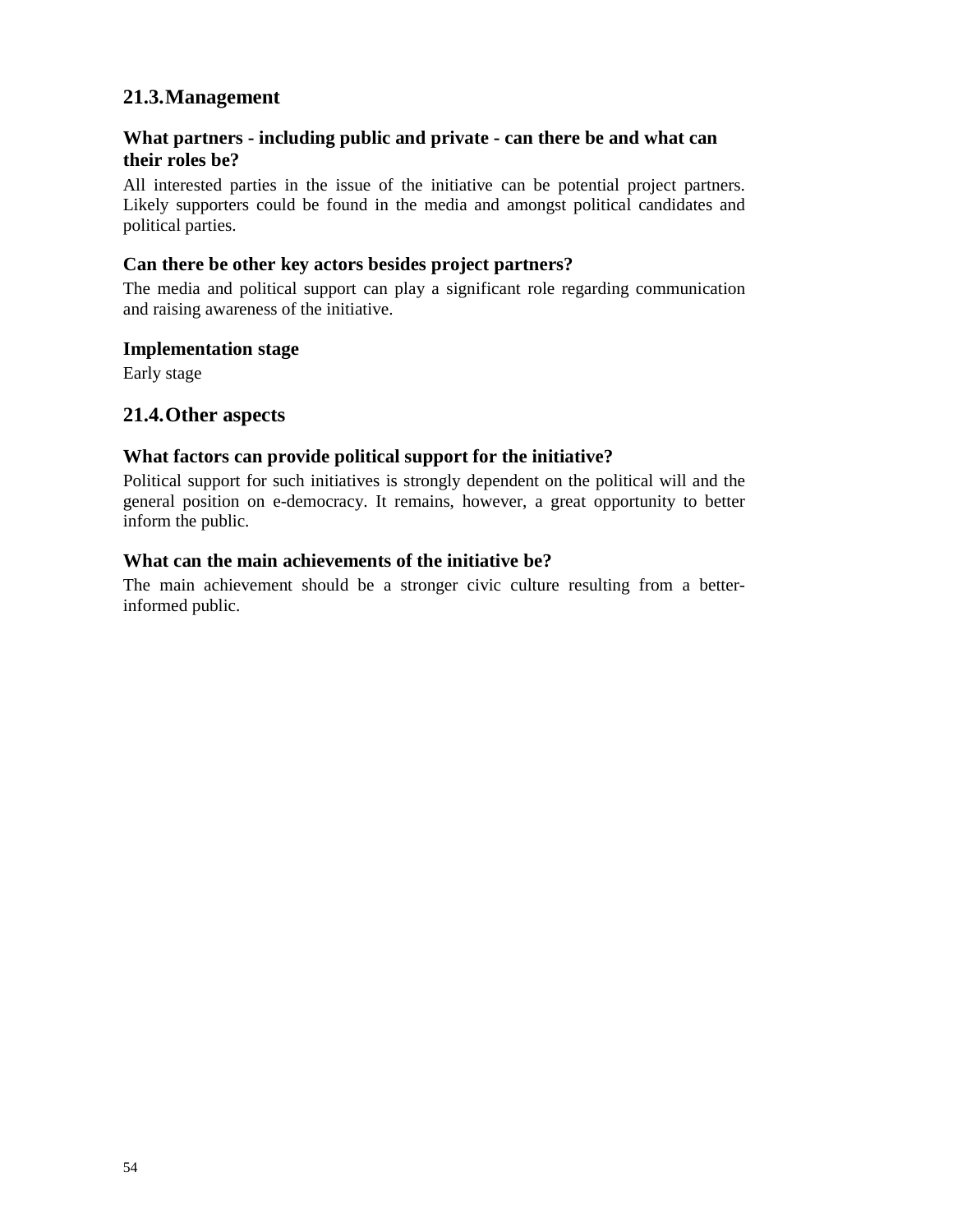# **What partners - including public and private - can there be and what can their roles be?**

All interested parties in the issue of the initiative can be potential project partners. Likely supporters could be found in the media and amongst political candidates and political parties.

# **Can there be other key actors besides project partners?**

The media and political support can play a significant role regarding communication and raising awareness of the initiative.

## **Implementation stage**

Early stage

# **21.4.Other aspects**

## **What factors can provide political support for the initiative?**

Political support for such initiatives is strongly dependent on the political will and the general position on e-democracy. It remains, however, a great opportunity to better inform the public.

## **What can the main achievements of the initiative be?**

The main achievement should be a stronger civic culture resulting from a betterinformed public.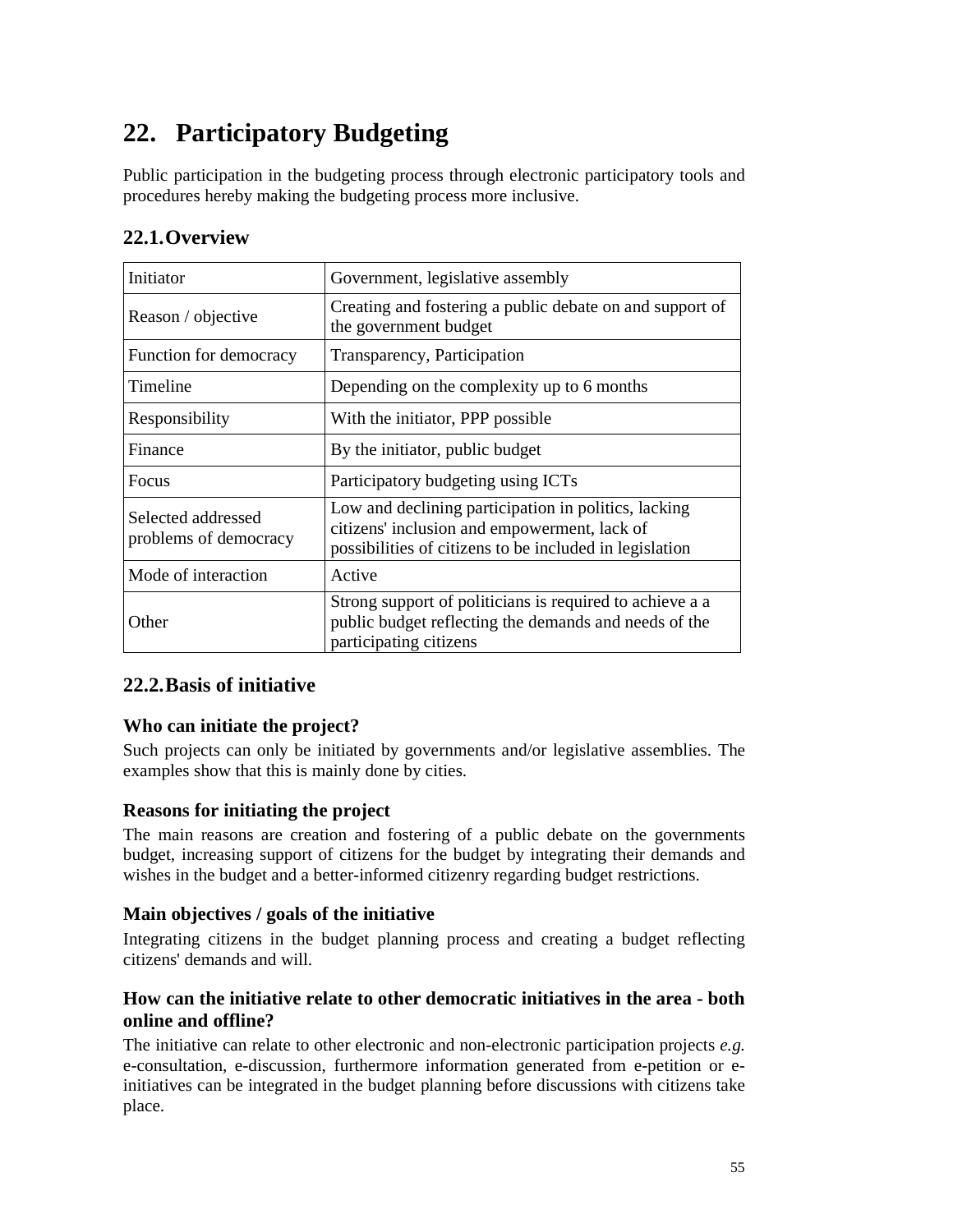# **22. Participatory Budgeting**

Public participation in the budgeting process through electronic participatory tools and procedures hereby making the budgeting process more inclusive.

# **22.1.Overview**

| Initiator                                   | Government, legislative assembly                                                                                                                                |
|---------------------------------------------|-----------------------------------------------------------------------------------------------------------------------------------------------------------------|
| Reason / objective                          | Creating and fostering a public debate on and support of<br>the government budget                                                                               |
| Function for democracy                      | Transparency, Participation                                                                                                                                     |
| Timeline                                    | Depending on the complexity up to 6 months                                                                                                                      |
| Responsibility                              | With the initiator, PPP possible.                                                                                                                               |
| Finance                                     | By the initiator, public budget                                                                                                                                 |
| Focus                                       | Participatory budgeting using ICTs                                                                                                                              |
| Selected addressed<br>problems of democracy | Low and declining participation in politics, lacking<br>citizens' inclusion and empowerment, lack of<br>possibilities of citizens to be included in legislation |
| Mode of interaction                         | Active                                                                                                                                                          |
| Other                                       | Strong support of politicians is required to achieve a a<br>public budget reflecting the demands and needs of the<br>participating citizens                     |

# **22.2.Basis of initiative**

# **Who can initiate the project?**

Such projects can only be initiated by governments and/or legislative assemblies. The examples show that this is mainly done by cities.

# **Reasons for initiating the project**

The main reasons are creation and fostering of a public debate on the governments budget, increasing support of citizens for the budget by integrating their demands and wishes in the budget and a better-informed citizenry regarding budget restrictions.

## **Main objectives / goals of the initiative**

Integrating citizens in the budget planning process and creating a budget reflecting citizens' demands and will.

# **How can the initiative relate to other democratic initiatives in the area - both online and offline?**

The initiative can relate to other electronic and non-electronic participation projects *e.g.* e-consultation, e-discussion, furthermore information generated from e-petition or einitiatives can be integrated in the budget planning before discussions with citizens take place.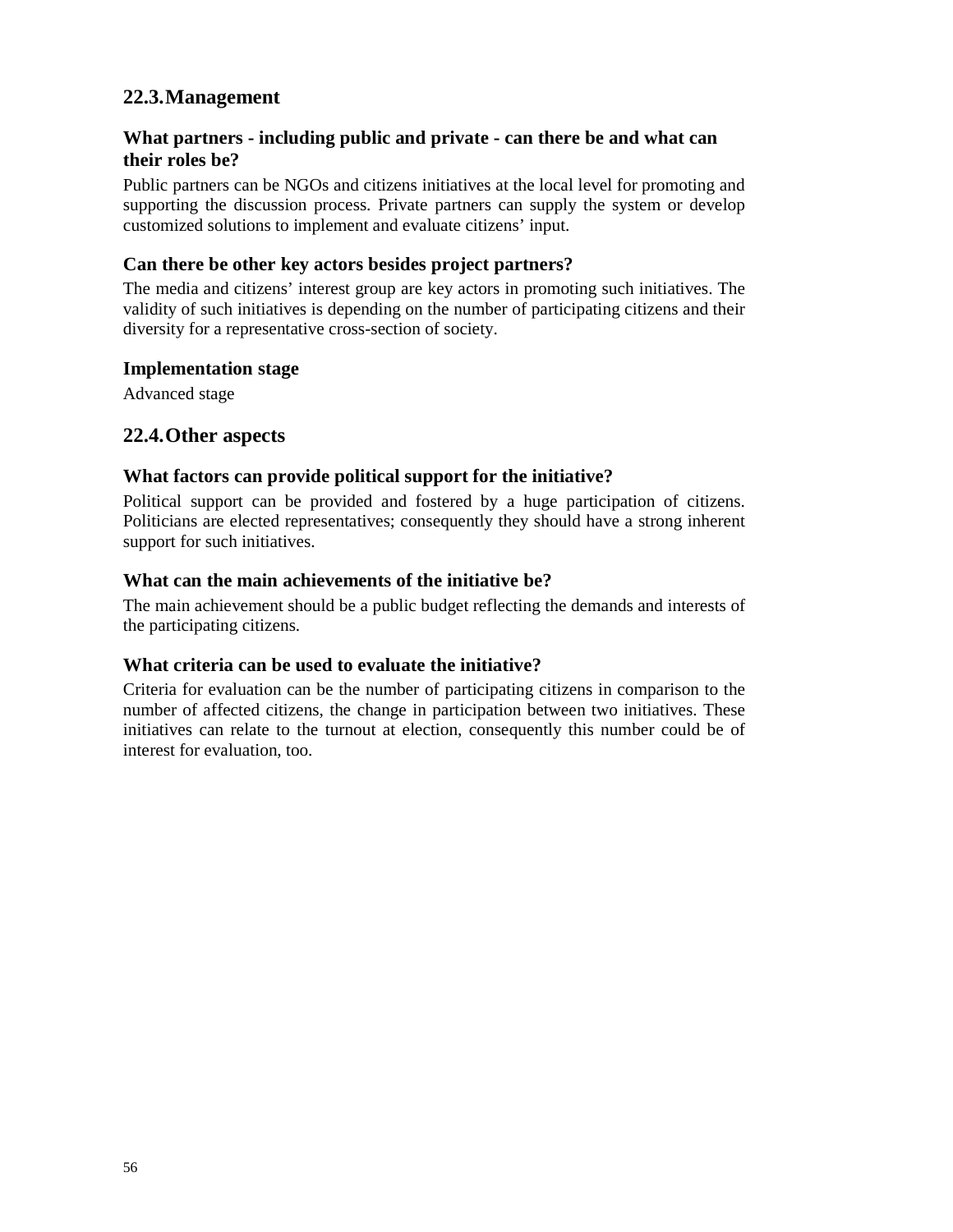# **What partners - including public and private - can there be and what can their roles be?**

Public partners can be NGOs and citizens initiatives at the local level for promoting and supporting the discussion process. Private partners can supply the system or develop customized solutions to implement and evaluate citizens' input.

## **Can there be other key actors besides project partners?**

The media and citizens' interest group are key actors in promoting such initiatives. The validity of such initiatives is depending on the number of participating citizens and their diversity for a representative cross-section of society.

#### **Implementation stage**

Advanced stage

# **22.4.Other aspects**

## **What factors can provide political support for the initiative?**

Political support can be provided and fostered by a huge participation of citizens. Politicians are elected representatives; consequently they should have a strong inherent support for such initiatives.

#### **What can the main achievements of the initiative be?**

The main achievement should be a public budget reflecting the demands and interests of the participating citizens.

## **What criteria can be used to evaluate the initiative?**

Criteria for evaluation can be the number of participating citizens in comparison to the number of affected citizens, the change in participation between two initiatives. These initiatives can relate to the turnout at election, consequently this number could be of interest for evaluation, too.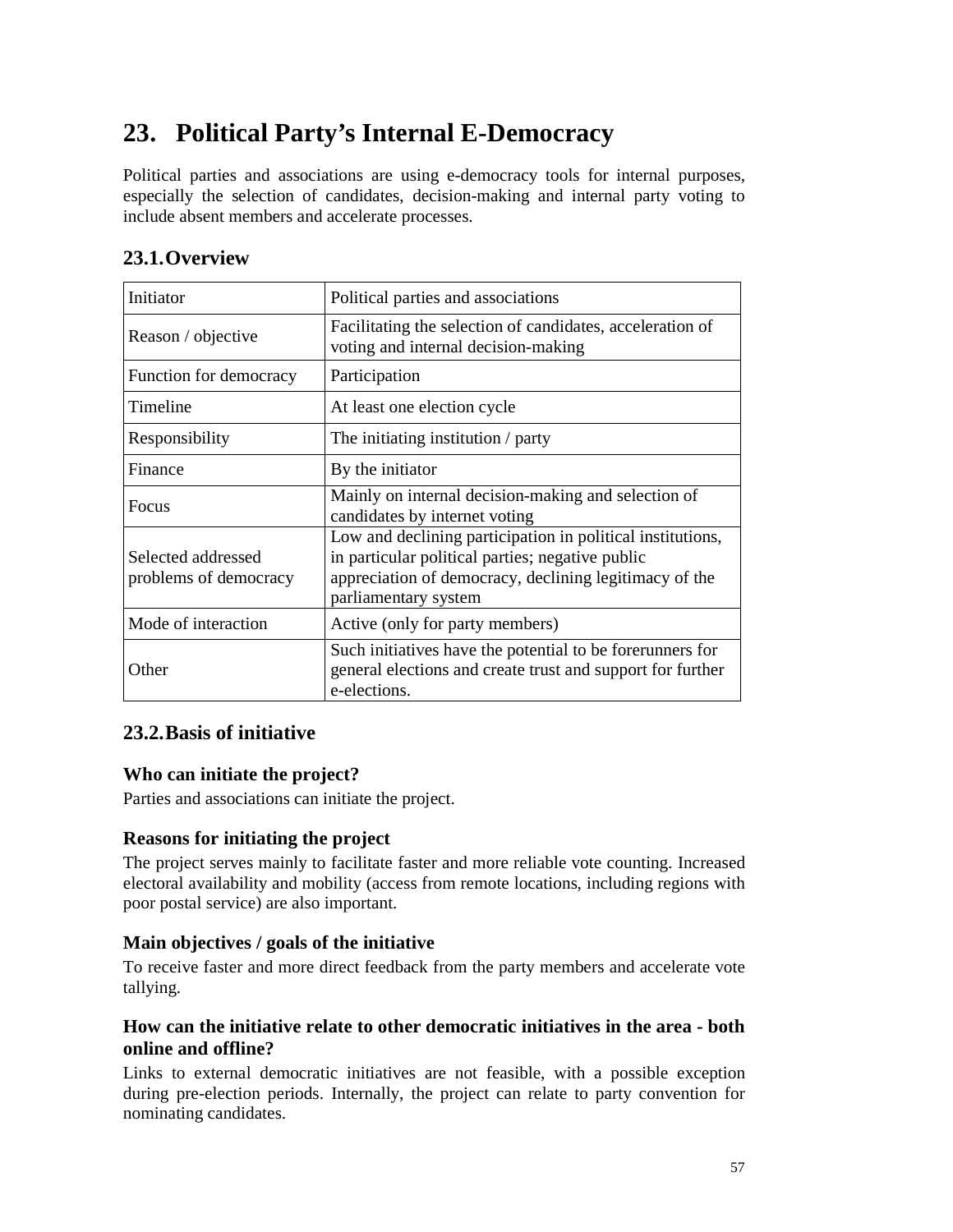# **23. Political Party's Internal E-Democracy**

Political parties and associations are using e-democracy tools for internal purposes, especially the selection of candidates, decision-making and internal party voting to include absent members and accelerate processes.

| Initiator                                   | Political parties and associations                                                                                                                                                               |
|---------------------------------------------|--------------------------------------------------------------------------------------------------------------------------------------------------------------------------------------------------|
| Reason / objective                          | Facilitating the selection of candidates, acceleration of<br>voting and internal decision-making                                                                                                 |
| Function for democracy                      | Participation                                                                                                                                                                                    |
| Timeline                                    | At least one election cycle                                                                                                                                                                      |
| Responsibility                              | The initiating institution $/$ party                                                                                                                                                             |
| Finance                                     | By the initiator                                                                                                                                                                                 |
| Focus                                       | Mainly on internal decision-making and selection of<br>candidates by internet voting                                                                                                             |
| Selected addressed<br>problems of democracy | Low and declining participation in political institutions,<br>in particular political parties; negative public<br>appreciation of democracy, declining legitimacy of the<br>parliamentary system |
| Mode of interaction                         | Active (only for party members)                                                                                                                                                                  |
| Other                                       | Such initiatives have the potential to be forerunners for<br>general elections and create trust and support for further<br>e-elections.                                                          |

# **23.2.Basis of initiative**

# **Who can initiate the project?**

Parties and associations can initiate the project.

# **Reasons for initiating the project**

The project serves mainly to facilitate faster and more reliable vote counting. Increased electoral availability and mobility (access from remote locations, including regions with poor postal service) are also important.

# **Main objectives / goals of the initiative**

To receive faster and more direct feedback from the party members and accelerate vote tallying.

# **How can the initiative relate to other democratic initiatives in the area - both online and offline?**

Links to external democratic initiatives are not feasible, with a possible exception during pre-election periods. Internally, the project can relate to party convention for nominating candidates.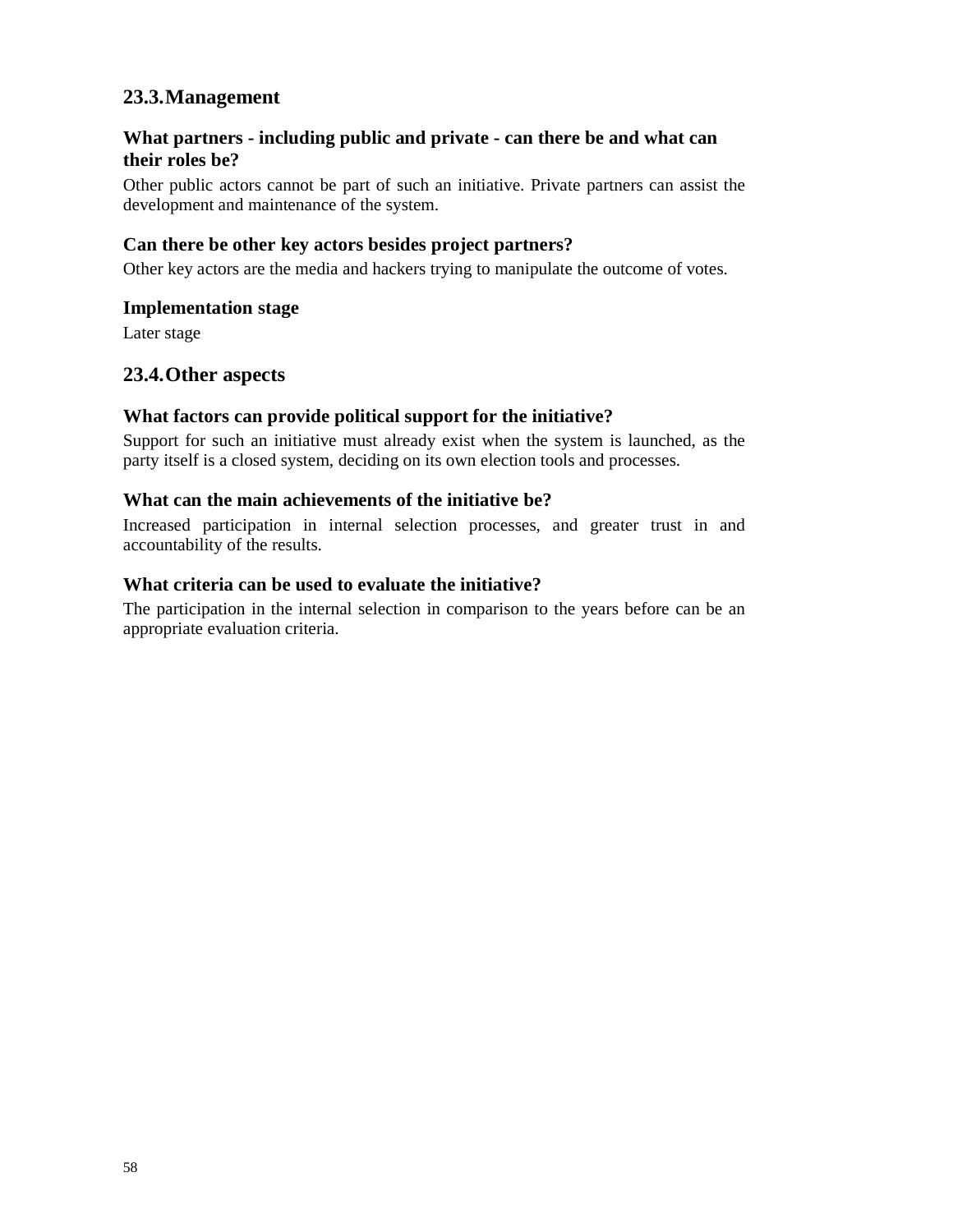# **What partners - including public and private - can there be and what can their roles be?**

Other public actors cannot be part of such an initiative. Private partners can assist the development and maintenance of the system.

#### **Can there be other key actors besides project partners?**

Other key actors are the media and hackers trying to manipulate the outcome of votes.

#### **Implementation stage**

Later stage

# **23.4.Other aspects**

#### **What factors can provide political support for the initiative?**

Support for such an initiative must already exist when the system is launched, as the party itself is a closed system, deciding on its own election tools and processes.

#### **What can the main achievements of the initiative be?**

Increased participation in internal selection processes, and greater trust in and accountability of the results.

#### **What criteria can be used to evaluate the initiative?**

The participation in the internal selection in comparison to the years before can be an appropriate evaluation criteria.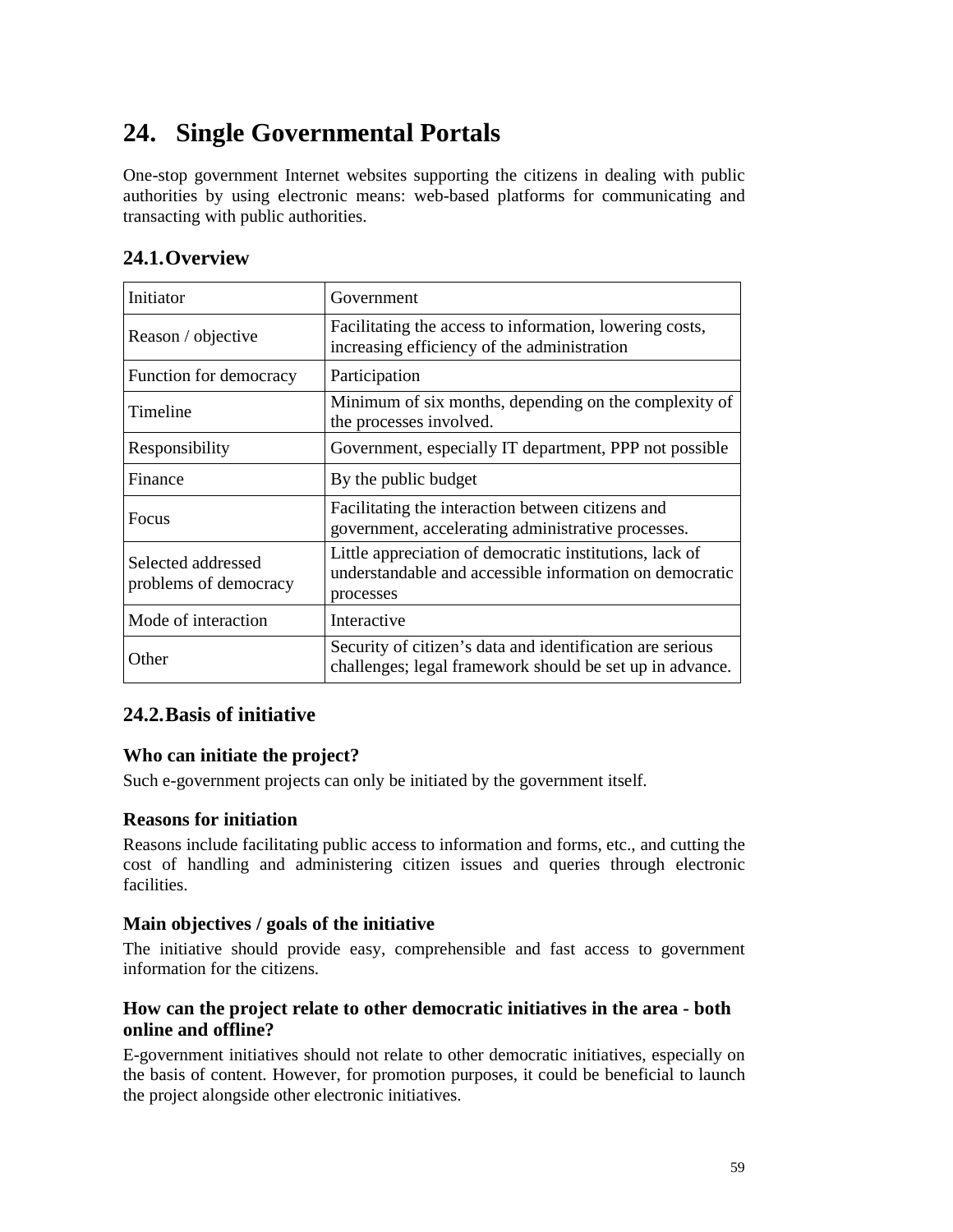# **24. Single Governmental Portals**

One-stop government Internet websites supporting the citizens in dealing with public authorities by using electronic means: web-based platforms for communicating and transacting with public authorities.

| Initiator                                   | Government                                                                                                                      |
|---------------------------------------------|---------------------------------------------------------------------------------------------------------------------------------|
| Reason / objective                          | Facilitating the access to information, lowering costs,<br>increasing efficiency of the administration                          |
| Function for democracy                      | Participation                                                                                                                   |
| Timeline                                    | Minimum of six months, depending on the complexity of<br>the processes involved.                                                |
| Responsibility                              | Government, especially IT department, PPP not possible                                                                          |
| Finance                                     | By the public budget                                                                                                            |
| <b>Focus</b>                                | Facilitating the interaction between citizens and<br>government, accelerating administrative processes.                         |
| Selected addressed<br>problems of democracy | Little appreciation of democratic institutions, lack of<br>understandable and accessible information on democratic<br>processes |
| Mode of interaction                         | Interactive                                                                                                                     |
| Other                                       | Security of citizen's data and identification are serious<br>challenges; legal framework should be set up in advance.           |

# **24.2.Basis of initiative**

# **Who can initiate the project?**

Such e-government projects can only be initiated by the government itself.

## **Reasons for initiation**

Reasons include facilitating public access to information and forms, etc., and cutting the cost of handling and administering citizen issues and queries through electronic facilities.

## **Main objectives / goals of the initiative**

The initiative should provide easy, comprehensible and fast access to government information for the citizens.

# **How can the project relate to other democratic initiatives in the area - both online and offline?**

E-government initiatives should not relate to other democratic initiatives, especially on the basis of content. However, for promotion purposes, it could be beneficial to launch the project alongside other electronic initiatives.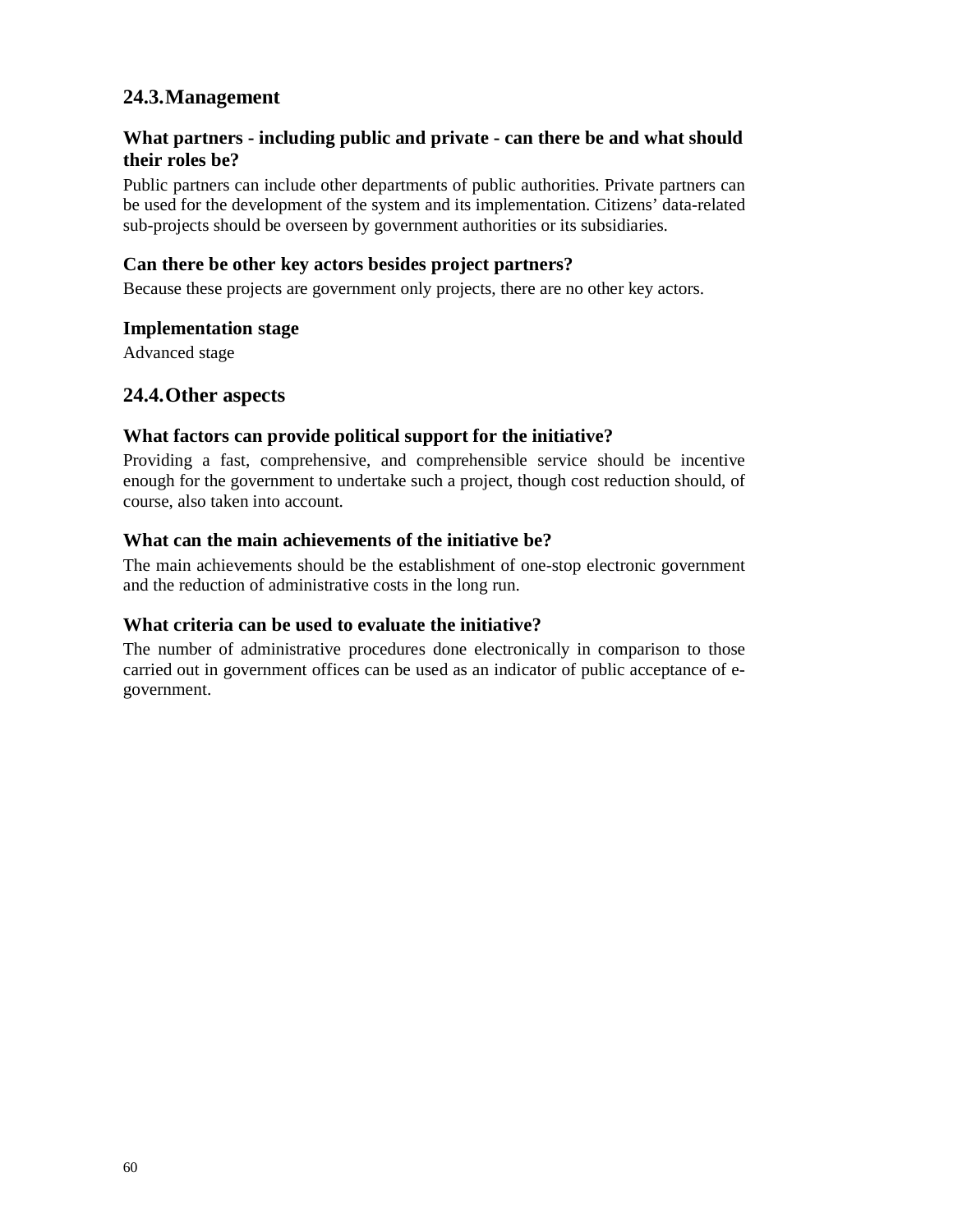# **What partners - including public and private - can there be and what should their roles be?**

Public partners can include other departments of public authorities. Private partners can be used for the development of the system and its implementation. Citizens' data-related sub-projects should be overseen by government authorities or its subsidiaries.

## **Can there be other key actors besides project partners?**

Because these projects are government only projects, there are no other key actors.

#### **Implementation stage**

Advanced stage

# **24.4.Other aspects**

## **What factors can provide political support for the initiative?**

Providing a fast, comprehensive, and comprehensible service should be incentive enough for the government to undertake such a project, though cost reduction should, of course, also taken into account.

## **What can the main achievements of the initiative be?**

The main achievements should be the establishment of one-stop electronic government and the reduction of administrative costs in the long run.

# **What criteria can be used to evaluate the initiative?**

The number of administrative procedures done electronically in comparison to those carried out in government offices can be used as an indicator of public acceptance of egovernment.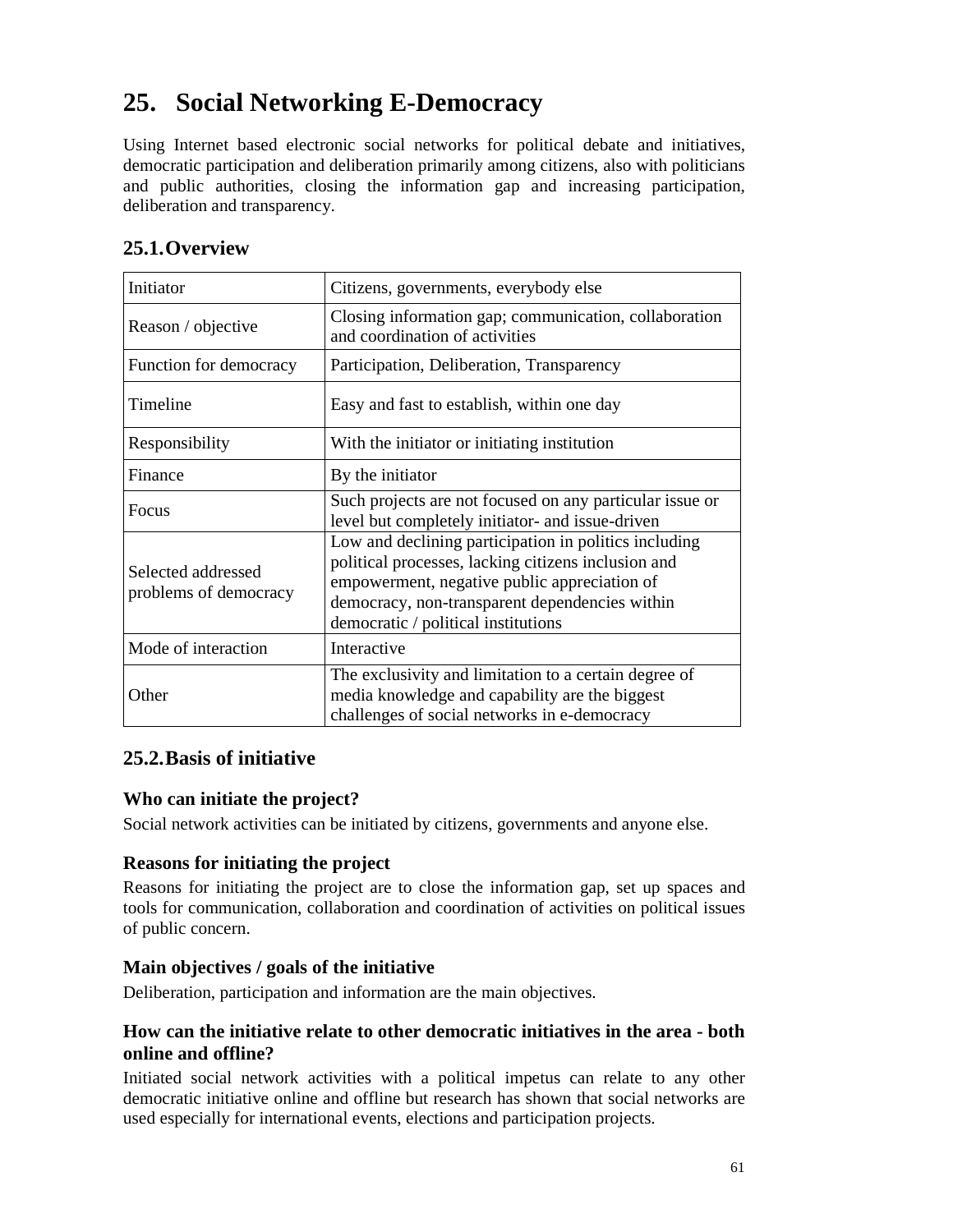# **25. Social Networking E-Democracy**

Using Internet based electronic social networks for political debate and initiatives, democratic participation and deliberation primarily among citizens, also with politicians and public authorities, closing the information gap and increasing participation, deliberation and transparency.

# **25.1.Overview**

| Initiator                                   | Citizens, governments, everybody else                                                                                                                                                                                                                 |
|---------------------------------------------|-------------------------------------------------------------------------------------------------------------------------------------------------------------------------------------------------------------------------------------------------------|
| Reason / objective                          | Closing information gap; communication, collaboration<br>and coordination of activities                                                                                                                                                               |
| Function for democracy                      | Participation, Deliberation, Transparency                                                                                                                                                                                                             |
| Timeline                                    | Easy and fast to establish, within one day                                                                                                                                                                                                            |
| Responsibility                              | With the initiator or initiating institution                                                                                                                                                                                                          |
| Finance                                     | By the initiator                                                                                                                                                                                                                                      |
| Focus                                       | Such projects are not focused on any particular issue or<br>level but completely initiator- and issue-driven                                                                                                                                          |
| Selected addressed<br>problems of democracy | Low and declining participation in politics including<br>political processes, lacking citizens inclusion and<br>empowerment, negative public appreciation of<br>democracy, non-transparent dependencies within<br>democratic / political institutions |
| Mode of interaction                         | Interactive                                                                                                                                                                                                                                           |
| Other                                       | The exclusivity and limitation to a certain degree of<br>media knowledge and capability are the biggest<br>challenges of social networks in e-democracy                                                                                               |

# **25.2.Basis of initiative**

## **Who can initiate the project?**

Social network activities can be initiated by citizens, governments and anyone else.

# **Reasons for initiating the project**

Reasons for initiating the project are to close the information gap, set up spaces and tools for communication, collaboration and coordination of activities on political issues of public concern.

## **Main objectives / goals of the initiative**

Deliberation, participation and information are the main objectives.

# **How can the initiative relate to other democratic initiatives in the area - both online and offline?**

Initiated social network activities with a political impetus can relate to any other democratic initiative online and offline but research has shown that social networks are used especially for international events, elections and participation projects.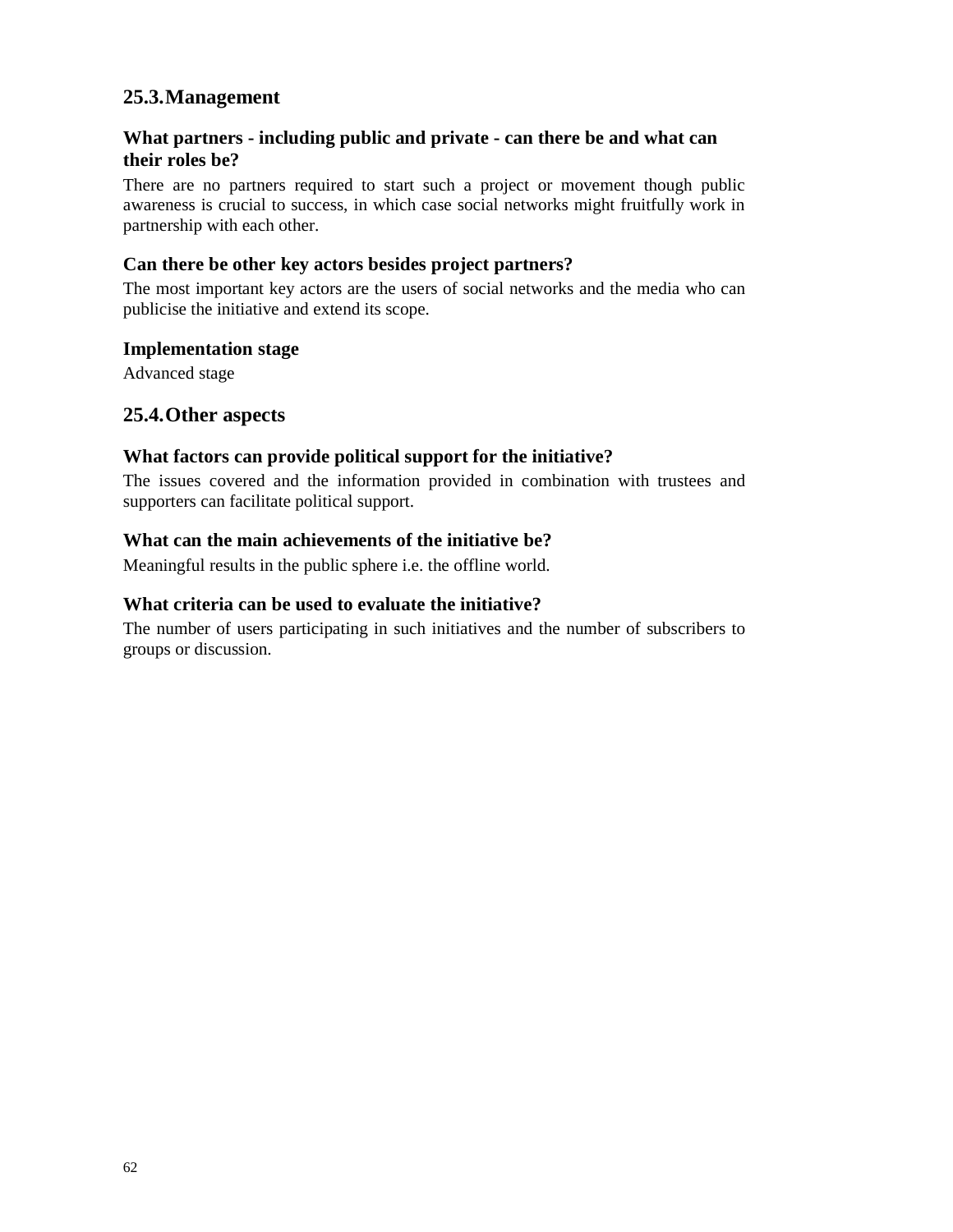# **What partners - including public and private - can there be and what can their roles be?**

There are no partners required to start such a project or movement though public awareness is crucial to success, in which case social networks might fruitfully work in partnership with each other.

## **Can there be other key actors besides project partners?**

The most important key actors are the users of social networks and the media who can publicise the initiative and extend its scope.

#### **Implementation stage**

Advanced stage

# **25.4.Other aspects**

## **What factors can provide political support for the initiative?**

The issues covered and the information provided in combination with trustees and supporters can facilitate political support.

#### **What can the main achievements of the initiative be?**

Meaningful results in the public sphere i.e. the offline world.

#### **What criteria can be used to evaluate the initiative?**

The number of users participating in such initiatives and the number of subscribers to groups or discussion.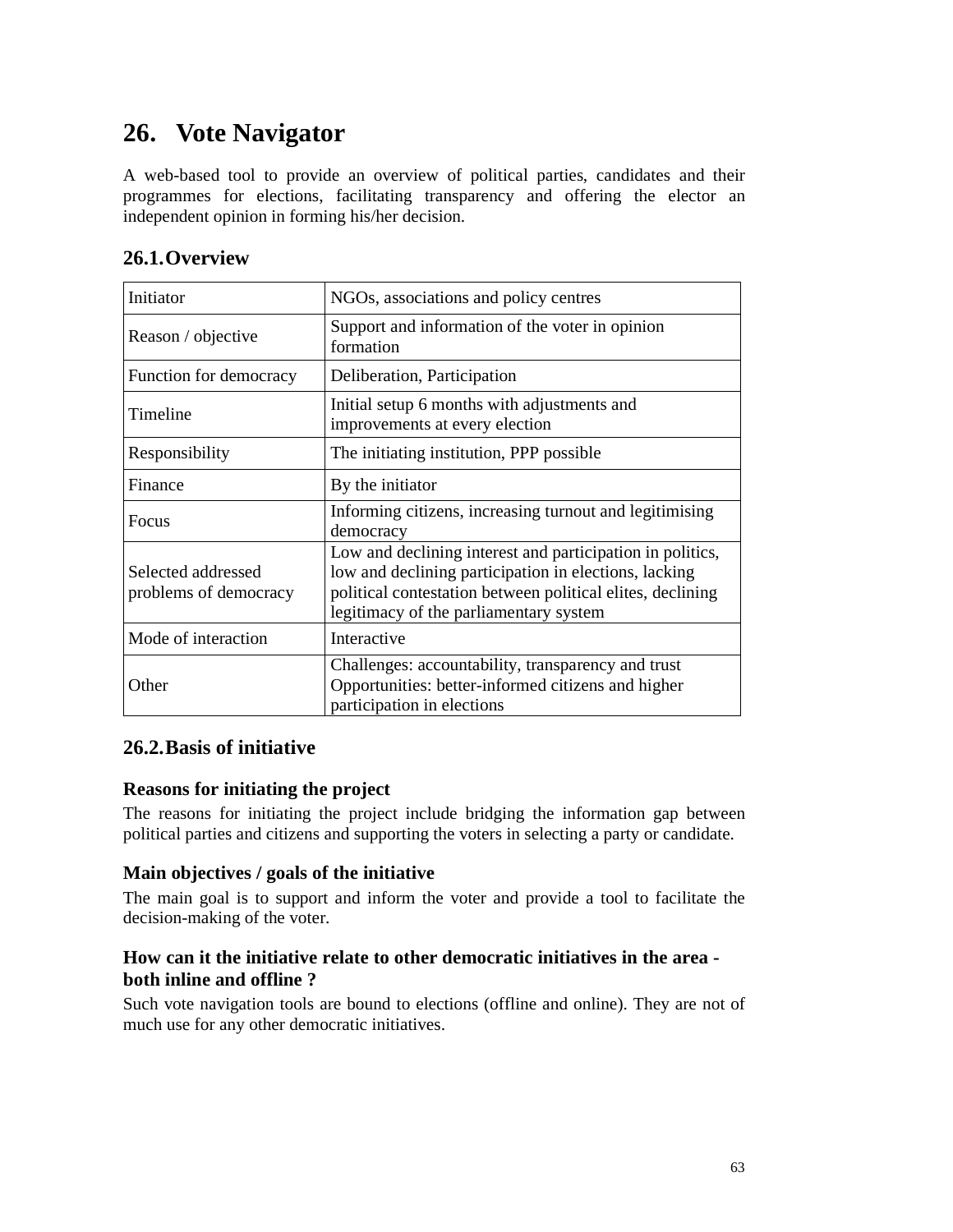# **26. Vote Navigator**

A web-based tool to provide an overview of political parties, candidates and their programmes for elections, facilitating transparency and offering the elector an independent opinion in forming his/her decision.

# **26.1.Overview**

| Initiator                                   | NGOs, associations and policy centres                                                                                                                                                                                      |
|---------------------------------------------|----------------------------------------------------------------------------------------------------------------------------------------------------------------------------------------------------------------------------|
| Reason / objective                          | Support and information of the voter in opinion<br>formation                                                                                                                                                               |
| Function for democracy                      | Deliberation, Participation                                                                                                                                                                                                |
| Timeline                                    | Initial setup 6 months with adjustments and<br>improvements at every election                                                                                                                                              |
| Responsibility                              | The initiating institution, PPP possible.                                                                                                                                                                                  |
| Finance                                     | By the initiator                                                                                                                                                                                                           |
| Focus                                       | Informing citizens, increasing turnout and legitimising<br>democracy                                                                                                                                                       |
| Selected addressed<br>problems of democracy | Low and declining interest and participation in politics,<br>low and declining participation in elections, lacking<br>political contestation between political elites, declining<br>legitimacy of the parliamentary system |
| Mode of interaction                         | Interactive                                                                                                                                                                                                                |
| Other                                       | Challenges: accountability, transparency and trust<br>Opportunities: better-informed citizens and higher<br>participation in elections                                                                                     |

# **26.2.Basis of initiative**

## **Reasons for initiating the project**

The reasons for initiating the project include bridging the information gap between political parties and citizens and supporting the voters in selecting a party or candidate.

## **Main objectives / goals of the initiative**

The main goal is to support and inform the voter and provide a tool to facilitate the decision-making of the voter.

# **How can it the initiative relate to other democratic initiatives in the area both inline and offline ?**

Such vote navigation tools are bound to elections (offline and online). They are not of much use for any other democratic initiatives.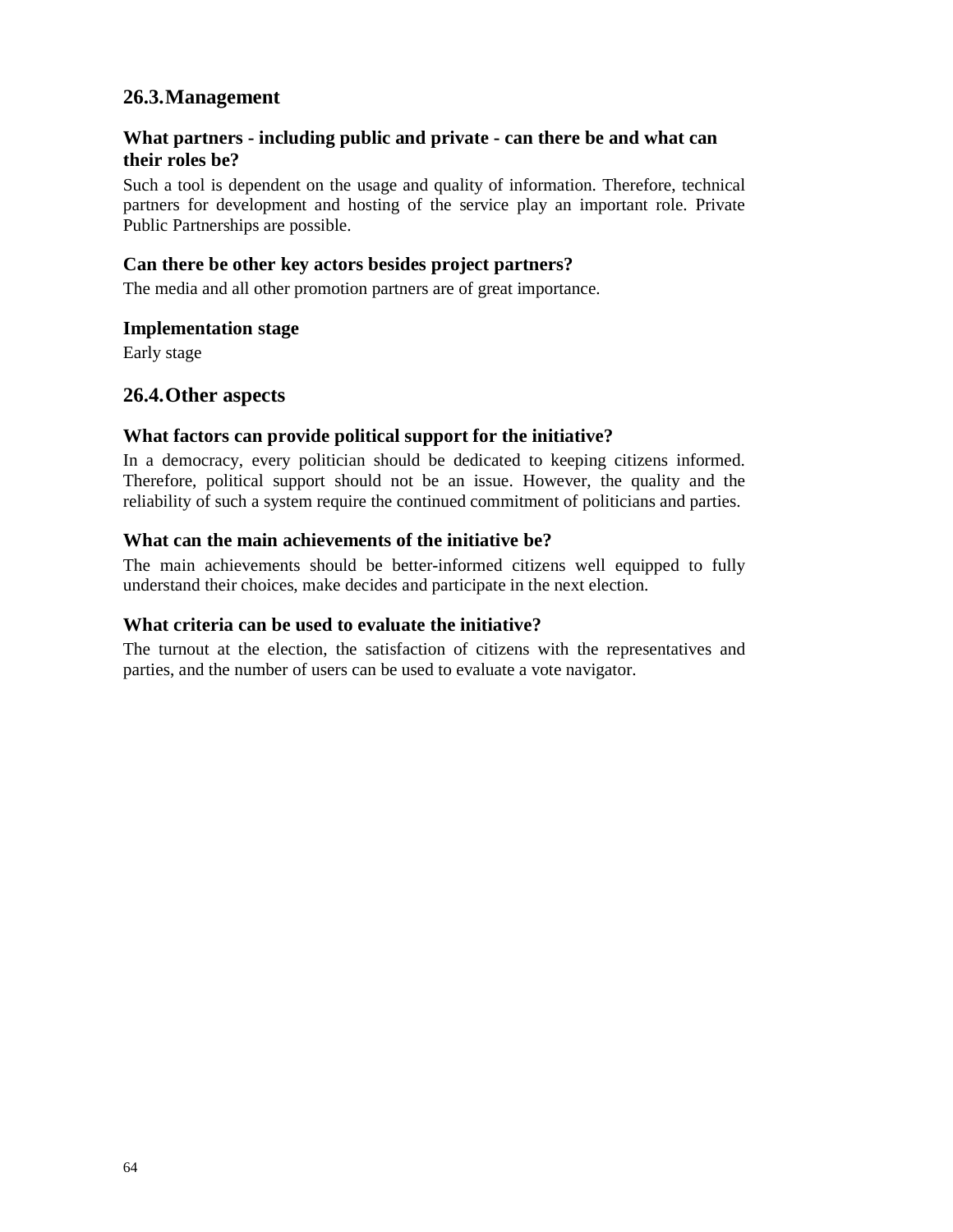# **What partners - including public and private - can there be and what can their roles be?**

Such a tool is dependent on the usage and quality of information. Therefore, technical partners for development and hosting of the service play an important role. Private Public Partnerships are possible.

## **Can there be other key actors besides project partners?**

The media and all other promotion partners are of great importance.

#### **Implementation stage**

Early stage

## **26.4.Other aspects**

#### **What factors can provide political support for the initiative?**

In a democracy, every politician should be dedicated to keeping citizens informed. Therefore, political support should not be an issue. However, the quality and the reliability of such a system require the continued commitment of politicians and parties.

#### **What can the main achievements of the initiative be?**

The main achievements should be better-informed citizens well equipped to fully understand their choices, make decides and participate in the next election.

#### **What criteria can be used to evaluate the initiative?**

The turnout at the election, the satisfaction of citizens with the representatives and parties, and the number of users can be used to evaluate a vote navigator.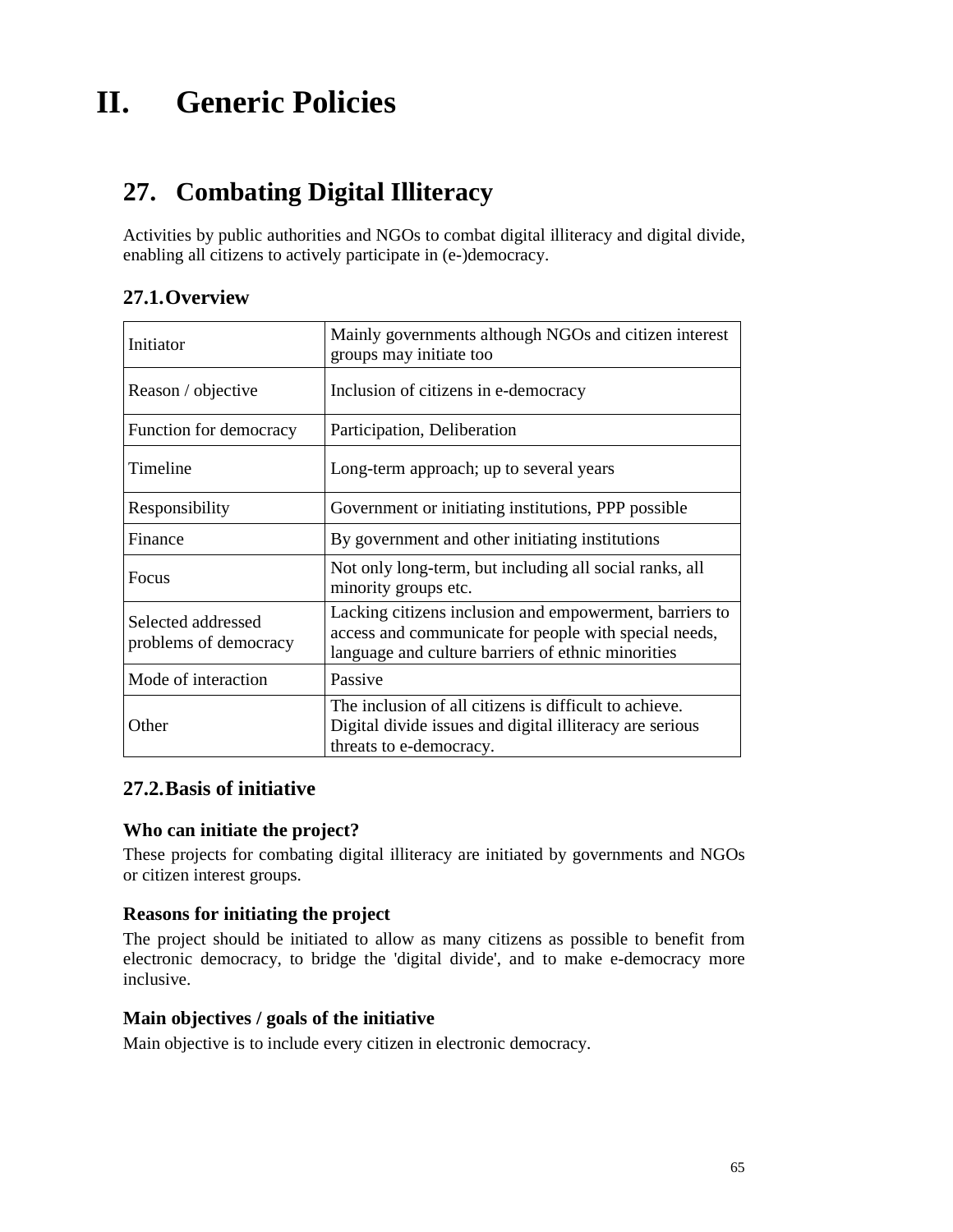# **II. Generic Policies**

# **27. Combating Digital Illiteracy**

Activities by public authorities and NGOs to combat digital illiteracy and digital divide, enabling all citizens to actively participate in (e-)democracy.

# **27.1.Overview**

| Initiator                                   | Mainly governments although NGOs and citizen interest<br>groups may initiate too                                                                                       |
|---------------------------------------------|------------------------------------------------------------------------------------------------------------------------------------------------------------------------|
| Reason / objective                          | Inclusion of citizens in e-democracy                                                                                                                                   |
| Function for democracy                      | Participation, Deliberation                                                                                                                                            |
| Timeline                                    | Long-term approach; up to several years                                                                                                                                |
| Responsibility                              | Government or initiating institutions, PPP possible                                                                                                                    |
| Finance                                     | By government and other initiating institutions                                                                                                                        |
| Focus                                       | Not only long-term, but including all social ranks, all<br>minority groups etc.                                                                                        |
| Selected addressed<br>problems of democracy | Lacking citizens inclusion and empowerment, barriers to<br>access and communicate for people with special needs,<br>language and culture barriers of ethnic minorities |
| Mode of interaction                         | Passive                                                                                                                                                                |
| Other                                       | The inclusion of all citizens is difficult to achieve.<br>Digital divide issues and digital illiteracy are serious<br>threats to e-democracy.                          |

## **27.2.Basis of initiative**

## **Who can initiate the project?**

These projects for combating digital illiteracy are initiated by governments and NGOs or citizen interest groups.

# **Reasons for initiating the project**

The project should be initiated to allow as many citizens as possible to benefit from electronic democracy, to bridge the 'digital divide', and to make e-democracy more inclusive.

#### **Main objectives / goals of the initiative**

Main objective is to include every citizen in electronic democracy.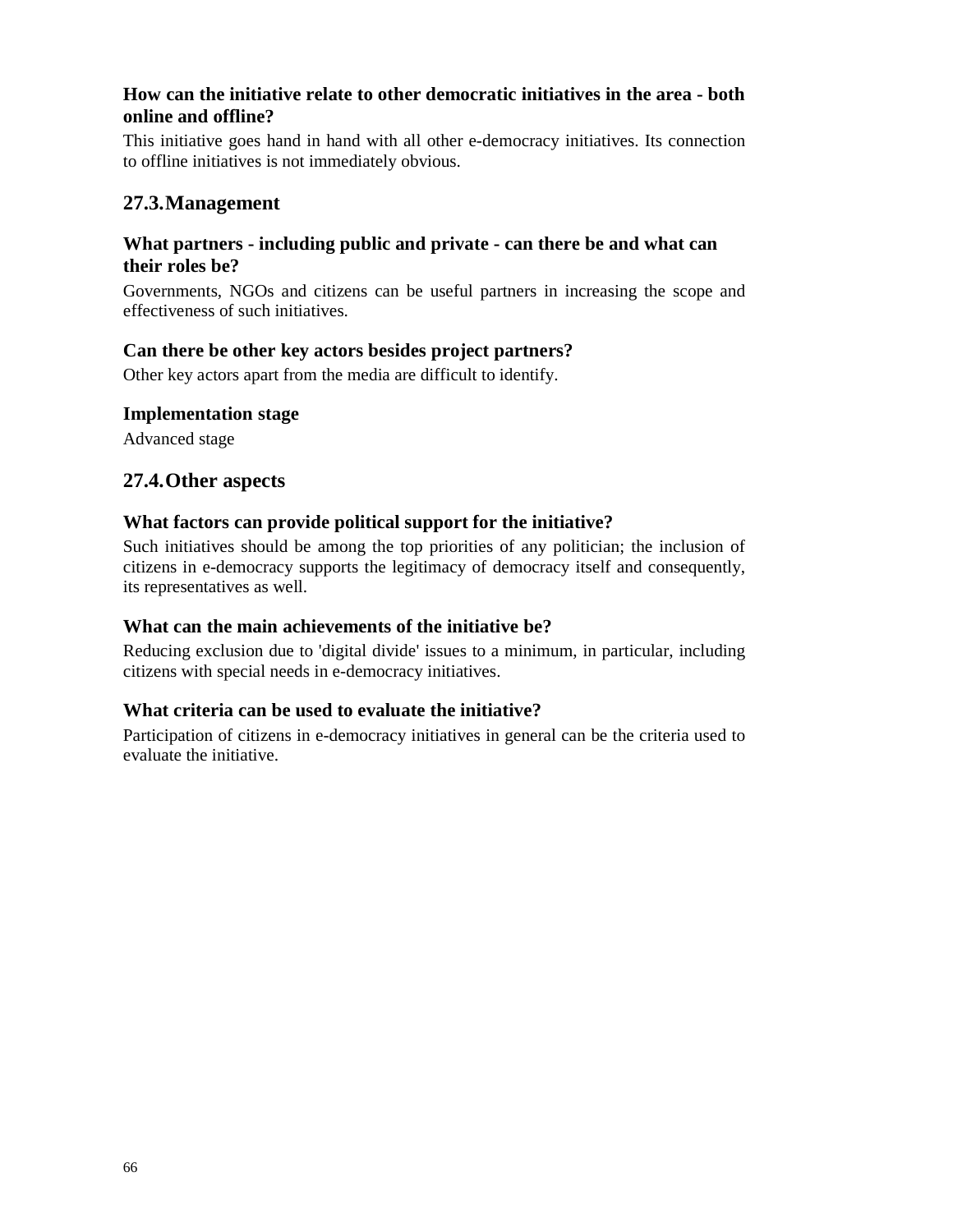# **How can the initiative relate to other democratic initiatives in the area - both online and offline?**

This initiative goes hand in hand with all other e-democracy initiatives. Its connection to offline initiatives is not immediately obvious.

# **27.3.Management**

## **What partners - including public and private - can there be and what can their roles be?**

Governments, NGOs and citizens can be useful partners in increasing the scope and effectiveness of such initiatives.

# **Can there be other key actors besides project partners?**

Other key actors apart from the media are difficult to identify.

## **Implementation stage**

Advanced stage

# **27.4.Other aspects**

# **What factors can provide political support for the initiative?**

Such initiatives should be among the top priorities of any politician; the inclusion of citizens in e-democracy supports the legitimacy of democracy itself and consequently, its representatives as well.

## **What can the main achievements of the initiative be?**

Reducing exclusion due to 'digital divide' issues to a minimum, in particular, including citizens with special needs in e-democracy initiatives.

# **What criteria can be used to evaluate the initiative?**

Participation of citizens in e-democracy initiatives in general can be the criteria used to evaluate the initiative.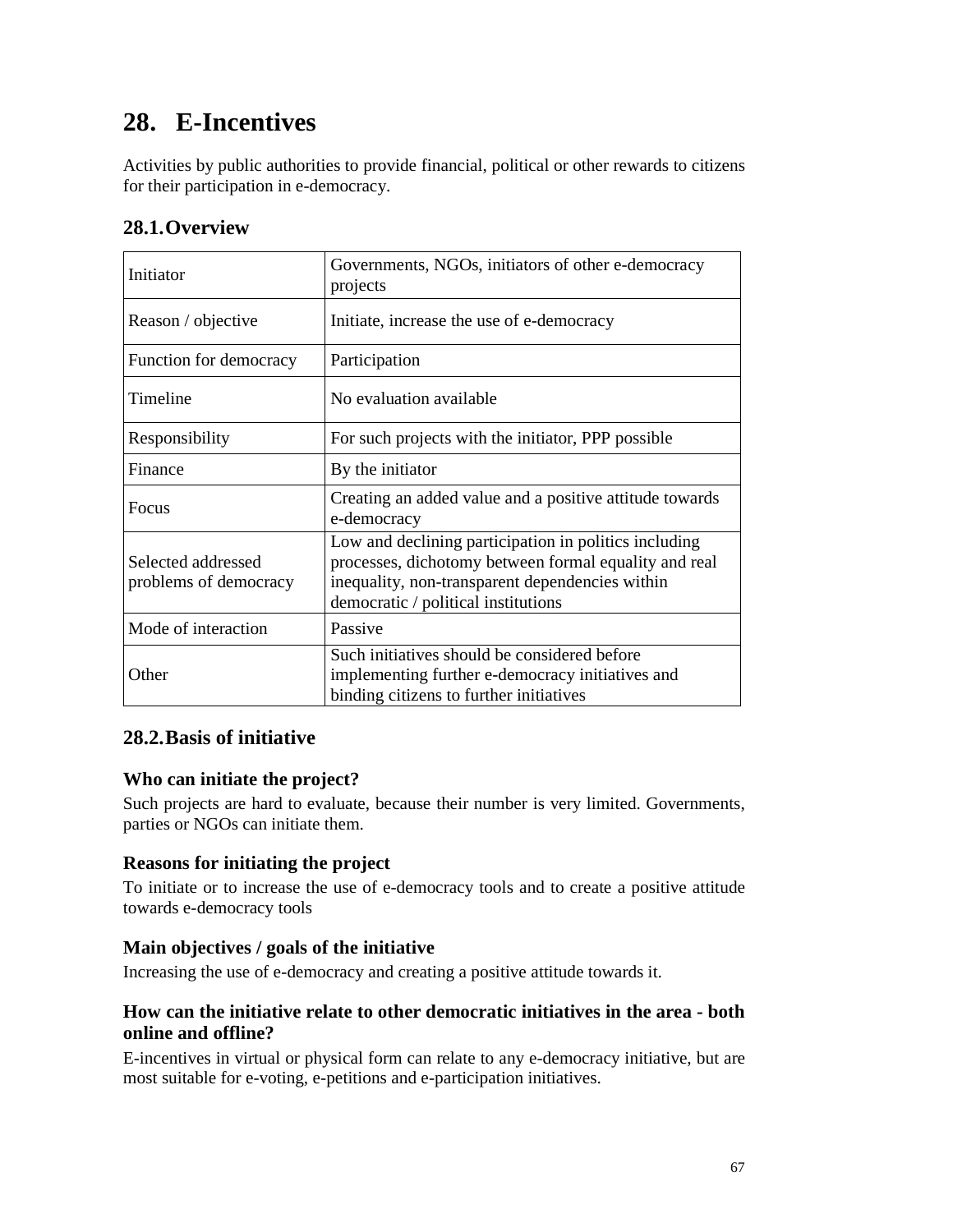# **28. E-Incentives**

Activities by public authorities to provide financial, political or other rewards to citizens for their participation in e-democracy.

# **28.1.Overview**

| Initiator                                   | Governments, NGOs, initiators of other e-democracy<br>projects                                                                                                                                           |
|---------------------------------------------|----------------------------------------------------------------------------------------------------------------------------------------------------------------------------------------------------------|
| Reason / objective                          | Initiate, increase the use of e-democracy                                                                                                                                                                |
| Function for democracy                      | Participation                                                                                                                                                                                            |
| Timeline                                    | No evaluation available                                                                                                                                                                                  |
| Responsibility                              | For such projects with the initiator, PPP possible                                                                                                                                                       |
| Finance                                     | By the initiator                                                                                                                                                                                         |
| Focus                                       | Creating an added value and a positive attitude towards<br>e-democracy                                                                                                                                   |
| Selected addressed<br>problems of democracy | Low and declining participation in politics including<br>processes, dichotomy between formal equality and real<br>inequality, non-transparent dependencies within<br>democratic / political institutions |
| Mode of interaction                         | Passive                                                                                                                                                                                                  |
| Other                                       | Such initiatives should be considered before<br>implementing further e-democracy initiatives and<br>binding citizens to further initiatives                                                              |

# **28.2.Basis of initiative**

# **Who can initiate the project?**

Such projects are hard to evaluate, because their number is very limited. Governments, parties or NGOs can initiate them.

## **Reasons for initiating the project**

To initiate or to increase the use of e-democracy tools and to create a positive attitude towards e-democracy tools

## **Main objectives / goals of the initiative**

Increasing the use of e-democracy and creating a positive attitude towards it.

# **How can the initiative relate to other democratic initiatives in the area - both online and offline?**

E-incentives in virtual or physical form can relate to any e-democracy initiative, but are most suitable for e-voting, e-petitions and e-participation initiatives.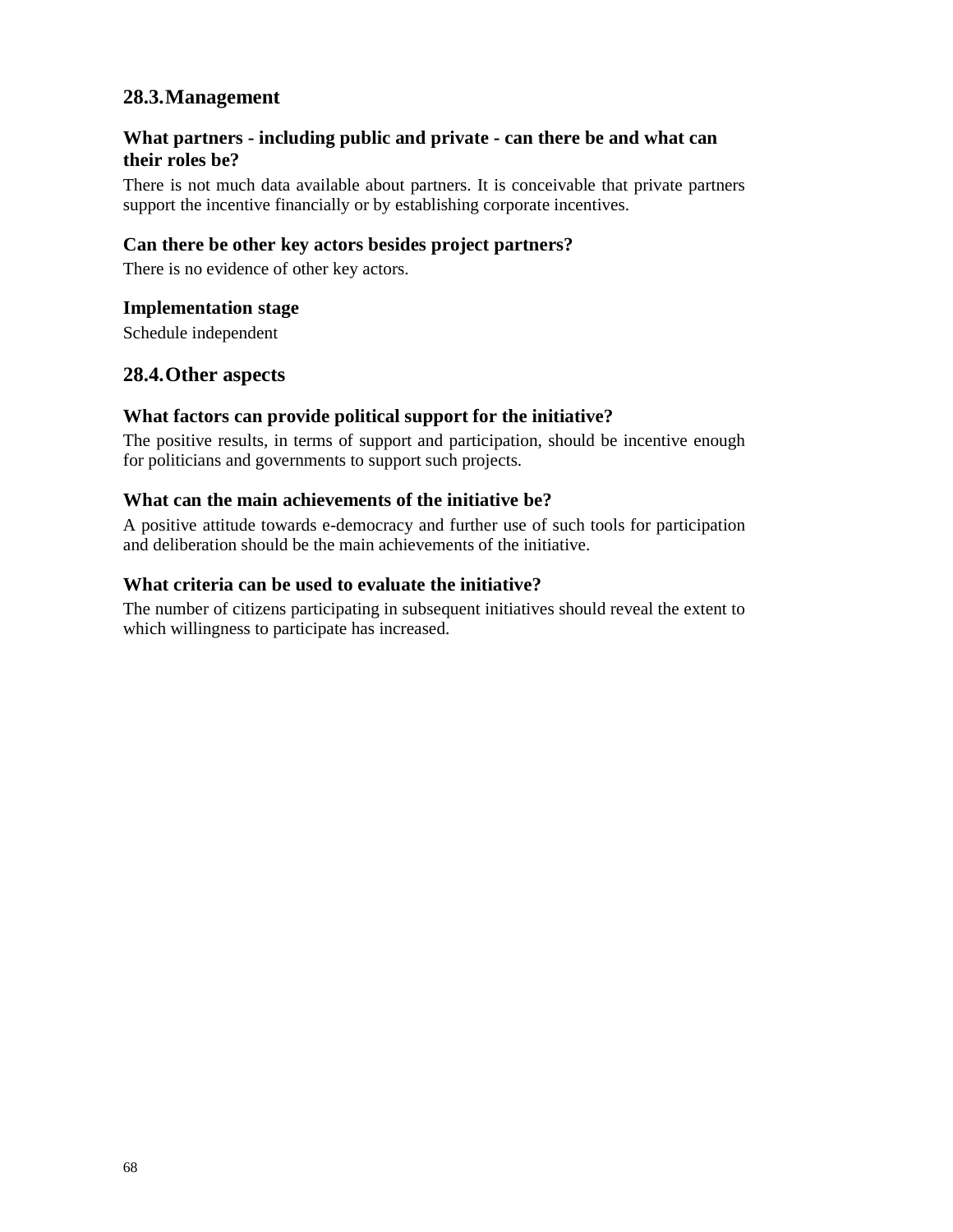# **What partners - including public and private - can there be and what can their roles be?**

There is not much data available about partners. It is conceivable that private partners support the incentive financially or by establishing corporate incentives.

# **Can there be other key actors besides project partners?**

There is no evidence of other key actors.

## **Implementation stage**

Schedule independent

# **28.4.Other aspects**

## **What factors can provide political support for the initiative?**

The positive results, in terms of support and participation, should be incentive enough for politicians and governments to support such projects.

## **What can the main achievements of the initiative be?**

A positive attitude towards e-democracy and further use of such tools for participation and deliberation should be the main achievements of the initiative.

## **What criteria can be used to evaluate the initiative?**

The number of citizens participating in subsequent initiatives should reveal the extent to which willingness to participate has increased.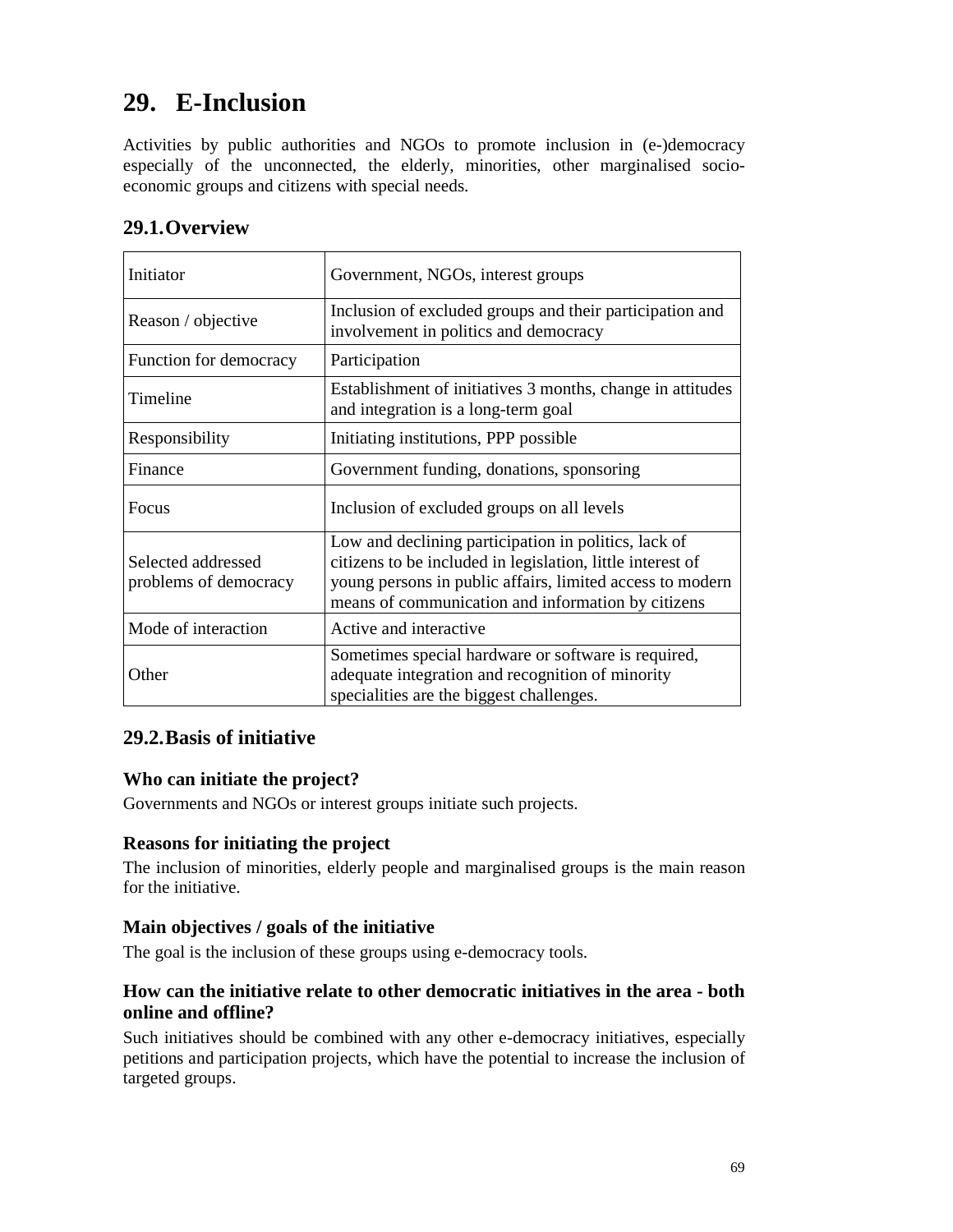# **29. E-Inclusion**

Activities by public authorities and NGOs to promote inclusion in (e-)democracy especially of the unconnected, the elderly, minorities, other marginalised socioeconomic groups and citizens with special needs.

| Initiator                                   | Government, NGOs, interest groups                                                                                                                                                                                                     |
|---------------------------------------------|---------------------------------------------------------------------------------------------------------------------------------------------------------------------------------------------------------------------------------------|
| Reason / objective                          | Inclusion of excluded groups and their participation and<br>involvement in politics and democracy                                                                                                                                     |
| Function for democracy                      | Participation                                                                                                                                                                                                                         |
| Timeline                                    | Establishment of initiatives 3 months, change in attitudes<br>and integration is a long-term goal                                                                                                                                     |
| Responsibility                              | Initiating institutions, PPP possible                                                                                                                                                                                                 |
| Finance                                     | Government funding, donations, sponsoring                                                                                                                                                                                             |
| Focus                                       | Inclusion of excluded groups on all levels                                                                                                                                                                                            |
| Selected addressed<br>problems of democracy | Low and declining participation in politics, lack of<br>citizens to be included in legislation, little interest of<br>young persons in public affairs, limited access to modern<br>means of communication and information by citizens |
| Mode of interaction                         | Active and interactive                                                                                                                                                                                                                |
| Other                                       | Sometimes special hardware or software is required,<br>adequate integration and recognition of minority<br>specialities are the biggest challenges.                                                                                   |

# **29.1.Overview**

# **29.2.Basis of initiative**

## **Who can initiate the project?**

Governments and NGOs or interest groups initiate such projects.

## **Reasons for initiating the project**

The inclusion of minorities, elderly people and marginalised groups is the main reason for the initiative.

#### **Main objectives / goals of the initiative**

The goal is the inclusion of these groups using e-democracy tools.

## **How can the initiative relate to other democratic initiatives in the area - both online and offline?**

Such initiatives should be combined with any other e-democracy initiatives, especially petitions and participation projects, which have the potential to increase the inclusion of targeted groups.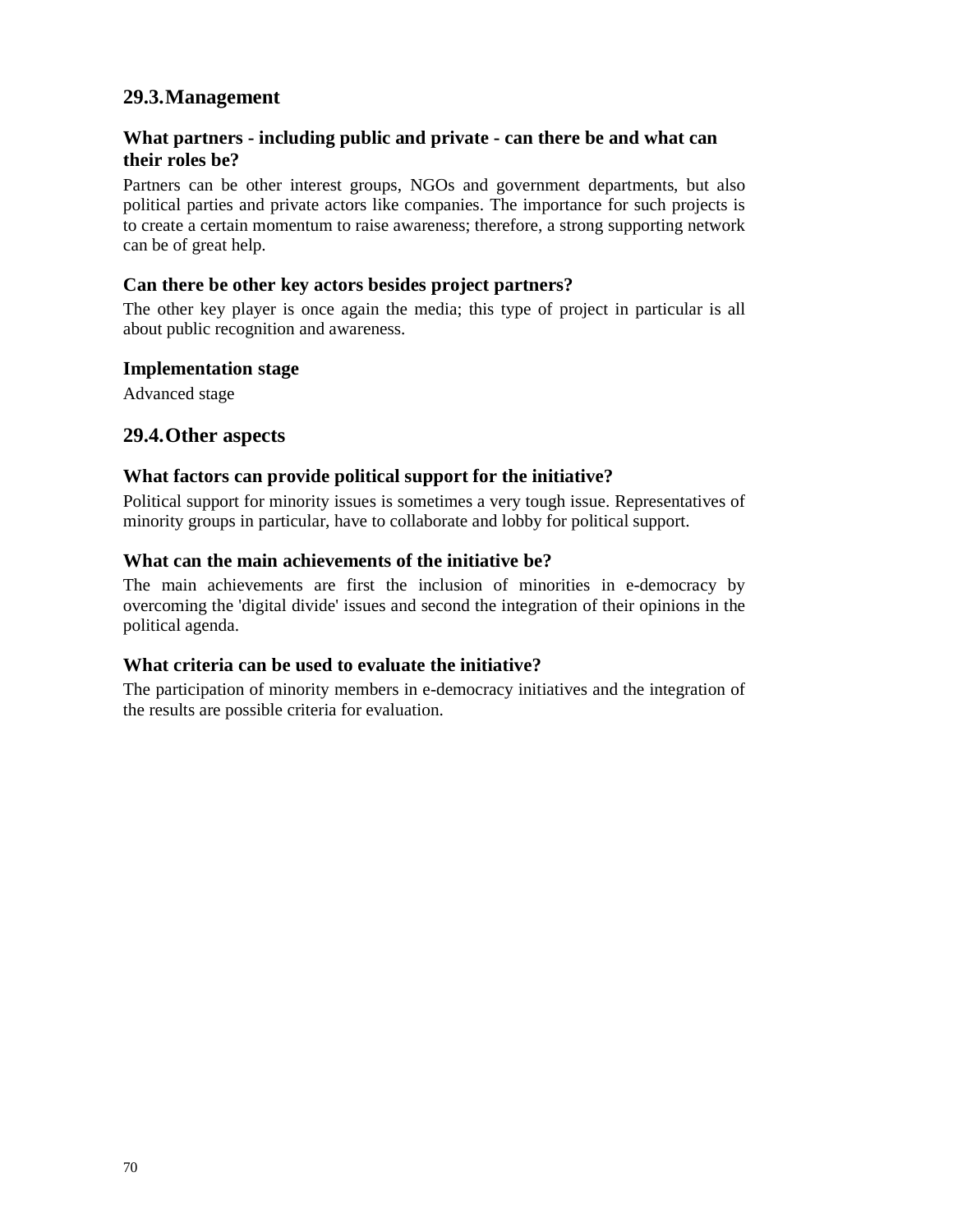# **What partners - including public and private - can there be and what can their roles be?**

Partners can be other interest groups, NGOs and government departments, but also political parties and private actors like companies. The importance for such projects is to create a certain momentum to raise awareness; therefore, a strong supporting network can be of great help.

## **Can there be other key actors besides project partners?**

The other key player is once again the media; this type of project in particular is all about public recognition and awareness.

#### **Implementation stage**

Advanced stage

## **29.4.Other aspects**

#### **What factors can provide political support for the initiative?**

Political support for minority issues is sometimes a very tough issue. Representatives of minority groups in particular, have to collaborate and lobby for political support.

#### **What can the main achievements of the initiative be?**

The main achievements are first the inclusion of minorities in e-democracy by overcoming the 'digital divide' issues and second the integration of their opinions in the political agenda.

## **What criteria can be used to evaluate the initiative?**

The participation of minority members in e-democracy initiatives and the integration of the results are possible criteria for evaluation.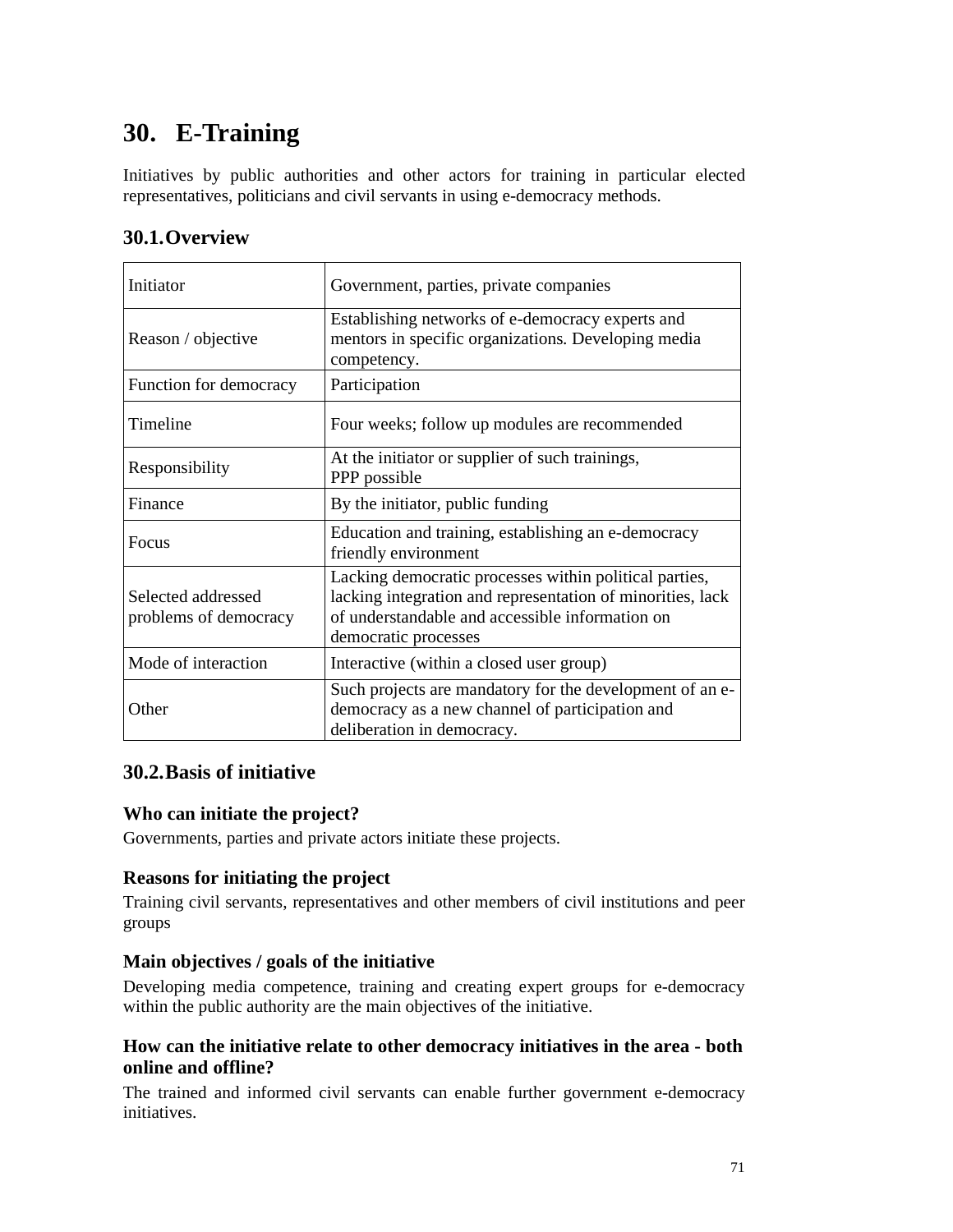# **30. E-Training**

Initiatives by public authorities and other actors for training in particular elected representatives, politicians and civil servants in using e-democracy methods.

# **30.1.Overview**

| Initiator                                   | Government, parties, private companies                                                                                                                                                          |
|---------------------------------------------|-------------------------------------------------------------------------------------------------------------------------------------------------------------------------------------------------|
| Reason / objective                          | Establishing networks of e-democracy experts and<br>mentors in specific organizations. Developing media<br>competency.                                                                          |
| Function for democracy                      | Participation                                                                                                                                                                                   |
| Timeline                                    | Four weeks; follow up modules are recommended                                                                                                                                                   |
| Responsibility                              | At the initiator or supplier of such trainings,<br>PPP possible                                                                                                                                 |
| Finance                                     | By the initiator, public funding                                                                                                                                                                |
| Focus                                       | Education and training, establishing an e-democracy<br>friendly environment                                                                                                                     |
| Selected addressed<br>problems of democracy | Lacking democratic processes within political parties,<br>lacking integration and representation of minorities, lack<br>of understandable and accessible information on<br>democratic processes |
| Mode of interaction                         | Interactive (within a closed user group)                                                                                                                                                        |
| Other                                       | Such projects are mandatory for the development of an e-<br>democracy as a new channel of participation and<br>deliberation in democracy.                                                       |

# **30.2.Basis of initiative**

## **Who can initiate the project?**

Governments, parties and private actors initiate these projects.

## **Reasons for initiating the project**

Training civil servants, representatives and other members of civil institutions and peer groups

## **Main objectives / goals of the initiative**

Developing media competence, training and creating expert groups for e-democracy within the public authority are the main objectives of the initiative.

# **How can the initiative relate to other democracy initiatives in the area - both online and offline?**

The trained and informed civil servants can enable further government e-democracy initiatives.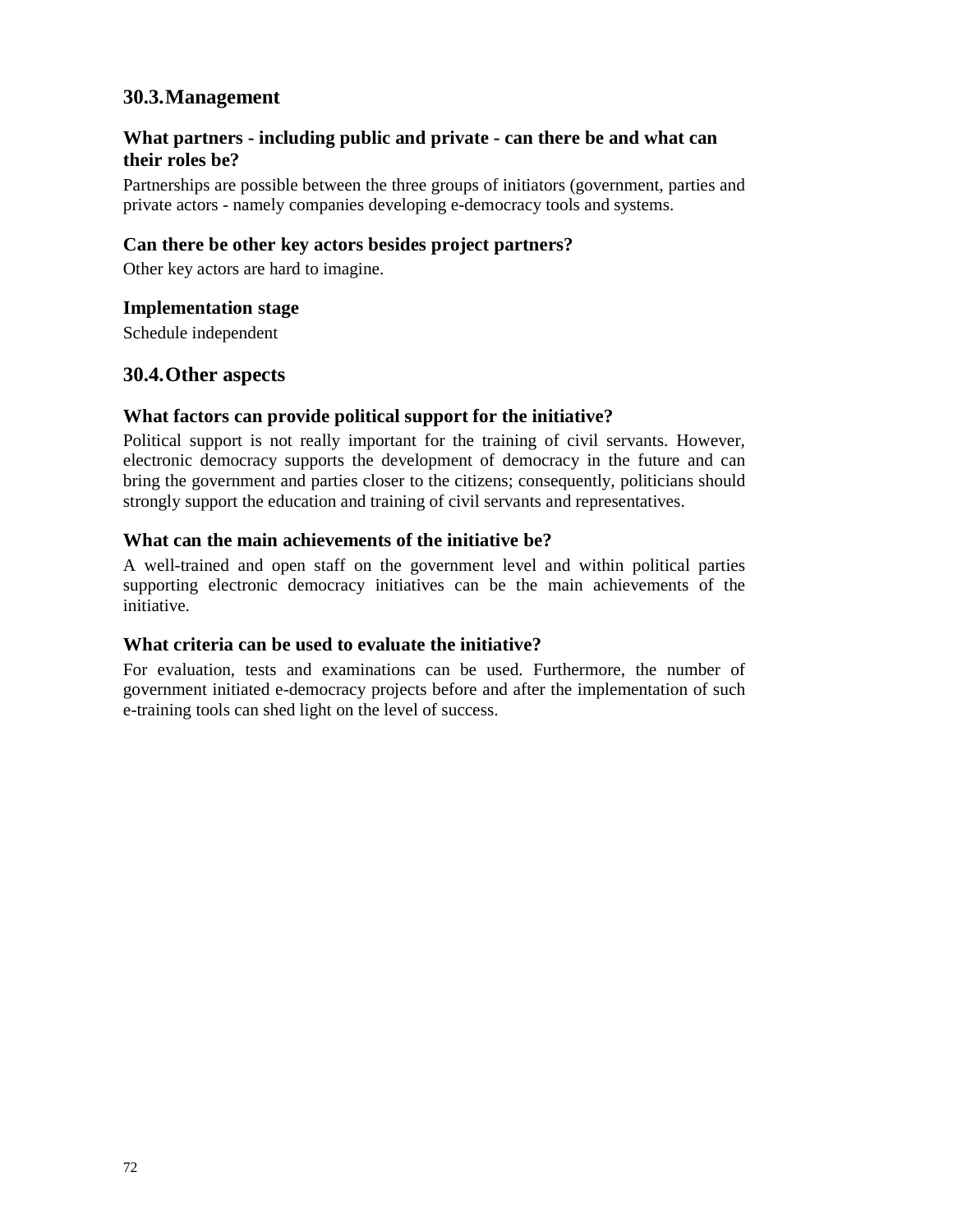# **What partners - including public and private - can there be and what can their roles be?**

Partnerships are possible between the three groups of initiators (government, parties and private actors - namely companies developing e-democracy tools and systems.

## **Can there be other key actors besides project partners?**

Other key actors are hard to imagine.

## **Implementation stage**

Schedule independent

# **30.4.Other aspects**

## **What factors can provide political support for the initiative?**

Political support is not really important for the training of civil servants. However, electronic democracy supports the development of democracy in the future and can bring the government and parties closer to the citizens; consequently, politicians should strongly support the education and training of civil servants and representatives.

#### **What can the main achievements of the initiative be?**

A well-trained and open staff on the government level and within political parties supporting electronic democracy initiatives can be the main achievements of the initiative.

## **What criteria can be used to evaluate the initiative?**

For evaluation, tests and examinations can be used. Furthermore, the number of government initiated e-democracy projects before and after the implementation of such e-training tools can shed light on the level of success.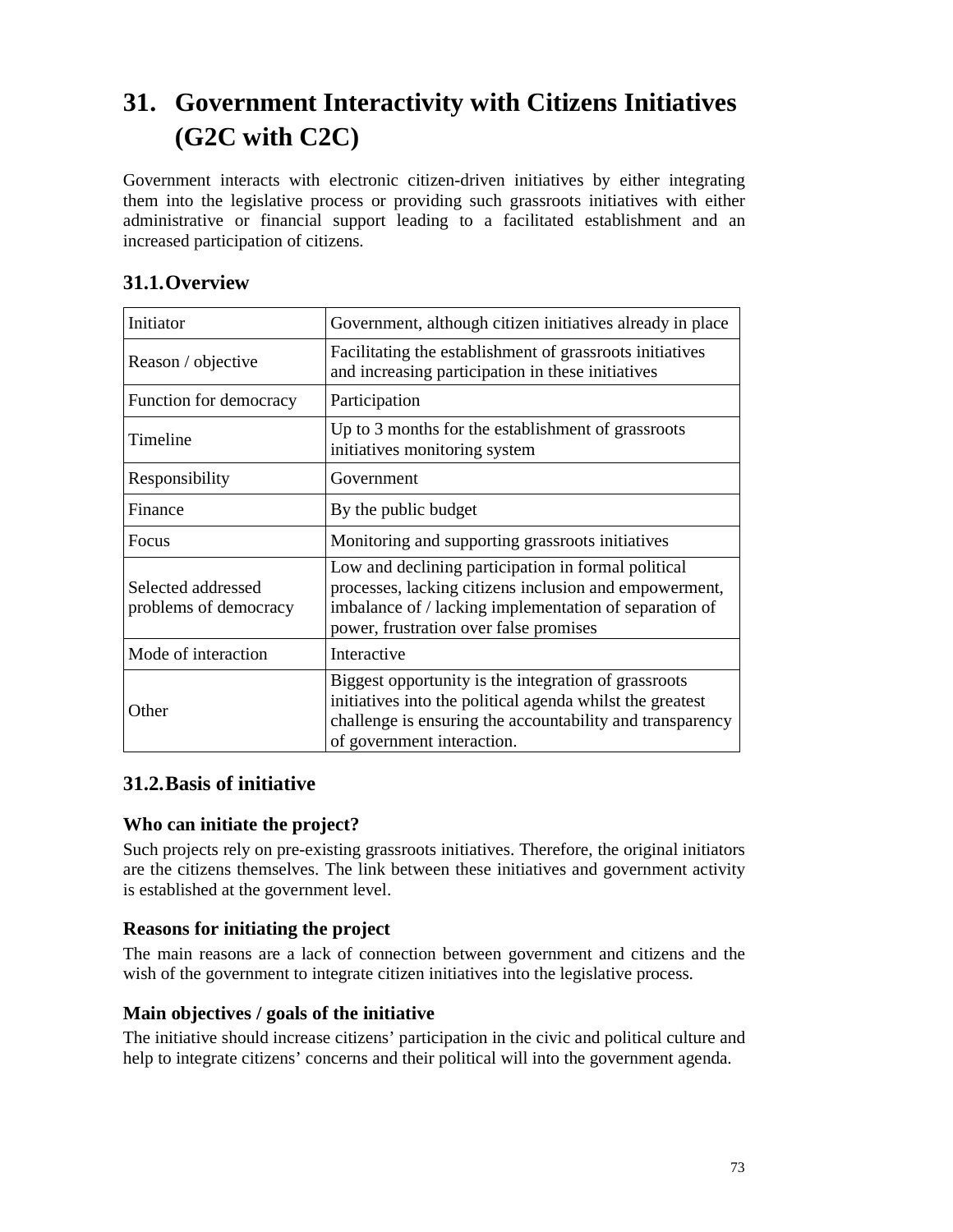# **31. Government Interactivity with Citizens Initiatives (G2C with C2C)**

Government interacts with electronic citizen-driven initiatives by either integrating them into the legislative process or providing such grassroots initiatives with either administrative or financial support leading to a facilitated establishment and an increased participation of citizens.

| Initiator                                   | Government, although citizen initiatives already in place                                                                                                                                                         |
|---------------------------------------------|-------------------------------------------------------------------------------------------------------------------------------------------------------------------------------------------------------------------|
| Reason / objective                          | Facilitating the establishment of grassroots initiatives<br>and increasing participation in these initiatives                                                                                                     |
| Function for democracy                      | Participation                                                                                                                                                                                                     |
| Timeline                                    | Up to 3 months for the establishment of grassroots<br>initiatives monitoring system                                                                                                                               |
| Responsibility                              | Government                                                                                                                                                                                                        |
| Finance                                     | By the public budget                                                                                                                                                                                              |
| <b>Focus</b>                                | Monitoring and supporting grassroots initiatives                                                                                                                                                                  |
| Selected addressed<br>problems of democracy | Low and declining participation in formal political<br>processes, lacking citizens inclusion and empowerment,<br>imbalance of / lacking implementation of separation of<br>power, frustration over false promises |
| Mode of interaction                         | Interactive                                                                                                                                                                                                       |
| Other                                       | Biggest opportunity is the integration of grassroots<br>initiatives into the political agenda whilst the greatest<br>challenge is ensuring the accountability and transparency<br>of government interaction.      |

# **31.1.Overview**

# **31.2.Basis of initiative**

#### **Who can initiate the project?**

Such projects rely on pre-existing grassroots initiatives. Therefore, the original initiators are the citizens themselves. The link between these initiatives and government activity is established at the government level.

#### **Reasons for initiating the project**

The main reasons are a lack of connection between government and citizens and the wish of the government to integrate citizen initiatives into the legislative process.

#### **Main objectives / goals of the initiative**

The initiative should increase citizens' participation in the civic and political culture and help to integrate citizens' concerns and their political will into the government agenda.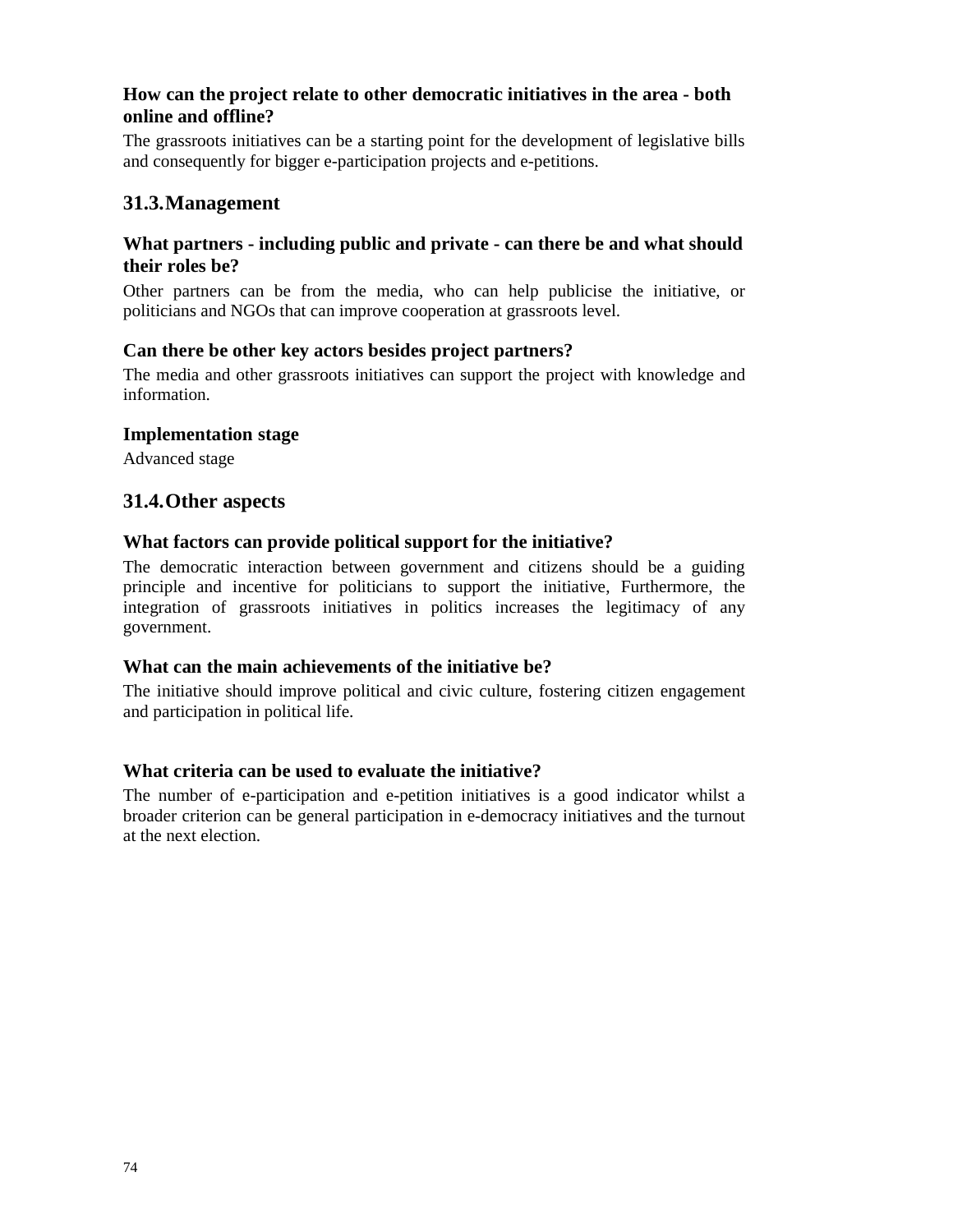#### **How can the project relate to other democratic initiatives in the area - both online and offline?**

The grassroots initiatives can be a starting point for the development of legislative bills and consequently for bigger e-participation projects and e-petitions.

#### **31.3.Management**

#### **What partners - including public and private - can there be and what should their roles be?**

Other partners can be from the media, who can help publicise the initiative, or politicians and NGOs that can improve cooperation at grassroots level.

#### **Can there be other key actors besides project partners?**

The media and other grassroots initiatives can support the project with knowledge and information.

#### **Implementation stage**

Advanced stage

#### **31.4.Other aspects**

#### **What factors can provide political support for the initiative?**

The democratic interaction between government and citizens should be a guiding principle and incentive for politicians to support the initiative, Furthermore, the integration of grassroots initiatives in politics increases the legitimacy of any government.

#### **What can the main achievements of the initiative be?**

The initiative should improve political and civic culture, fostering citizen engagement and participation in political life.

#### **What criteria can be used to evaluate the initiative?**

The number of e-participation and e-petition initiatives is a good indicator whilst a broader criterion can be general participation in e-democracy initiatives and the turnout at the next election.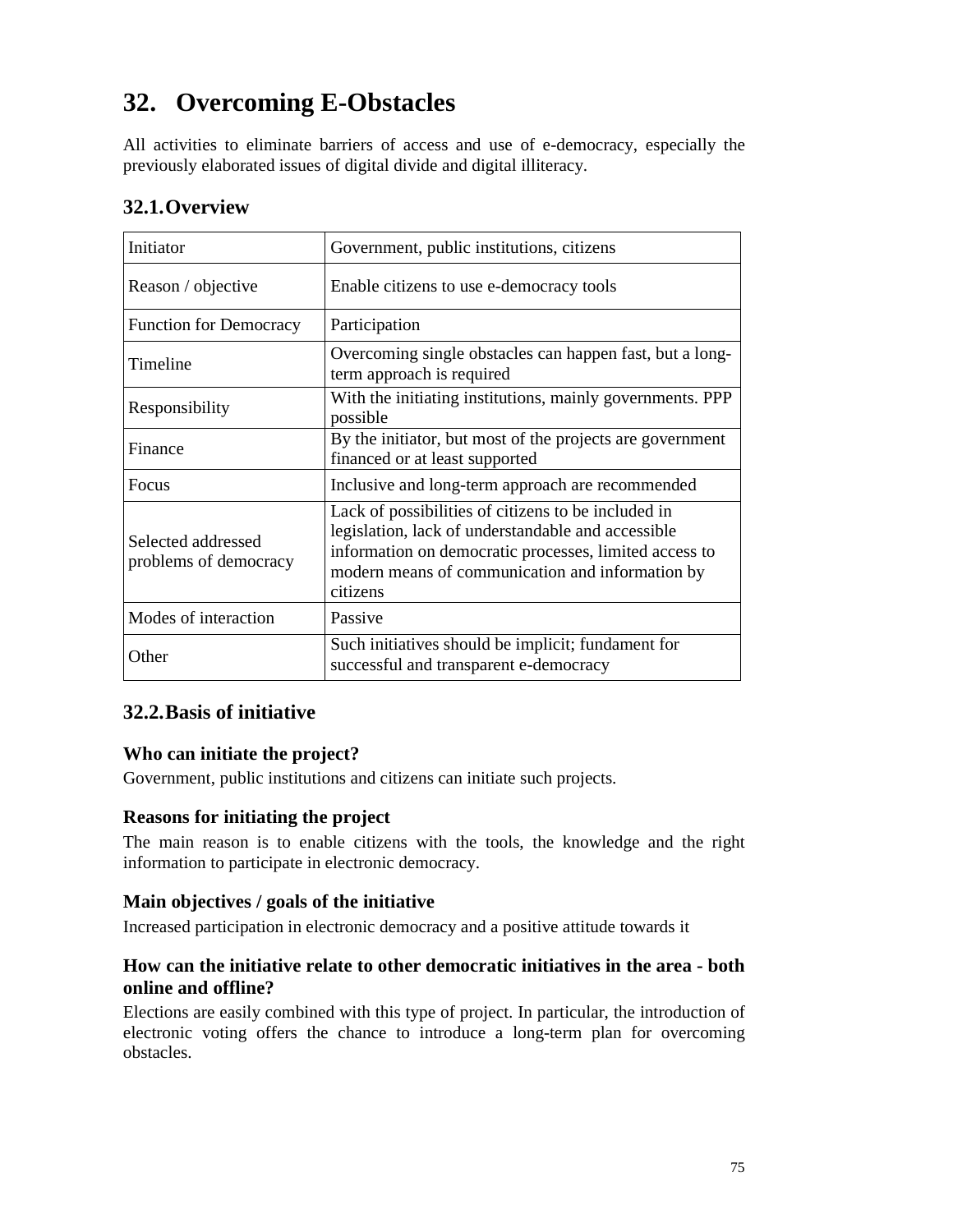# **32. Overcoming E-Obstacles**

All activities to eliminate barriers of access and use of e-democracy, especially the previously elaborated issues of digital divide and digital illiteracy.

| Initiator                                   | Government, public institutions, citizens                                                                                                                                                                                           |
|---------------------------------------------|-------------------------------------------------------------------------------------------------------------------------------------------------------------------------------------------------------------------------------------|
| Reason / objective                          | Enable citizens to use e-democracy tools                                                                                                                                                                                            |
| <b>Function for Democracy</b>               | Participation                                                                                                                                                                                                                       |
| Timeline                                    | Overcoming single obstacles can happen fast, but a long-<br>term approach is required                                                                                                                                               |
| Responsibility                              | With the initiating institutions, mainly governments. PPP<br>possible                                                                                                                                                               |
| Finance                                     | By the initiator, but most of the projects are government<br>financed or at least supported                                                                                                                                         |
| Focus                                       | Inclusive and long-term approach are recommended                                                                                                                                                                                    |
| Selected addressed<br>problems of democracy | Lack of possibilities of citizens to be included in<br>legislation, lack of understandable and accessible<br>information on democratic processes, limited access to<br>modern means of communication and information by<br>citizens |
| Modes of interaction                        | Passive                                                                                                                                                                                                                             |
| Other                                       | Such initiatives should be implicit; fundament for<br>successful and transparent e-democracy                                                                                                                                        |

# **32.1.Overview**

#### **32.2.Basis of initiative**

#### **Who can initiate the project?**

Government, public institutions and citizens can initiate such projects.

#### **Reasons for initiating the project**

The main reason is to enable citizens with the tools, the knowledge and the right information to participate in electronic democracy.

#### **Main objectives / goals of the initiative**

Increased participation in electronic democracy and a positive attitude towards it

#### **How can the initiative relate to other democratic initiatives in the area - both online and offline?**

Elections are easily combined with this type of project. In particular, the introduction of electronic voting offers the chance to introduce a long-term plan for overcoming obstacles.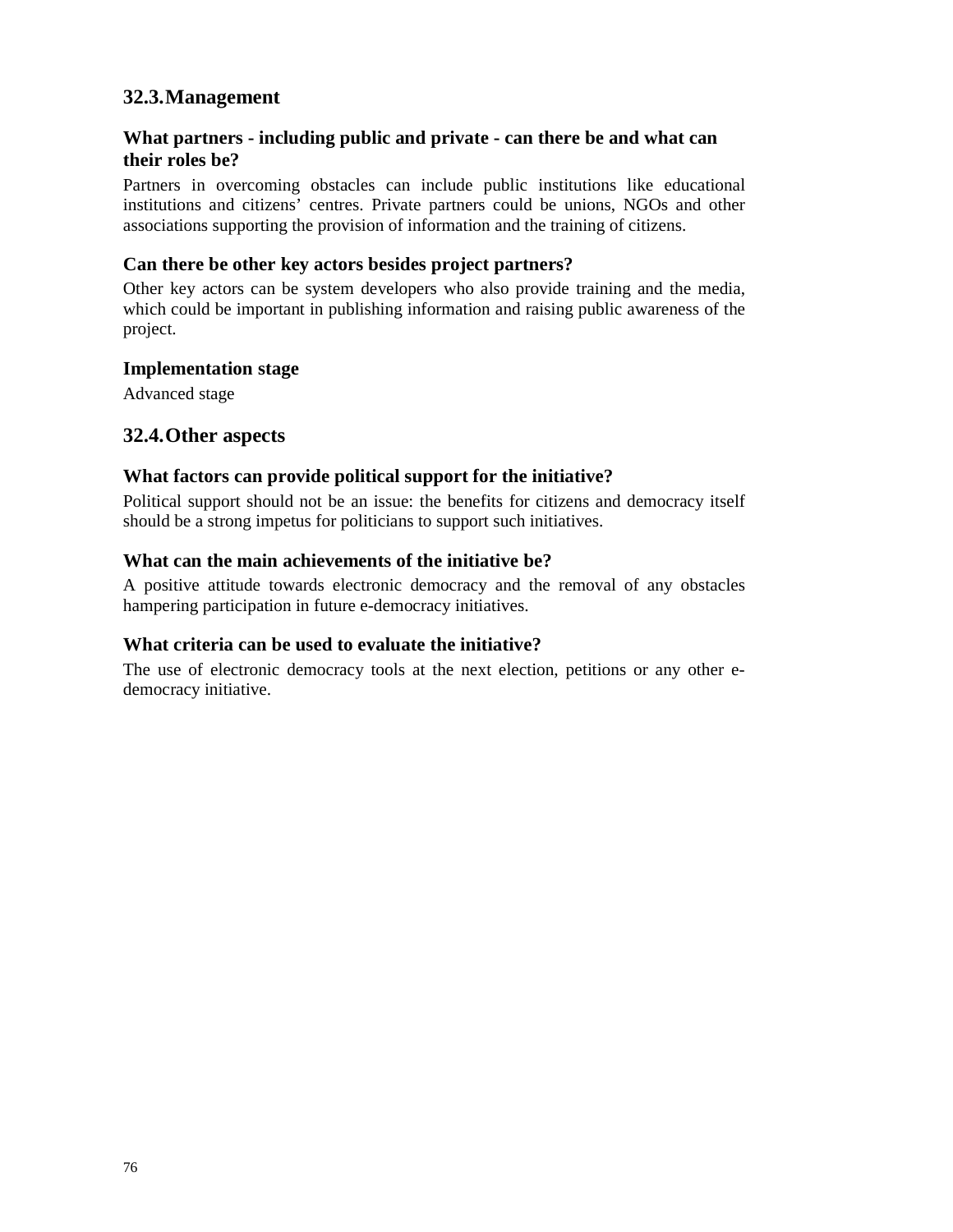## **32.3.Management**

#### **What partners - including public and private - can there be and what can their roles be?**

Partners in overcoming obstacles can include public institutions like educational institutions and citizens' centres. Private partners could be unions, NGOs and other associations supporting the provision of information and the training of citizens.

#### **Can there be other key actors besides project partners?**

Other key actors can be system developers who also provide training and the media, which could be important in publishing information and raising public awareness of the project.

#### **Implementation stage**

Advanced stage

#### **32.4.Other aspects**

#### **What factors can provide political support for the initiative?**

Political support should not be an issue: the benefits for citizens and democracy itself should be a strong impetus for politicians to support such initiatives.

#### **What can the main achievements of the initiative be?**

A positive attitude towards electronic democracy and the removal of any obstacles hampering participation in future e-democracy initiatives.

#### **What criteria can be used to evaluate the initiative?**

The use of electronic democracy tools at the next election, petitions or any other edemocracy initiative.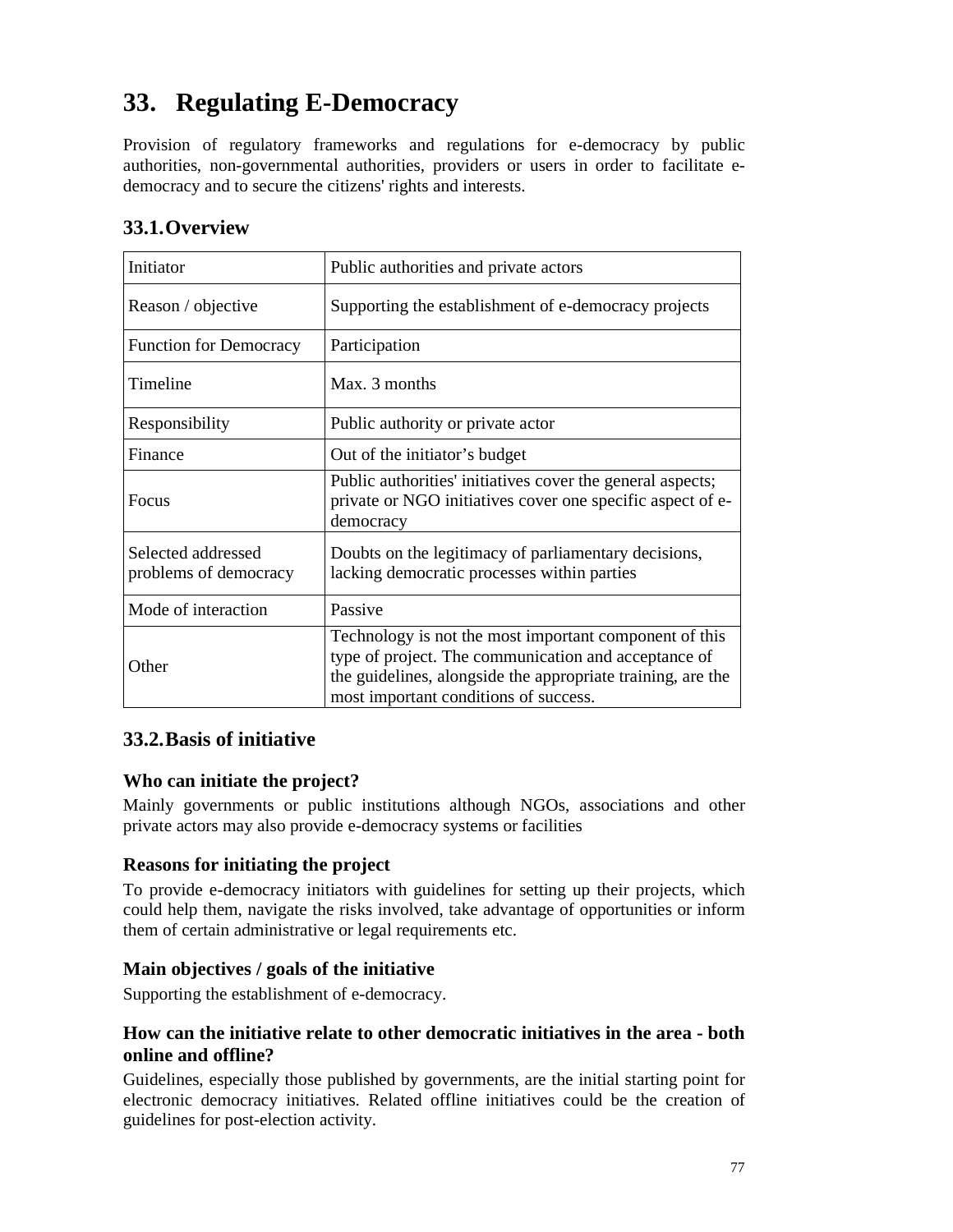# **33. Regulating E-Democracy**

Provision of regulatory frameworks and regulations for e-democracy by public authorities, non-governmental authorities, providers or users in order to facilitate edemocracy and to secure the citizens' rights and interests.

| 33.1. Overview |           |
|----------------|-----------|
| Initiator      | Public at |
|                |           |

| Initiator                                   | Public authorities and private actors                                                                                                                                                                                  |
|---------------------------------------------|------------------------------------------------------------------------------------------------------------------------------------------------------------------------------------------------------------------------|
| Reason / objective                          | Supporting the establishment of e-democracy projects                                                                                                                                                                   |
| <b>Function for Democracy</b>               | Participation                                                                                                                                                                                                          |
| Timeline                                    | Max. 3 months                                                                                                                                                                                                          |
| Responsibility                              | Public authority or private actor                                                                                                                                                                                      |
| Finance                                     | Out of the initiator's budget                                                                                                                                                                                          |
| <b>Focus</b>                                | Public authorities' initiatives cover the general aspects;<br>private or NGO initiatives cover one specific aspect of e-<br>democracy                                                                                  |
| Selected addressed<br>problems of democracy | Doubts on the legitimacy of parliamentary decisions,<br>lacking democratic processes within parties                                                                                                                    |
| Mode of interaction                         | Passive                                                                                                                                                                                                                |
| Other                                       | Technology is not the most important component of this<br>type of project. The communication and acceptance of<br>the guidelines, alongside the appropriate training, are the<br>most important conditions of success. |

#### **33.2.Basis of initiative**

#### **Who can initiate the project?**

Mainly governments or public institutions although NGOs, associations and other private actors may also provide e-democracy systems or facilities

#### **Reasons for initiating the project**

To provide e-democracy initiators with guidelines for setting up their projects, which could help them, navigate the risks involved, take advantage of opportunities or inform them of certain administrative or legal requirements etc.

#### **Main objectives / goals of the initiative**

Supporting the establishment of e-democracy.

#### **How can the initiative relate to other democratic initiatives in the area - both online and offline?**

Guidelines, especially those published by governments, are the initial starting point for electronic democracy initiatives. Related offline initiatives could be the creation of guidelines for post-election activity.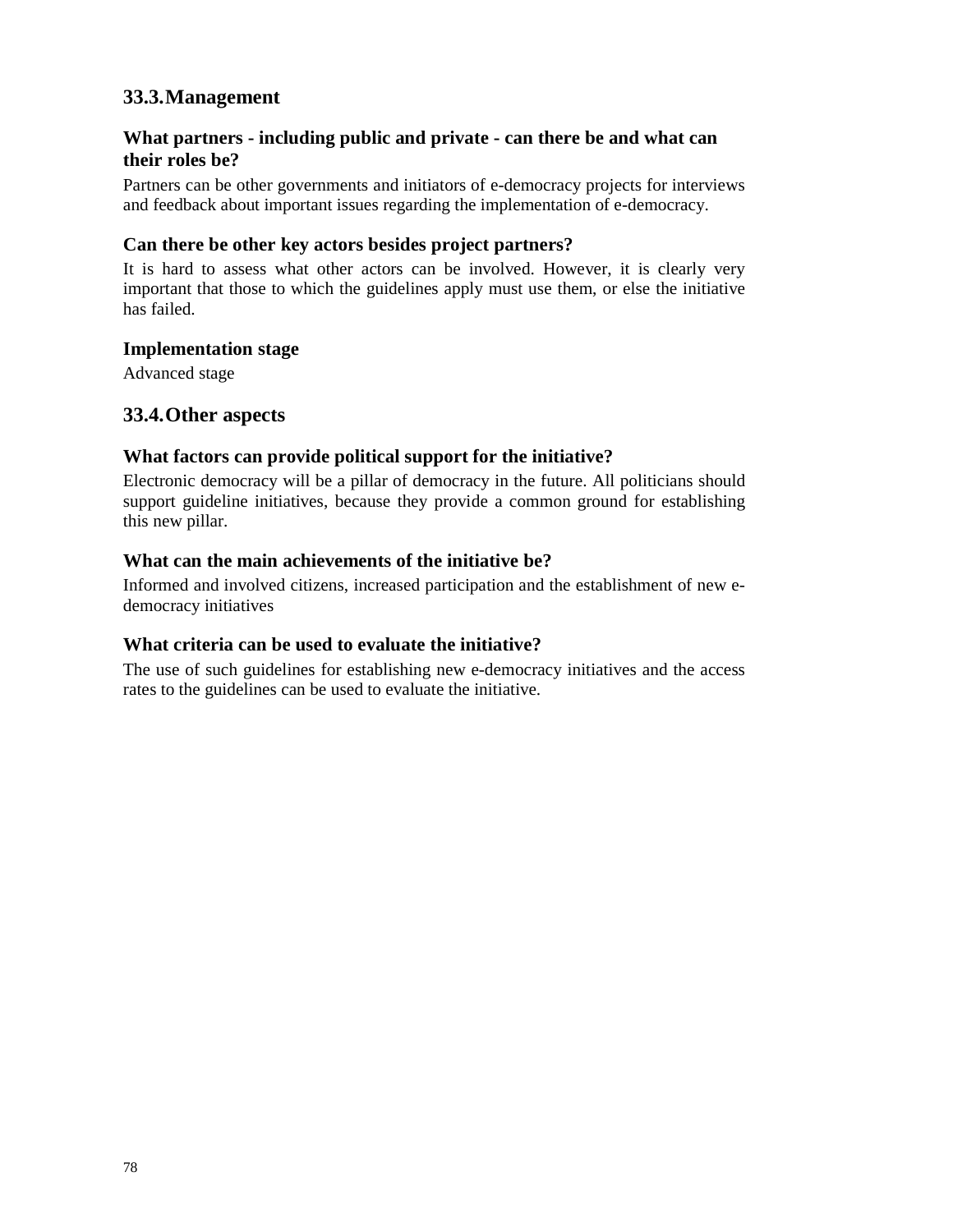# **33.3.Management**

#### **What partners - including public and private - can there be and what can their roles be?**

Partners can be other governments and initiators of e-democracy projects for interviews and feedback about important issues regarding the implementation of e-democracy.

#### **Can there be other key actors besides project partners?**

It is hard to assess what other actors can be involved. However, it is clearly very important that those to which the guidelines apply must use them, or else the initiative has failed.

#### **Implementation stage**

Advanced stage

#### **33.4.Other aspects**

#### **What factors can provide political support for the initiative?**

Electronic democracy will be a pillar of democracy in the future. All politicians should support guideline initiatives, because they provide a common ground for establishing this new pillar.

#### **What can the main achievements of the initiative be?**

Informed and involved citizens, increased participation and the establishment of new edemocracy initiatives

#### **What criteria can be used to evaluate the initiative?**

The use of such guidelines for establishing new e-democracy initiatives and the access rates to the guidelines can be used to evaluate the initiative.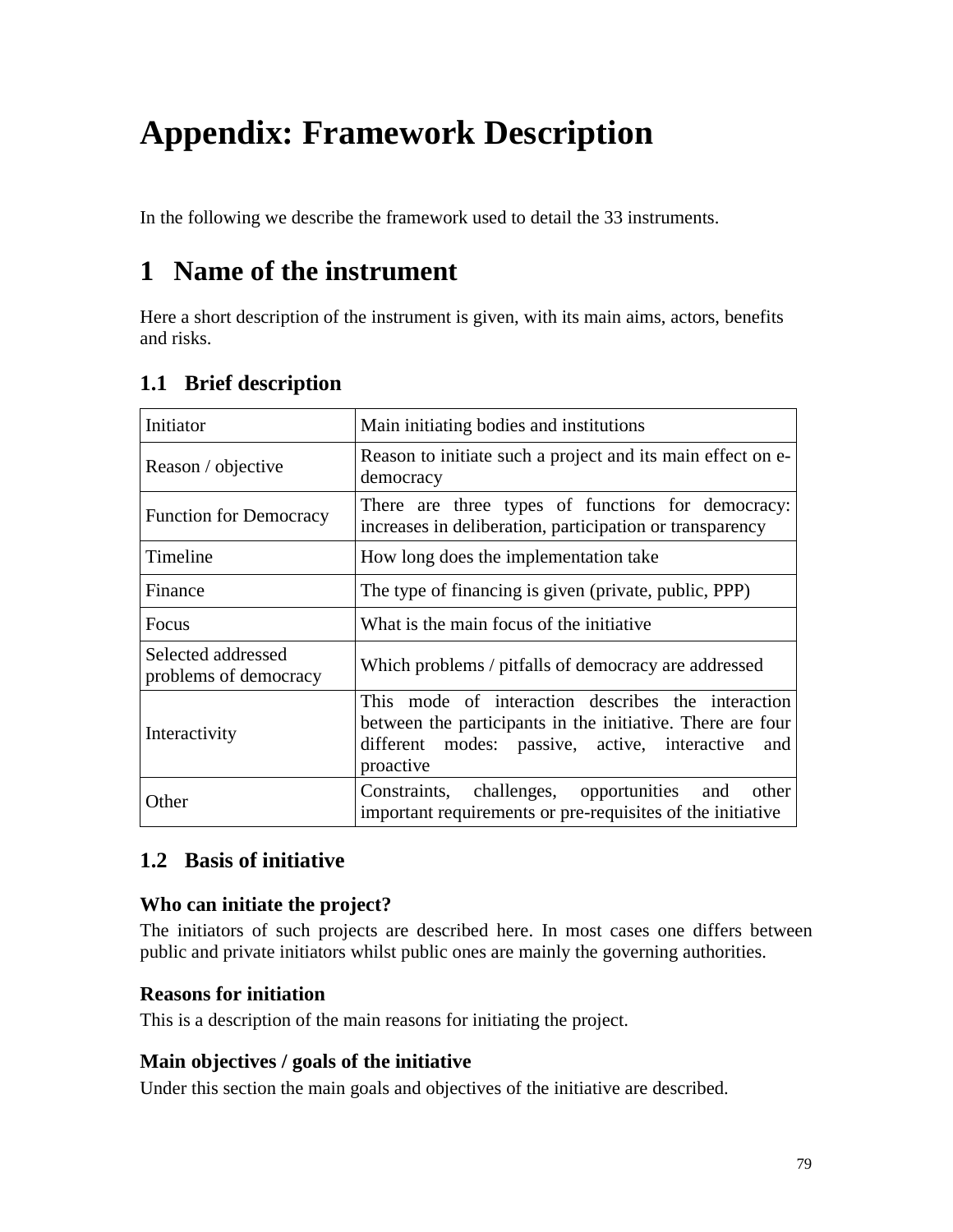# **Appendix: Framework Description**

In the following we describe the framework used to detail the 33 instruments.

# **1 Name of the instrument**

Here a short description of the instrument is given, with its main aims, actors, benefits and risks.

| Initiator                                   | Main initiating bodies and institutions                                                                                                                                               |
|---------------------------------------------|---------------------------------------------------------------------------------------------------------------------------------------------------------------------------------------|
| Reason / objective                          | Reason to initiate such a project and its main effect on e-<br>democracy                                                                                                              |
| <b>Function for Democracy</b>               | There are three types of functions for democracy:<br>increases in deliberation, participation or transparency                                                                         |
| Timeline                                    | How long does the implementation take                                                                                                                                                 |
| Finance                                     | The type of financing is given (private, public, PPP)                                                                                                                                 |
| Focus                                       | What is the main focus of the initiative                                                                                                                                              |
| Selected addressed<br>problems of democracy | Which problems / pitfalls of democracy are addressed                                                                                                                                  |
| Interactivity                               | This mode of interaction describes the interaction<br>between the participants in the initiative. There are four<br>different modes: passive, active, interactive<br>and<br>proactive |
| Other                                       | Constraints, challenges, opportunities and other<br>important requirements or pre-requisites of the initiative                                                                        |

# **1.1 Brief description**

# **1.2 Basis of initiative**

# **Who can initiate the project?**

The initiators of such projects are described here. In most cases one differs between public and private initiators whilst public ones are mainly the governing authorities.

# **Reasons for initiation**

This is a description of the main reasons for initiating the project.

# **Main objectives / goals of the initiative**

Under this section the main goals and objectives of the initiative are described.